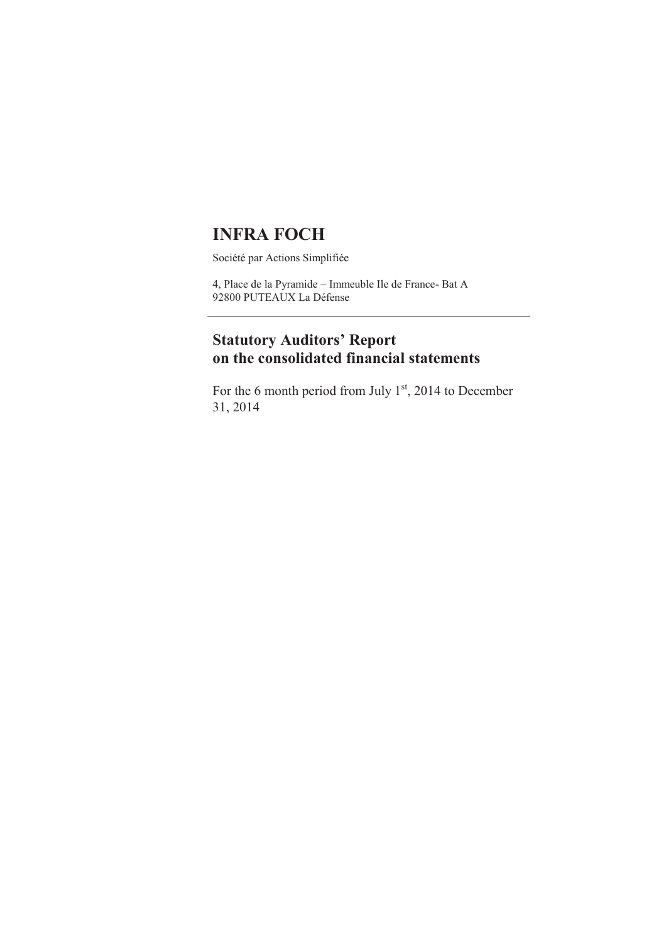# **INFRA FOCH**

Société par Actions Simplifiée

4, Place de la Pyramide – Immeuble Ile de France- Bat A 92800 PUTEAUX La Défense

# **Statutory Auditors' Report on the consolidated financial statements**

For the 6 month period from July  $1<sup>st</sup>$ , 2014 to December 31, 2014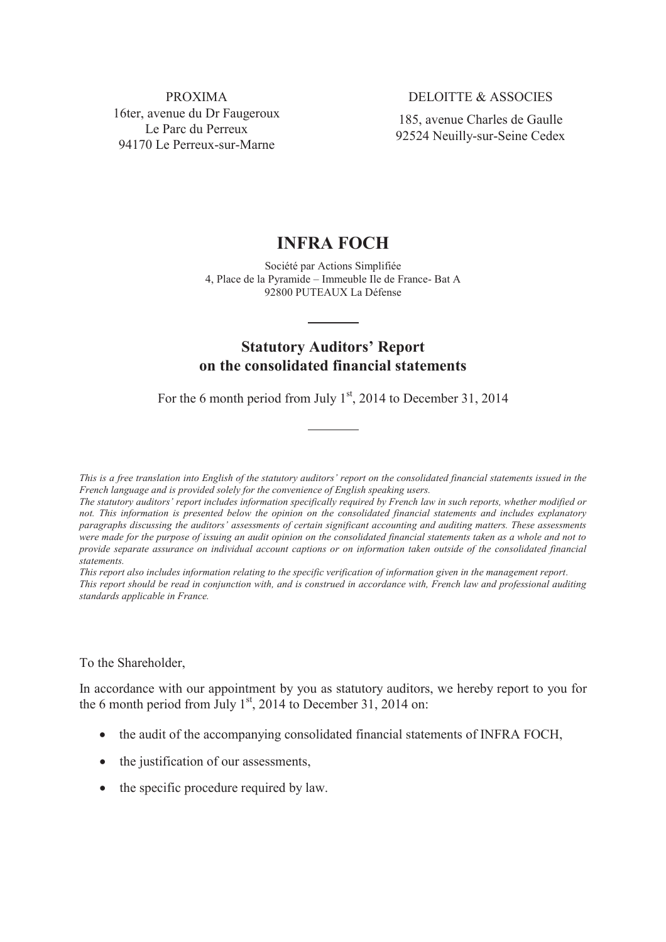PROXIMA 16ter, avenue du Dr Faugeroux Le Parc du Perreux 94170 Le Perreux-sur-Marne

DELOITTE & ASSOCIES 185, avenue Charles de Gaulle 92524 Neuilly-sur-Seine Cedex

# **INFRA FOCH**

Société par Actions Simplifiée 4, Place de la Pyramide – Immeuble Ile de France- Bat A 92800 PUTEAUX La Défense

# **Statutory Auditors' Report on the consolidated financial statements**

For the 6 month period from July  $1<sup>st</sup>$ , 2014 to December 31, 2014

*This is a free translation into English of the statutory auditors' report on the consolidated financial statements issued in the French language and is provided solely for the convenience of English speaking users.* 

*The statutory auditors' report includes information specifically required by French law in such reports, whether modified or not. This information is presented below the opinion on the consolidated financial statements and includes explanatory paragraphs discussing the auditors' assessments of certain significant accounting and auditing matters. These assessments were made for the purpose of issuing an audit opinion on the consolidated financial statements taken as a whole and not to provide separate assurance on individual account captions or on information taken outside of the consolidated financial statements.* 

*This report also includes information relating to the specific verification of information given in the management report. This report should be read in conjunction with, and is construed in accordance with, French law and professional auditing standards applicable in France.* 

#### To the Shareholder,

In accordance with our appointment by you as statutory auditors, we hereby report to you for the 6 month period from July  $1<sup>st</sup>$ , 2014 to December 31, 2014 on:

- the audit of the accompanying consolidated financial statements of INFRA FOCH,
- the justification of our assessments,
- the specific procedure required by law.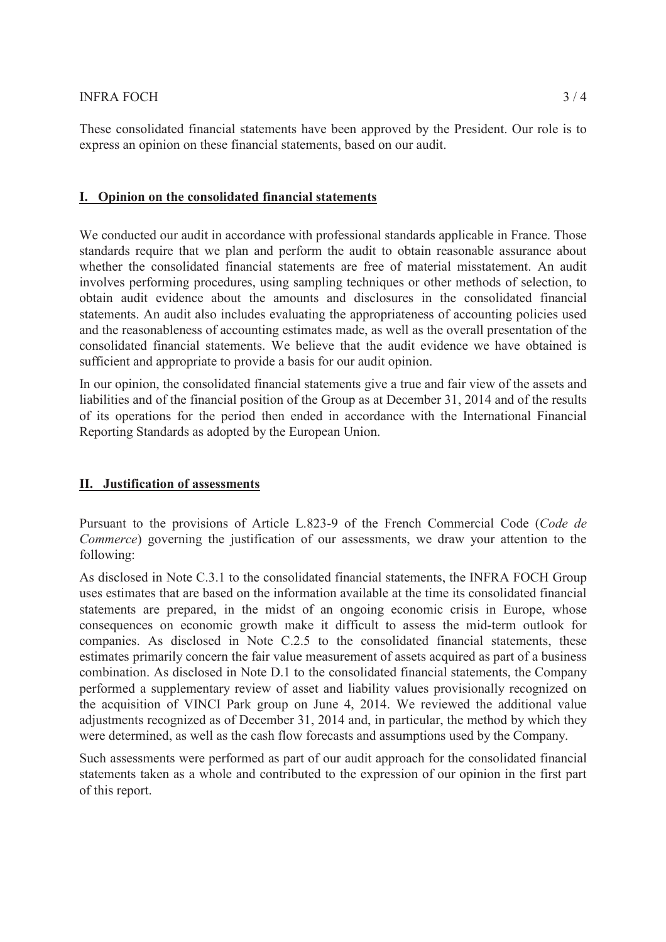#### INFRA FOCH  $3/4$

These consolidated financial statements have been approved by the President. Our role is to express an opinion on these financial statements, based on our audit.

#### **I. Opinion on the consolidated financial statements**

We conducted our audit in accordance with professional standards applicable in France. Those standards require that we plan and perform the audit to obtain reasonable assurance about whether the consolidated financial statements are free of material misstatement. An audit involves performing procedures, using sampling techniques or other methods of selection, to obtain audit evidence about the amounts and disclosures in the consolidated financial statements. An audit also includes evaluating the appropriateness of accounting policies used and the reasonableness of accounting estimates made, as well as the overall presentation of the consolidated financial statements. We believe that the audit evidence we have obtained is sufficient and appropriate to provide a basis for our audit opinion.

In our opinion, the consolidated financial statements give a true and fair view of the assets and liabilities and of the financial position of the Group as at December 31, 2014 and of the results of its operations for the period then ended in accordance with the International Financial Reporting Standards as adopted by the European Union.

#### **II. Justification of assessments**

Pursuant to the provisions of Article L.823-9 of the French Commercial Code (*Code de Commerce*) governing the justification of our assessments, we draw your attention to the following:

As disclosed in Note C.3.1 to the consolidated financial statements, the INFRA FOCH Group uses estimates that are based on the information available at the time its consolidated financial statements are prepared, in the midst of an ongoing economic crisis in Europe, whose consequences on economic growth make it difficult to assess the mid-term outlook for companies. As disclosed in Note C.2.5 to the consolidated financial statements, these estimates primarily concern the fair value measurement of assets acquired as part of a business combination. As disclosed in Note D.1 to the consolidated financial statements, the Company performed a supplementary review of asset and liability values provisionally recognized on the acquisition of VINCI Park group on June 4, 2014. We reviewed the additional value adjustments recognized as of December 31, 2014 and, in particular, the method by which they were determined, as well as the cash flow forecasts and assumptions used by the Company.

Such assessments were performed as part of our audit approach for the consolidated financial statements taken as a whole and contributed to the expression of our opinion in the first part of this report.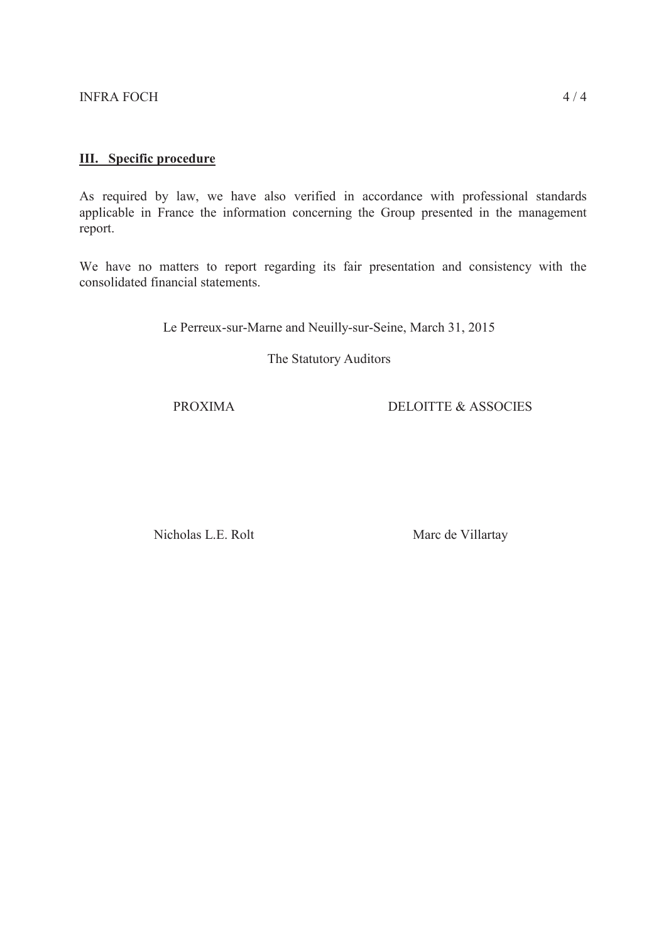INFRA FOCH 4 / 4

#### **III. Specific procedure**

As required by law, we have also verified in accordance with professional standards applicable in France the information concerning the Group presented in the management report.

We have no matters to report regarding its fair presentation and consistency with the consolidated financial statements.

Le Perreux-sur-Marne and Neuilly-sur-Seine, March 31, 2015

The Statutory Auditors

PROXIMA DELOITTE & ASSOCIES

Nicholas L.E. Rolt Marc de Villartay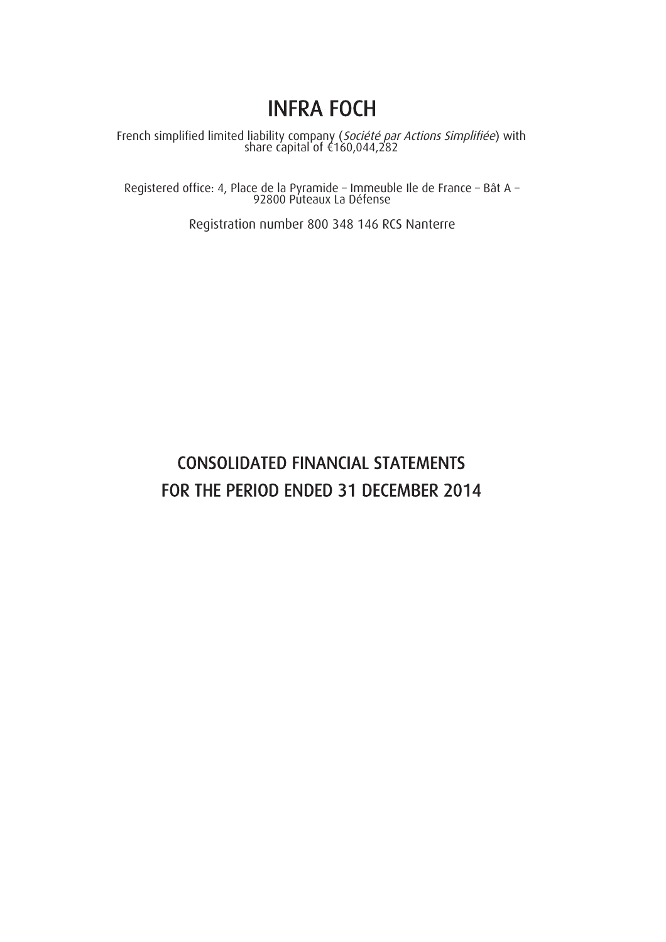# INFRA FOCH

French simplified limited liability company (*Société par Actions Simplifiée*) with share capital of €160,044,282

Registered office: 4, Place de la Pyramide – Immeuble Ile de France – Bât A – 92800 Puteaux La Défense

Registration number 800 348 146 RCS Nanterre

# CONSOLIDATED FINANCIAL STATEMENTS FOR THE PERIOD ENDED 31 DECEMBER 2014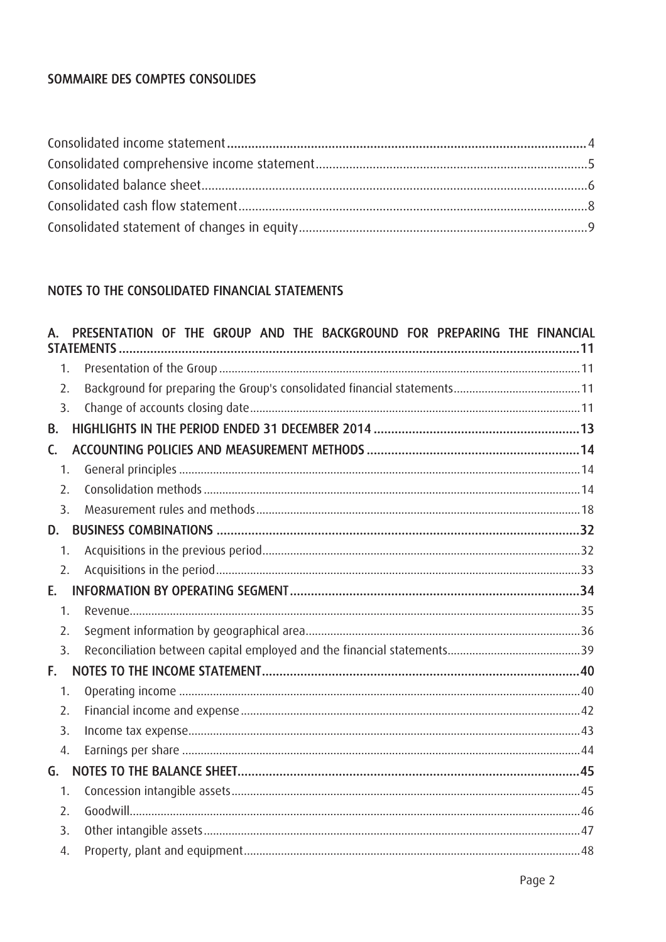# SOMMAIRE DES COMPTES CONSOLIDES

# NOTES TO THE CONSOLIDATED FINANCIAL STATEMENTS

| A.             |                  | PRESENTATION OF THE GROUP AND THE BACKGROUND FOR PREPARING THE FINANCIAL<br><b>STATEMENTS.</b> |  |
|----------------|------------------|------------------------------------------------------------------------------------------------|--|
|                | $\mathbf{1}$ .   |                                                                                                |  |
|                | 2.               |                                                                                                |  |
|                | 3.               |                                                                                                |  |
| <b>B.</b>      |                  |                                                                                                |  |
| $\mathsf{C}$ . |                  |                                                                                                |  |
|                | 1.               |                                                                                                |  |
|                | $\overline{2}$ . |                                                                                                |  |
|                | 3.               |                                                                                                |  |
| D.             |                  |                                                                                                |  |
|                | $\mathbf{1}$ .   |                                                                                                |  |
|                | 2.               |                                                                                                |  |
| E.             |                  |                                                                                                |  |
|                | $\mathbf{1}$ .   |                                                                                                |  |
|                | 2.               |                                                                                                |  |
|                | 3.               |                                                                                                |  |
| E.             |                  |                                                                                                |  |
|                | 1.               |                                                                                                |  |
|                | 2.               |                                                                                                |  |
|                | $\overline{3}$ . |                                                                                                |  |
|                | $\overline{4}$ . |                                                                                                |  |
| G.             |                  |                                                                                                |  |
|                | 1.               |                                                                                                |  |
|                | 2.               |                                                                                                |  |
|                | $\overline{3}$ . |                                                                                                |  |
|                | 4.               |                                                                                                |  |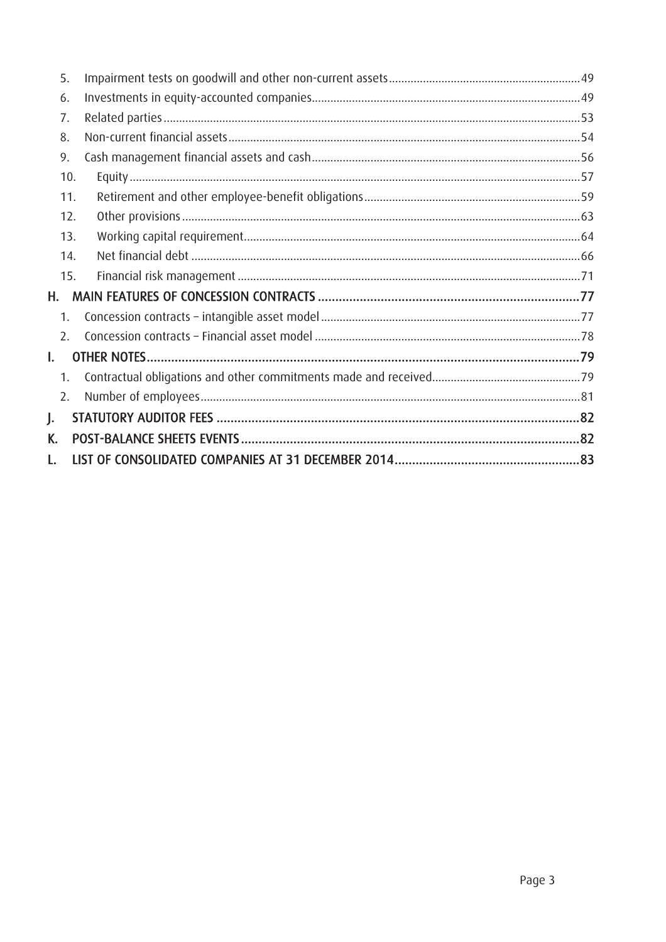| 5.             |  |
|----------------|--|
| 6.             |  |
| 7.             |  |
| 8.             |  |
| 9.             |  |
| 10.            |  |
| 11.            |  |
| 12.            |  |
| 13.            |  |
| 14.            |  |
| 15.            |  |
| Η.             |  |
| $\mathbf{1}$ . |  |
| $\mathcal{L}$  |  |
| $\mathbf{I}$ . |  |
| 1.             |  |
| 2.             |  |
| J.             |  |
| K.             |  |
|                |  |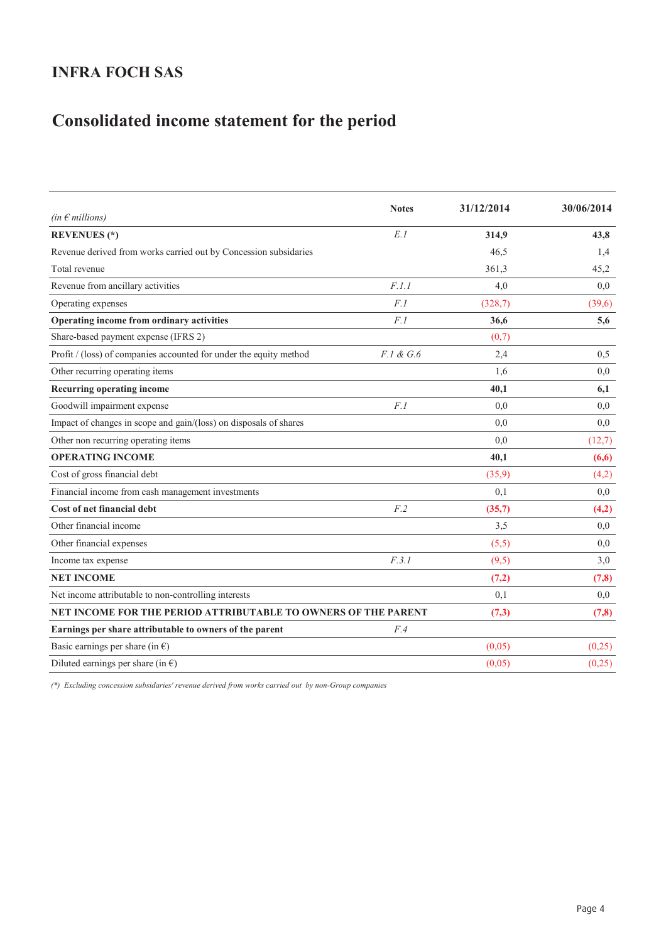# **Consolidated income statement for the period**

|                                                                    |                 | 31/12/2014 | 30/06/2014 |
|--------------------------------------------------------------------|-----------------|------------|------------|
| (in $\epsilon$ millions)                                           | <b>Notes</b>    |            |            |
| <b>REVENUES</b> (*)                                                | E.I             | 314.9      | 43,8       |
| Revenue derived from works carried out by Concession subsidaries   |                 | 46,5       | 1,4        |
| Total revenue                                                      |                 | 361,3      | 45,2       |
| Revenue from ancillary activities                                  | F.1.1           | 4,0        | 0,0        |
| Operating expenses                                                 | F.1             | (328,7)    | (39,6)     |
| Operating income from ordinary activities                          | F.I             | 36,6       | 5,6        |
| Share-based payment expense (IFRS 2)                               |                 | (0,7)      |            |
| Profit / (loss) of companies accounted for under the equity method | F.1 & G.6       | 2,4        | 0,5        |
| Other recurring operating items                                    |                 | 1,6        | 0,0        |
| <b>Recurring operating income</b>                                  |                 | 40.1       | 6,1        |
| Goodwill impairment expense                                        | F.I             | 0.0        | 0,0        |
| Impact of changes in scope and gain/(loss) on disposals of shares  |                 | 0.0        | 0,0        |
| Other non recurring operating items                                |                 | 0,0        | (12,7)     |
| <b>OPERATING INCOME</b>                                            |                 | 40,1       | (6,6)      |
| Cost of gross financial debt                                       |                 | (35,9)     | (4,2)      |
| Financial income from cash management investments                  |                 | 0,1        | 0,0        |
| Cost of net financial debt                                         | F <sub>.2</sub> | (35,7)     | (4,2)      |
| Other financial income                                             |                 | 3,5        | 0,0        |
| Other financial expenses                                           |                 | (5,5)      | 0,0        |
| Income tax expense                                                 | F.3.1           | (9,5)      | 3,0        |
| <b>NET INCOME</b>                                                  |                 | (7,2)      | (7, 8)     |
| Net income attributable to non-controlling interests               |                 | 0,1        | 0,0        |
| NET INCOME FOR THE PERIOD ATTRIBUTABLE TO OWNERS OF THE PARENT     |                 | (7,3)      | (7, 8)     |
| Earnings per share attributable to owners of the parent            | F.4             |            |            |
| Basic earnings per share (in $\epsilon$ )                          |                 | (0,05)     | (0,25)     |
| Diluted earnings per share (in $\epsilon$ )                        |                 | (0,05)     | (0,25)     |

*(\*) Excluding concession subsidaries' revenue derived from works carried out by non-Group companies*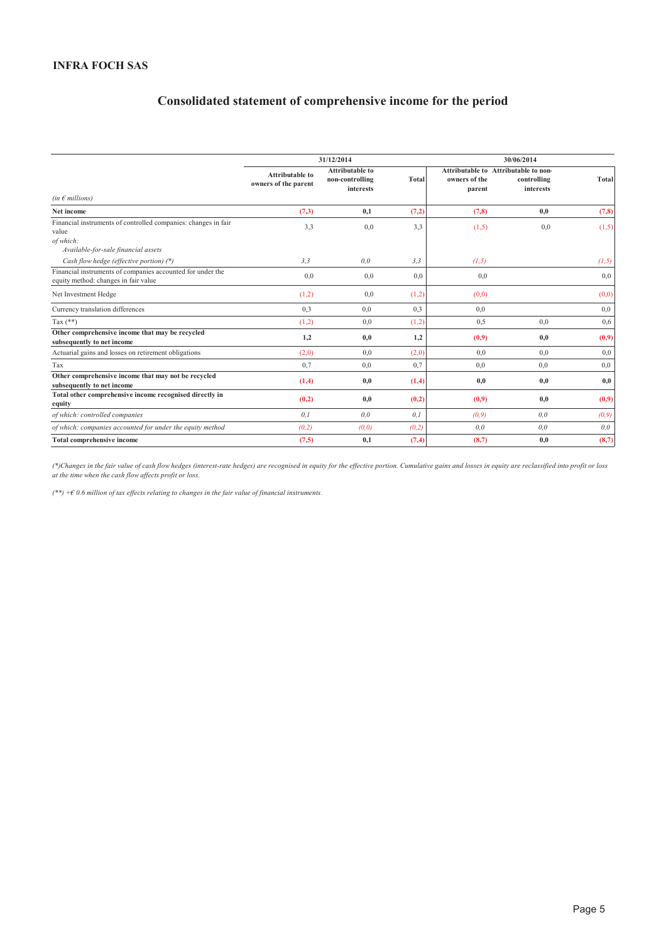# **Consolidated statement of comprehensive income for the period**

|                                                                                                    |                                                | 31/12/2014                                             |        |                         |                                                                  |        |
|----------------------------------------------------------------------------------------------------|------------------------------------------------|--------------------------------------------------------|--------|-------------------------|------------------------------------------------------------------|--------|
|                                                                                                    | <b>Attributable to</b><br>owners of the parent | <b>Attributable to</b><br>non-controlling<br>interests | Total  | owners of the<br>parent | Attributable to Attributable to non-<br>controlling<br>interests | Total  |
| $(in \in millions)$                                                                                |                                                |                                                        |        |                         |                                                                  |        |
| Net income                                                                                         | (7,3)                                          | 0,1                                                    | (7,2)  | (7,8)                   | 0,0                                                              | (7, 8) |
| Financial instruments of controlled companies: changes in fair<br>value                            | 3,3                                            | 0,0                                                    | 3,3    | (1,5)                   | 0,0                                                              | (1,5)  |
| of which:<br>Available-for-sale financial assets                                                   |                                                |                                                        |        |                         |                                                                  |        |
| Cash flow hedge (effective portion) (*)                                                            | 3,3                                            | 0,0                                                    | 3,3    | (1, 5)                  |                                                                  | (1, 5) |
| Financial instruments of companies accounted for under the<br>equity method: changes in fair value | 0,0                                            | 0,0                                                    | 0,0    | 0,0                     |                                                                  | 0,0    |
| Net Investment Hedge                                                                               | (1,2)                                          | 0,0                                                    | (1,2)  | (0,0)                   |                                                                  | (0,0)  |
| Currency translation differences                                                                   | 0,3                                            | 0,0                                                    | 0,3    | 0.0                     |                                                                  | 0,0    |
| Tax $(**)$                                                                                         | (1,2)                                          | 0,0                                                    | (1,2)  | 0,5                     | 0,0                                                              | 0,6    |
| Other comprehensive income that may be recycled<br>subsequently to net income                      | 1,2                                            | 0,0                                                    | 1,2    | (0,9)                   | 0,0                                                              | (0,9)  |
| Actuarial gains and losses on retirement obligations                                               | (2,0)                                          | 0.0                                                    | (2,0)  | 0.0                     | 0.0                                                              | 0,0    |
| Tax                                                                                                | 0,7                                            | 0,0                                                    | 0,7    | 0,0                     | 0,0                                                              | 0,0    |
| Other comprehensive income that may not be recycled<br>subsequently to net income                  | (1,4)                                          | 0,0                                                    | (1,4)  | 0,0                     | 0,0                                                              | 0,0    |
| Total other comprehensive income recognised directly in<br>equity                                  | (0,2)                                          | 0,0                                                    | (0,2)  | (0,9)                   | 0,0                                                              | (0,9)  |
| of which: controlled companies                                                                     | 0, I                                           | 0,0                                                    | 0,1    | (0, 9)                  | 0.0                                                              | (0, 9) |
| of which: companies accounted for under the equity method                                          | (0,2)                                          | (0,0)                                                  | (0,2)  | 0.0                     | 0.0                                                              | 0,0    |
| <b>Total comprehensive income</b>                                                                  | (7,5)                                          | 0,1                                                    | (7, 4) | (8,7)                   | 0,0                                                              | (8,7)  |

*(\*)Changes in the fair value of cash flow hedges (interest-rate hedges) are recognised in equity for the effective portion. Cumulative gains and losses in equity are reclassified into profit or loss at the time when the cash flow affects profit or loss.*

*(\*\*) +¼ 0.6 million of tax effects relating to changes in the fair value of financial instruments.*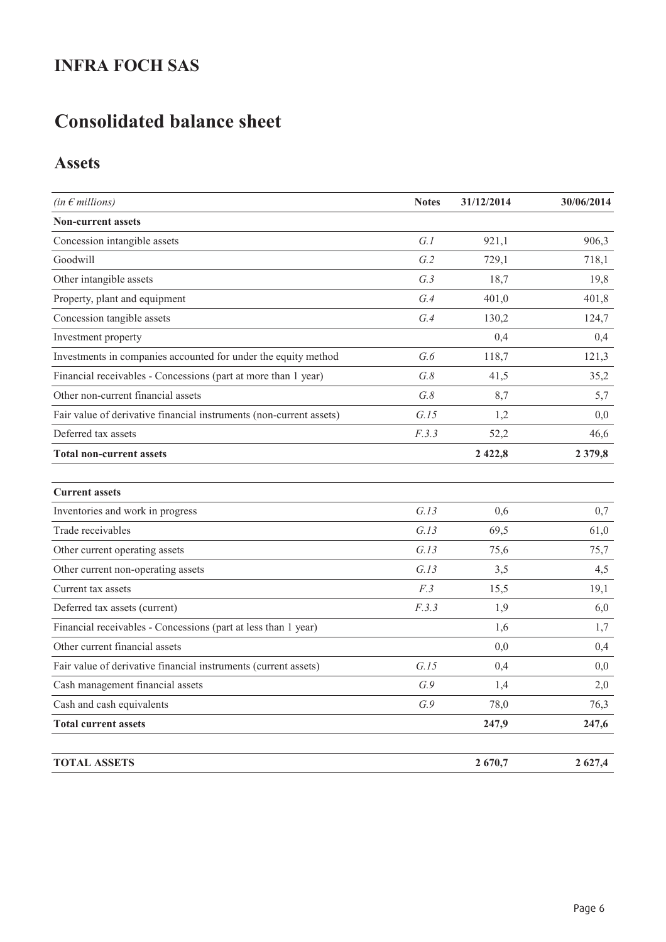# **Consolidated balance sheet**

# **Assets**

| (in $\epsilon$ millions)                                            | <b>Notes</b> | 31/12/2014  | 30/06/2014 |
|---------------------------------------------------------------------|--------------|-------------|------------|
| <b>Non-current assets</b>                                           |              |             |            |
| Concession intangible assets                                        | G.1          | 921,1       | 906,3      |
| Goodwill                                                            | G.2          | 729,1       | 718,1      |
| Other intangible assets                                             | G.3          | 18,7        | 19,8       |
| Property, plant and equipment                                       | G.4          | 401,0       | 401,8      |
| Concession tangible assets                                          | G.4          | 130,2       | 124,7      |
| Investment property                                                 |              | 0.4         | 0,4        |
| Investments in companies accounted for under the equity method      | G.6          | 118,7       | 121,3      |
| Financial receivables - Concessions (part at more than 1 year)      | G.8          | 41,5        | 35,2       |
| Other non-current financial assets                                  | $G.\delta$   | 8,7         | 5,7        |
| Fair value of derivative financial instruments (non-current assets) | G.15         | 1,2         | 0,0        |
| Deferred tax assets                                                 | F.3.3        | 52,2        | 46,6       |
| <b>Total non-current assets</b>                                     |              | 2 4 2 2 , 8 | 2 3 7 9, 8 |
| <b>Current assets</b>                                               |              |             |            |
| Inventories and work in progress                                    | G.13         | 0,6         | 0,7        |
| Trade receivables                                                   | G.13         | 69,5        | 61,0       |
| Other current operating assets                                      | G.13         | 75,6        | 75,7       |
| Other current non-operating assets                                  | G.13         | 3,5         | 4,5        |
| Current tax assets                                                  | F.3          | 15,5        | 19,1       |
| Deferred tax assets (current)                                       | F.3.3        | 1,9         | 6,0        |
| Financial receivables - Concessions (part at less than 1 year)      |              | 1,6         | 1,7        |
| Other current financial assets                                      |              | 0,0         | 0,4        |
| Fair value of derivative financial instruments (current assets)     | G.15         | 0,4         | 0,0        |
| Cash management financial assets                                    | G.9          | 1,4         | 2,0        |
| Cash and cash equivalents                                           | G.9          | 78,0        | 76,3       |
| <b>Total current assets</b>                                         |              | 247,9       | 247,6      |
| <b>TOTAL ASSETS</b>                                                 |              | 2670,7      | 2 627,4    |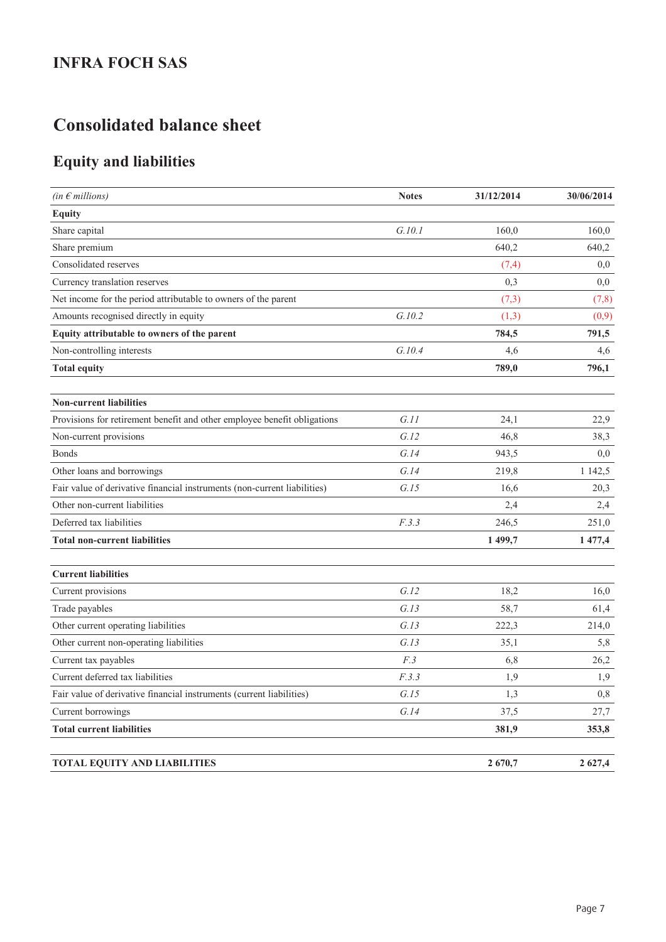# **Consolidated balance sheet**

# **Equity and liabilities**

| $(in$ $\epsilon$ millions)                                               | <b>Notes</b> | 31/12/2014 | 30/06/2014 |
|--------------------------------------------------------------------------|--------------|------------|------------|
| <b>Equity</b>                                                            |              |            |            |
| Share capital                                                            | G.10.1       | 160,0      | 160,0      |
| Share premium                                                            |              | 640,2      | 640,2      |
| Consolidated reserves                                                    |              | (7,4)      | 0,0        |
| Currency translation reserves                                            |              | 0.3        | 0.0        |
| Net income for the period attributable to owners of the parent           |              | (7,3)      | (7,8)      |
| Amounts recognised directly in equity                                    | G.10.2       | (1,3)      | (0,9)      |
| Equity attributable to owners of the parent                              |              | 784,5      | 791,5      |
| Non-controlling interests                                                | G.10.4       | 4,6        | 4,6        |
| <b>Total equity</b>                                                      |              | 789,0      | 796,1      |
| <b>Non-current liabilities</b>                                           |              |            |            |
| Provisions for retirement benefit and other employee benefit obligations | G.11         | 24,1       | 22,9       |
| Non-current provisions                                                   | G.12         | 46,8       | 38,3       |
| <b>Bonds</b>                                                             | G.14         | 943,5      | 0.0        |
| Other loans and borrowings                                               | G.14         | 219,8      | 1 1 4 2 5  |
| Fair value of derivative financial instruments (non-current liabilities) | G.15         | 16,6       | 20,3       |
| Other non-current liabilities                                            |              | 2,4        | 2,4        |
| Deferred tax liabilities                                                 | F.3.3        | 246,5      | 251,0      |
| <b>Total non-current liabilities</b>                                     |              | 1 499,7    | 1 477,4    |
| <b>Current liabilities</b>                                               |              |            |            |
| Current provisions                                                       | G.12         | 18,2       | 16,0       |
| Trade payables                                                           | G.13         | 58,7       | 61,4       |
| Other current operating liabilities                                      | G.13         | 222,3      | 214,0      |
| Other current non-operating liabilities                                  | G.13         | 35,1       | 5,8        |
| Current tax payables                                                     | F.3          | 6,8        | 26,2       |
| Current deferred tax liabilities                                         | F.3.3        | 1,9        | 1,9        |
| Fair value of derivative financial instruments (current liabilities)     | G.15         | 1,3        | 0,8        |
| Current borrowings                                                       | G.14         | 37,5       | 27,7       |
| <b>Total current liabilities</b>                                         |              | 381,9      | 353,8      |
| <b>TOTAL EQUITY AND LIABILITIES</b>                                      |              | 2670,7     | 2 627,4    |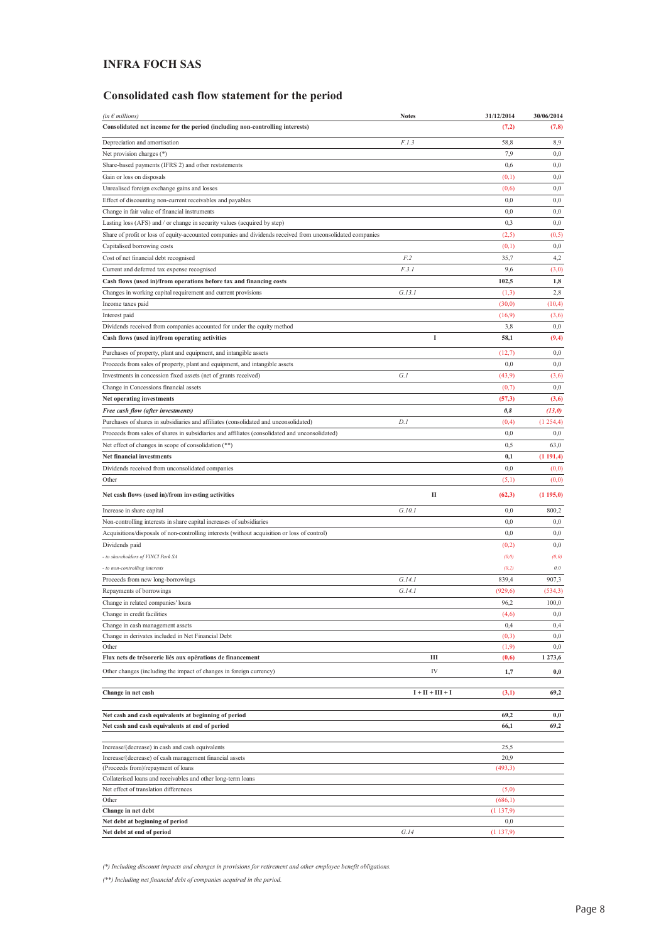#### **Consolidated cash flow statement for the period**

| $(in$ $\epsilon$ millions)                                                                                 | <b>Notes</b>       | 31/12/2014 | 30/06/2014          |
|------------------------------------------------------------------------------------------------------------|--------------------|------------|---------------------|
| Consolidated net income for the period (including non-controlling interests)                               |                    | (7,2)      | (7,8)               |
| Depreciation and amortisation                                                                              | F.1.3              | 58,8       | 8,9                 |
| Net provision charges (*)                                                                                  |                    | 7,9        | 0,0                 |
| Share-based payments (IFRS 2) and other restatements                                                       |                    | 0,6        | $_{0,0}$            |
| Gain or loss on disposals                                                                                  |                    | (0,1)      | 0,0                 |
|                                                                                                            |                    | (0,6)      | 0,0                 |
| Unrealised foreign exchange gains and losses                                                               |                    | 0,0        |                     |
| Effect of discounting non-current receivables and payables                                                 |                    |            | 0,0                 |
| Change in fair value of financial instruments                                                              |                    | $_{0,0}$   | 0,0                 |
| Lasting loss (AFS) and / or change in security values (acquired by step)                                   |                    | 0,3        | 0,0                 |
| Share of profit or loss of equity-accounted companies and dividends received from unconsolidated companies |                    | (2,5)      | (0,5)               |
| Capitalised borrowing costs                                                                                |                    | (0,1)      | 0,0                 |
| Cost of net financial debt recognised                                                                      | F.2                | 35,7       | 4,2                 |
| Current and deferred tax expense recognised                                                                | F.3.1              | 9,6        | (3,0)               |
| Cash flows (used in)/from operations before tax and financing costs                                        |                    | 102,5      | 1,8                 |
| Changes in working capital requirement and current provisions                                              | G.13.1             | (1,3)      | 2,8                 |
| Income taxes paid                                                                                          |                    | (30,0)     | (10,4)              |
| Interest paid                                                                                              |                    | (16,9)     | (3,6)               |
| Dividends received from companies accounted for under the equity method                                    |                    | 3,8        | 0,0                 |
| Cash flows (used in)/from operating activities                                                             | 1                  | 58,1       | (9,4)               |
| Purchases of property, plant and equipment, and intangible assets                                          |                    | (12,7)     | 0,0                 |
|                                                                                                            |                    |            |                     |
| Proceeds from sales of property, plant and equipment, and intangible assets                                |                    | $_{0,0}$   | 0,0                 |
| Investments in concession fixed assets (net of grants received)                                            | G.1                | (43,9)     | (3,6)               |
| Change in Concessions financial assets                                                                     |                    | (0,7)      | 0,0                 |
| Net operating investments                                                                                  |                    | (57,3)     | (3,6)               |
| Free cash flow (after investments)                                                                         |                    | 0,8        | (13,0)              |
| Purchases of shares in subsidiaries and affiliates (consolidated and unconsolidated)                       | D.1                | (0,4)      | (1254,4)            |
| Proceeds from sales of shares in subsidiaries and affiliates (consolidated and unconsolidated)             |                    | 0,0        | 0,0                 |
| Net effect of changes in scope of consolidation (**)                                                       |                    | 0,5        | 63,0                |
| Net financial investments                                                                                  |                    | 0,1        | (1191,4)            |
| Dividends received from unconsolidated companies                                                           |                    | 0,0        | (0,0)               |
| Other                                                                                                      |                    | (5,1)      | (0,0)               |
| Net cash flows (used in)/from investing activities                                                         | $\mathbf{I}$       | (62,3)     | (1195,0)            |
| Increase in share capital                                                                                  | G.10.1             | 0,0        | 800,2               |
| Non-controlling interests in share capital increases of subsidiaries                                       |                    | 0,0        | 0,0                 |
| Acquisitions/disposals of non-controlling interests (without acquisition or loss of control)               |                    | 0,0        | 0,0                 |
| Dividends paid                                                                                             |                    | (0,2)      | 0,0                 |
| - to shareholders of VINCI Park SA                                                                         |                    | (0,0)      | (0,0)               |
| - to non-controlling interests                                                                             |                    | (0,2)      | 0,0                 |
| Proceeds from new long-borrowings                                                                          | G.14.1             | 839,4      | 907,3               |
|                                                                                                            |                    |            | (534,3)             |
| Repayments of borrowings                                                                                   | G.14.1             | (929,6)    |                     |
| Change in related companies' loans                                                                         |                    | 96,2       | 100,0               |
| Change in credit facilities                                                                                |                    | (4,6)      | $_{0,0}$            |
| Change in cash management assets                                                                           |                    | 0,4        | 0,4                 |
| Change in derivates included in Net Financial Debt                                                         |                    | (0,3)      | $_{0,0}$            |
| Other                                                                                                      |                    | (1,9)      | $_{0,0}$<br>1 273,6 |
| Flux nets de trésorerie liés aux opérations de financement                                                 | Ш                  | (0,6)      |                     |
| Other changes (including the impact of changes in foreign currency)                                        | IV                 | 1,7        | 0,0                 |
| Change in net cash                                                                                         | $I + II + III + I$ | (3,1)      | 69,2                |
|                                                                                                            |                    |            |                     |
| Net cash and cash equivalents at beginning of period                                                       |                    | 69,2       | $_{0,0}$            |
| Net cash and cash equivalents at end of period                                                             |                    | 66,1       | 69,2                |
| Increase/(decrease) in cash and cash equivalents                                                           |                    | 25,5       |                     |
| Increase/(decrease) of cash management financial assets                                                    |                    | 20,9       |                     |
| (Proceeds from)/repayment of loans                                                                         |                    | (493,3)    |                     |
| Collaterised loans and receivables and other long-term loans                                               |                    |            |                     |
| Net effect of translation differences                                                                      |                    | (5,0)      |                     |
| Other                                                                                                      |                    | (686,1)    |                     |
| Change in net debt                                                                                         |                    | (1137,9)   |                     |
| Net debt at beginning of period                                                                            |                    | $_{0,0}$   |                     |
| Net debt at end of period                                                                                  | G.14               | (1137,9)   |                     |

*(\*) Including discount impacts and changes in provisions for retirement and other employee benefit obligations.*

*(\*\*) Including net financial debt of companies acquired in the period.*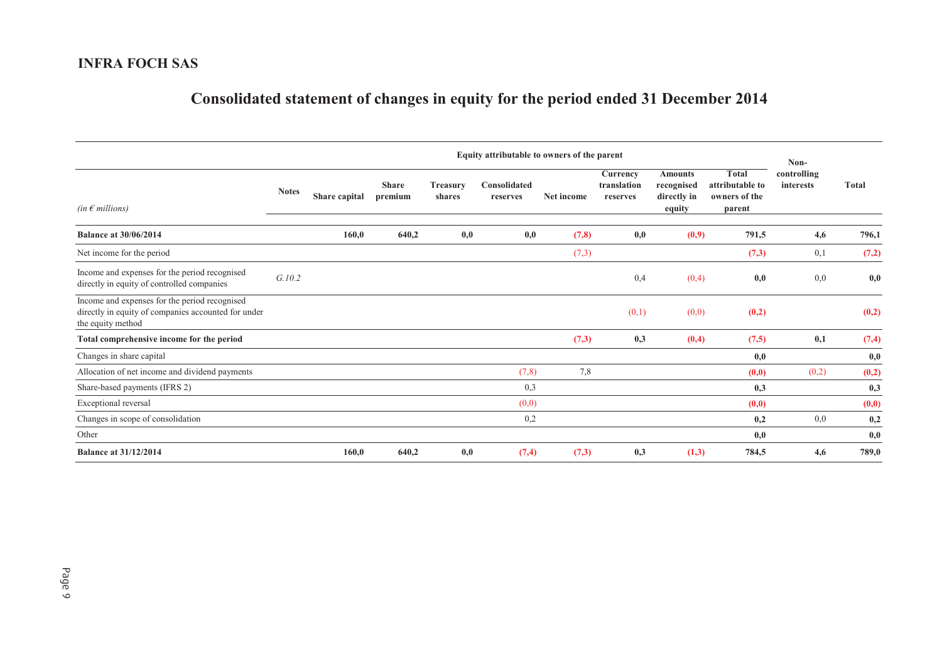# Consolidated statement of changes in equity for the period ended 31 December 2014

|                                                                                                                           | Equity attributable to owners of the parent |               |                         |                    |                          |            |                                     | Non-                                                  |                                                            |                          |       |
|---------------------------------------------------------------------------------------------------------------------------|---------------------------------------------|---------------|-------------------------|--------------------|--------------------------|------------|-------------------------------------|-------------------------------------------------------|------------------------------------------------------------|--------------------------|-------|
| $(in \in millions)$                                                                                                       | <b>Notes</b>                                | Share capital | <b>Share</b><br>premium | Treasury<br>shares | Consolidated<br>reserves | Net income | Currency<br>translation<br>reserves | <b>Amounts</b><br>recognised<br>directly in<br>equity | <b>Total</b><br>attributable to<br>owners of the<br>parent | controlling<br>interests | Total |
| <b>Balance at 30/06/2014</b>                                                                                              |                                             | 160,0         | 640,2                   | 0,0                | 0,0                      | (7,8)      | 0,0                                 | (0,9)                                                 | 791,5                                                      | 4,6                      | 796,1 |
| Net income for the period                                                                                                 |                                             |               |                         |                    |                          | (7,3)      |                                     |                                                       | (7,3)                                                      | 0,1                      | (7,2) |
| Income and expenses for the period recognised<br>directly in equity of controlled companies                               | G.10.2                                      |               |                         |                    |                          |            | 0,4                                 | (0,4)                                                 | 0,0                                                        | 0,0                      | 0,0   |
| Income and expenses for the period recognised<br>directly in equity of companies accounted for under<br>the equity method |                                             |               |                         |                    |                          |            | (0,1)                               | (0,0)                                                 | (0,2)                                                      |                          | (0,2) |
| Total comprehensive income for the period                                                                                 |                                             |               |                         |                    |                          | (7,3)      | 0,3                                 | (0,4)                                                 | (7,5)                                                      | 0,1                      | (7,4) |
| Changes in share capital                                                                                                  |                                             |               |                         |                    |                          |            |                                     |                                                       | 0,0                                                        |                          | 0,0   |
| Allocation of net income and dividend payments                                                                            |                                             |               |                         |                    | (7, 8)                   | 7,8        |                                     |                                                       | (0,0)                                                      | (0,2)                    | (0,2) |
| Share-based payments (IFRS 2)                                                                                             |                                             |               |                         |                    | 0,3                      |            |                                     |                                                       | 0,3                                                        |                          | 0,3   |
| Exceptional reversal                                                                                                      |                                             |               |                         |                    | (0,0)                    |            |                                     |                                                       | (0,0)                                                      |                          | (0,0) |
| Changes in scope of consolidation                                                                                         |                                             |               |                         |                    | 0,2                      |            |                                     |                                                       | 0,2                                                        | 0,0                      | 0,2   |
| Other                                                                                                                     |                                             |               |                         |                    |                          |            |                                     |                                                       | 0,0                                                        |                          | 0,0   |
| <b>Balance at 31/12/2014</b>                                                                                              |                                             | 160,0         | 640,2                   | 0,0                | (7,4)                    | (7,3)      | 0,3                                 | (1,3)                                                 | 784,5                                                      | 4,6                      | 789,0 |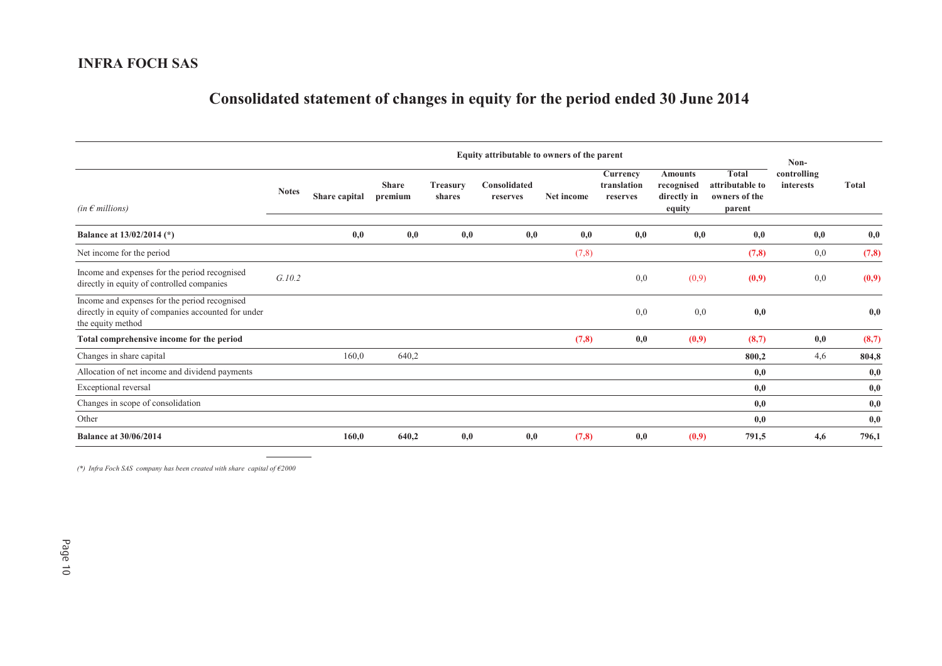# Consolidated statement of changes in equity for the period ended 30 June 2014

| Equity attributable to owners of the parent                                                                               |              |               |                         |                           |                          | Non-       |                                     |                                                       |                                                     |                          |        |
|---------------------------------------------------------------------------------------------------------------------------|--------------|---------------|-------------------------|---------------------------|--------------------------|------------|-------------------------------------|-------------------------------------------------------|-----------------------------------------------------|--------------------------|--------|
| $(in \in millions)$                                                                                                       | <b>Notes</b> | Share capital | <b>Share</b><br>premium | <b>Treasury</b><br>shares | Consolidated<br>reserves | Net income | Currency<br>translation<br>reserves | <b>Amounts</b><br>recognised<br>directly in<br>equity | Total<br>attributable to<br>owners of the<br>parent | controlling<br>interests | Total  |
| Balance at 13/02/2014 (*)                                                                                                 |              | 0,0           | 0,0                     | 0,0                       | 0,0                      | 0,0        | 0,0                                 | 0,0                                                   | 0,0                                                 | 0,0                      | 0,0    |
| Net income for the period                                                                                                 |              |               |                         |                           |                          | (7,8)      |                                     |                                                       | (7,8)                                               | 0,0                      | (7, 8) |
| Income and expenses for the period recognised<br>directly in equity of controlled companies                               | G.10.2       |               |                         |                           |                          |            | 0,0                                 | (0,9)                                                 | (0,9)                                               | 0,0                      | (0,9)  |
| Income and expenses for the period recognised<br>directly in equity of companies accounted for under<br>the equity method |              |               |                         |                           |                          |            | 0,0                                 | 0,0                                                   | 0,0                                                 |                          | 0,0    |
| Total comprehensive income for the period                                                                                 |              |               |                         |                           |                          | (7,8)      | 0,0                                 | (0,9)                                                 | (8,7)                                               | 0,0                      | (8,7)  |
| Changes in share capital                                                                                                  |              | 160,0         | 640,2                   |                           |                          |            |                                     |                                                       | 800,2                                               | 4,6                      | 804,8  |
| Allocation of net income and dividend payments                                                                            |              |               |                         |                           |                          |            |                                     |                                                       | 0,0                                                 |                          | 0,0    |
| Exceptional reversal                                                                                                      |              |               |                         |                           |                          |            |                                     |                                                       | 0,0                                                 |                          | 0,0    |
| Changes in scope of consolidation                                                                                         |              |               |                         |                           |                          |            |                                     |                                                       | 0,0                                                 |                          | 0,0    |
| Other                                                                                                                     |              |               |                         |                           |                          |            |                                     |                                                       | 0,0                                                 |                          | 0,0    |
| <b>Balance at 30/06/2014</b>                                                                                              |              | 160,0         | 640,2                   | 0,0                       | 0,0                      | (7,8)      | 0,0                                 | (0,9)                                                 | 791,5                                               | 4,6                      | 796,1  |

(\*) Infra Foch SAS company has been created with share capital of  $\epsilon$ 2000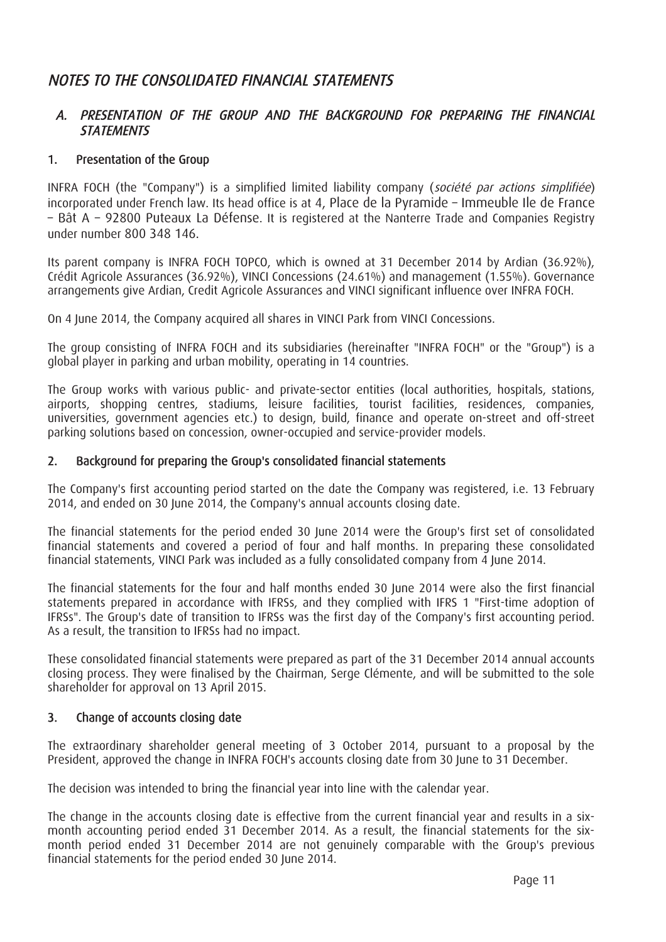# NOTES TO THE CONSOLIDATED FINANCIAL STATEMENTS

# A. PRESENTATION OF THE GROUP AND THE BACKGROUND FOR PREPARING THE FINANCIAL **STATEMENTS**

#### 1. Presentation of the Group

INFRA FOCH (the "Company") is a simplified limited liability company (société par actions simplifiée) incorporated under French law. Its head office is at 4, Place de la Pyramide – Immeuble Ile de France – Bât A – 92800 Puteaux La Défense. It is registered at the Nanterre Trade and Companies Registry under number 800 348 146.

Its parent company is INFRA FOCH TOPCO, which is owned at 31 December 2014 by Ardian (36.92%), Crédit Agricole Assurances (36.92%), VINCI Concessions (24.61%) and management (1.55%). Governance arrangements give Ardian, Credit Agricole Assurances and VINCI significant influence over INFRA FOCH.

On 4 June 2014, the Company acquired all shares in VINCI Park from VINCI Concessions.

The group consisting of INFRA FOCH and its subsidiaries (hereinafter "INFRA FOCH" or the "Group") is a global player in parking and urban mobility, operating in 14 countries.

The Group works with various public- and private-sector entities (local authorities, hospitals, stations, airports, shopping centres, stadiums, leisure facilities, tourist facilities, residences, companies, universities, government agencies etc.) to design, build, finance and operate on-street and off-street parking solutions based on concession, owner-occupied and service-provider models.

#### 2. Background for preparing the Group's consolidated financial statements

The Company's first accounting period started on the date the Company was registered, i.e. 13 February 2014, and ended on 30 June 2014, the Company's annual accounts closing date.

The financial statements for the period ended 30 June 2014 were the Group's first set of consolidated financial statements and covered a period of four and half months. In preparing these consolidated financial statements, VINCI Park was included as a fully consolidated company from 4 June 2014.

The financial statements for the four and half months ended 30 June 2014 were also the first financial statements prepared in accordance with IFRSs, and they complied with IFRS 1 "First-time adoption of IFRSs". The Group's date of transition to IFRSs was the first day of the Company's first accounting period. As a result, the transition to IFRSs had no impact.

These consolidated financial statements were prepared as part of the 31 December 2014 annual accounts closing process. They were finalised by the Chairman, Serge Clémente, and will be submitted to the sole shareholder for approval on 13 April 2015.

## 3. Change of accounts closing date

The extraordinary shareholder general meeting of 3 October 2014, pursuant to a proposal by the President, approved the change in INFRA FOCH's accounts closing date from 30 June to 31 December.

The decision was intended to bring the financial year into line with the calendar year.

The change in the accounts closing date is effective from the current financial year and results in a sixmonth accounting period ended 31 December 2014. As a result, the financial statements for the sixmonth period ended 31 December 2014 are not genuinely comparable with the Group's previous financial statements for the period ended 30 June 2014.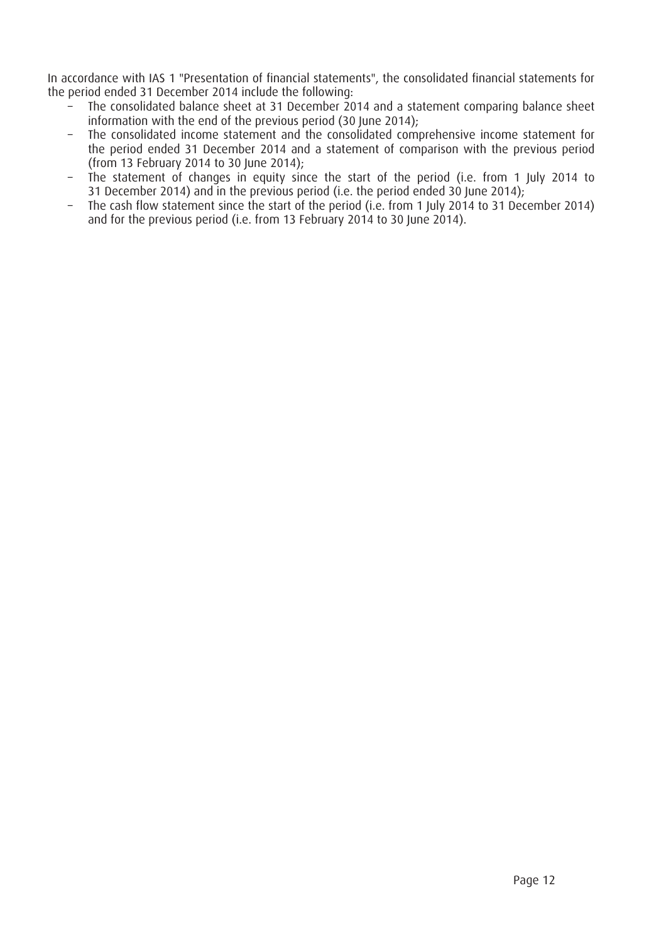In accordance with IAS 1 "Presentation of financial statements", the consolidated financial statements for the period ended 31 December 2014 include the following:

- The consolidated balance sheet at 31 December 2014 and a statement comparing balance sheet information with the end of the previous period (30 June 2014);
- The consolidated income statement and the consolidated comprehensive income statement for the period ended 31 December 2014 and a statement of comparison with the previous period (from 13 February 2014 to 30 June 2014);
- The statement of changes in equity since the start of the period (i.e. from 1 July 2014 to 31 December 2014) and in the previous period (i.e. the period ended 30 June 2014);
- The cash flow statement since the start of the period (i.e. from 1 July 2014 to 31 December 2014) and for the previous period (i.e. from 13 February 2014 to 30 June 2014).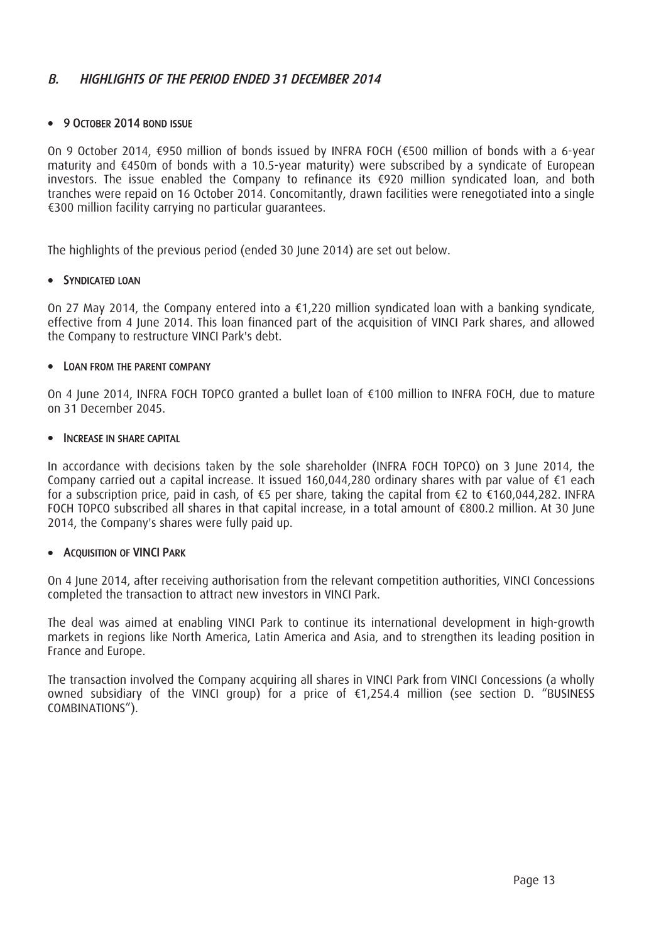# B. HIGHLIGHTS OF THE PERIOD ENDED 31 DECEMBER 2014

#### • 9 OCTOBER 2014 BOND ISSUE

On 9 October 2014,  $\epsilon$ 950 million of bonds issued by INFRA FOCH ( $\epsilon$ 500 million of bonds with a 6-year maturity and  $\epsilon$ 450m of bonds with a 10.5-year maturity) were subscribed by a syndicate of European investors. The issue enabled the Company to refinance its  $\epsilon$ 920 million syndicated loan, and both tranches were repaid on 16 October 2014. Concomitantly, drawn facilities were renegotiated into a single €300 million facility carrying no particular guarantees.

The highlights of the previous period (ended 30 June 2014) are set out below.

#### **• SYNDICATED LOAN**

On 27 May 2014, the Company entered into a  $£1,220$  million syndicated loan with a banking syndicate, effective from 4 June 2014. This loan financed part of the acquisition of VINCI Park shares, and allowed the Company to restructure VINCI Park's debt.

#### • LOAN FROM THE PARENT COMPANY

On 4 June 2014, INFRA FOCH TOPCO granted a bullet loan of €100 million to INFRA FOCH, due to mature on 31 December 2045.

#### INCREASE IN SHARE CAPITAL

In accordance with decisions taken by the sole shareholder (INFRA FOCH TOPCO) on 3 June 2014, the Company carried out a capital increase. It issued 160,044,280 ordinary shares with par value of  $\epsilon$ 1 each for a subscription price, paid in cash, of  $\epsilon$ 5 per share, taking the capital from  $\epsilon$ 2 to  $\epsilon$ 160,044,282. INFRA FOCH TOPCO subscribed all shares in that capital increase, in a total amount of €800.2 million. At 30 June 2014, the Company's shares were fully paid up.

#### **• ACQUISITION OF VINCI PARK**

On 4 June 2014, after receiving authorisation from the relevant competition authorities, VINCI Concessions completed the transaction to attract new investors in VINCI Park.

The deal was aimed at enabling VINCI Park to continue its international development in high-growth markets in regions like North America, Latin America and Asia, and to strengthen its leading position in France and Europe.

The transaction involved the Company acquiring all shares in VINCI Park from VINCI Concessions (a wholly owned subsidiary of the VINCI group) for a price of  $£1,254.4$  million (see section D. "BUSINESS COMBINATIONS").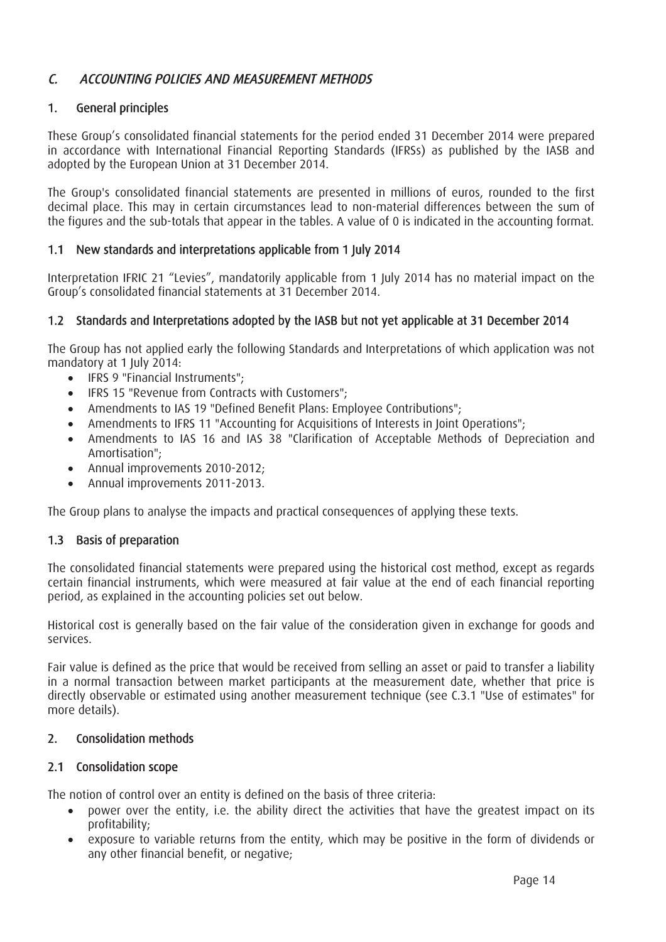# C. ACCOUNTING POLICIES AND MEASUREMENT METHODS

# 1. General principles

These Group's consolidated financial statements for the period ended 31 December 2014 were prepared in accordance with International Financial Reporting Standards (IFRSs) as published by the IASB and adopted by the European Union at 31 December 2014.

The Group's consolidated financial statements are presented in millions of euros, rounded to the first decimal place. This may in certain circumstances lead to non-material differences between the sum of the figures and the sub-totals that appear in the tables. A value of 0 is indicated in the accounting format.

## 1.1 New standards and interpretations applicable from 1 July 2014

Interpretation IFRIC 21 "Levies", mandatorily applicable from 1 July 2014 has no material impact on the Group's consolidated financial statements at 31 December 2014.

# 1.2 Standards and Interpretations adopted by the IASB but not yet applicable at 31 December 2014

The Group has not applied early the following Standards and Interpretations of which application was not mandatory at 1 July 2014:

- IFRS 9 "Financial Instruments";
- IFRS 15 "Revenue from Contracts with Customers";
- Amendments to IAS 19 "Defined Benefit Plans: Employee Contributions";
- Amendments to IFRS 11 "Accounting for Acquisitions of Interests in Joint Operations":
- Amendments to IAS 16 and IAS 38 "Clarification of Acceptable Methods of Depreciation and Amortisation";
- Annual improvements 2010-2012;
- Annual improvements 2011-2013.

The Group plans to analyse the impacts and practical consequences of applying these texts.

## 1.3 Basis of preparation

The consolidated financial statements were prepared using the historical cost method, except as regards certain financial instruments, which were measured at fair value at the end of each financial reporting period, as explained in the accounting policies set out below.

Historical cost is generally based on the fair value of the consideration given in exchange for goods and services.

Fair value is defined as the price that would be received from selling an asset or paid to transfer a liability in a normal transaction between market participants at the measurement date, whether that price is directly observable or estimated using another measurement technique (see C.3.1 "Use of estimates" for more details).

## 2. Consolidation methods

#### 2.1 Consolidation scope

The notion of control over an entity is defined on the basis of three criteria:

- power over the entity, i.e. the ability direct the activities that have the greatest impact on its profitability;
- exposure to variable returns from the entity, which may be positive in the form of dividends or any other financial benefit, or negative;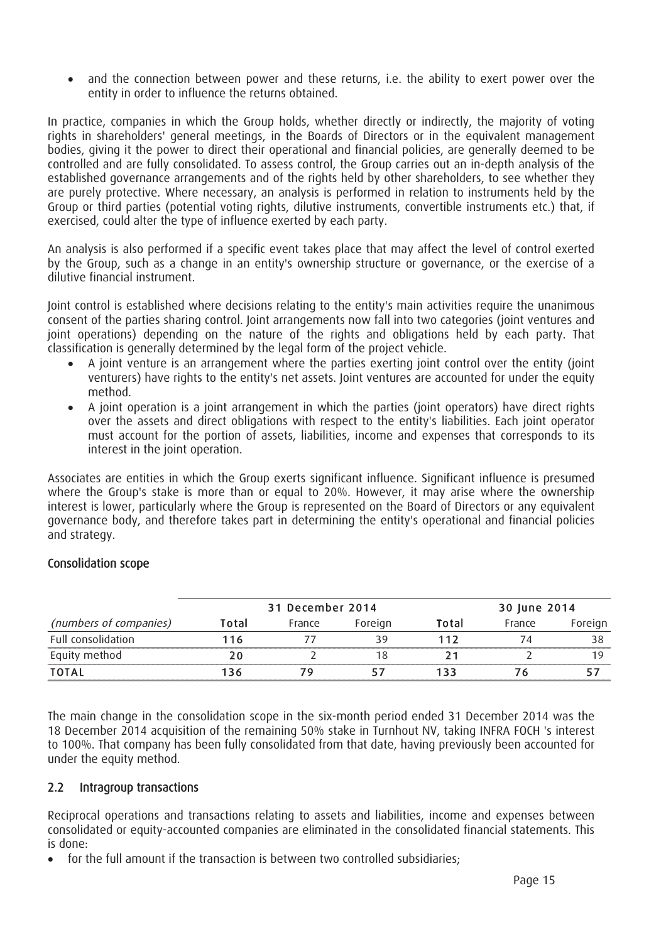and the connection between power and these returns, i.e. the ability to exert power over the entity in order to influence the returns obtained.

In practice, companies in which the Group holds, whether directly or indirectly, the majority of voting rights in shareholders' general meetings, in the Boards of Directors or in the equivalent management bodies, giving it the power to direct their operational and financial policies, are generally deemed to be controlled and are fully consolidated. To assess control, the Group carries out an in-depth analysis of the established governance arrangements and of the rights held by other shareholders, to see whether they are purely protective. Where necessary, an analysis is performed in relation to instruments held by the Group or third parties (potential voting rights, dilutive instruments, convertible instruments etc.) that, if exercised, could alter the type of influence exerted by each party.

An analysis is also performed if a specific event takes place that may affect the level of control exerted by the Group, such as a change in an entity's ownership structure or governance, or the exercise of a dilutive financial instrument.

Joint control is established where decisions relating to the entity's main activities require the unanimous consent of the parties sharing control. Joint arrangements now fall into two categories (joint ventures and joint operations) depending on the nature of the rights and obligations held by each party. That classification is generally determined by the legal form of the project vehicle.

- x A joint venture is an arrangement where the parties exerting joint control over the entity (joint venturers) have rights to the entity's net assets. Joint ventures are accounted for under the equity method.
- A joint operation is a joint arrangement in which the parties (joint operators) have direct rights over the assets and direct obligations with respect to the entity's liabilities. Each joint operator must account for the portion of assets, liabilities, income and expenses that corresponds to its interest in the joint operation.

Associates are entities in which the Group exerts significant influence. Significant influence is presumed where the Group's stake is more than or equal to 20%. However, it may arise where the ownership interest is lower, particularly where the Group is represented on the Board of Directors or any equivalent governance body, and therefore takes part in determining the entity's operational and financial policies and strategy.

## Consolidation scope

|                        |       | 31 December 2014 | 30 June 2014 |              |        |         |
|------------------------|-------|------------------|--------------|--------------|--------|---------|
| (numbers of companies) | Total | France           | Foreian      | <b>Total</b> | France | Foreign |
| Full consolidation     | 116   |                  | 39           | 112          | 74     | 38      |
| Equity method          | 20    |                  | 18           |              |        | 1 Q     |
| <b>TOTAL</b>           | 136   | 79               | 57           | 133          |        | 57      |

The main change in the consolidation scope in the six-month period ended 31 December 2014 was the 18 December 2014 acquisition of the remaining 50% stake in Turnhout NV, taking INFRA FOCH 's interest to 100%. That company has been fully consolidated from that date, having previously been accounted for under the equity method.

## 2.2 Intragroup transactions

Reciprocal operations and transactions relating to assets and liabilities, income and expenses between consolidated or equity-accounted companies are eliminated in the consolidated financial statements. This is done:

for the full amount if the transaction is between two controlled subsidiaries;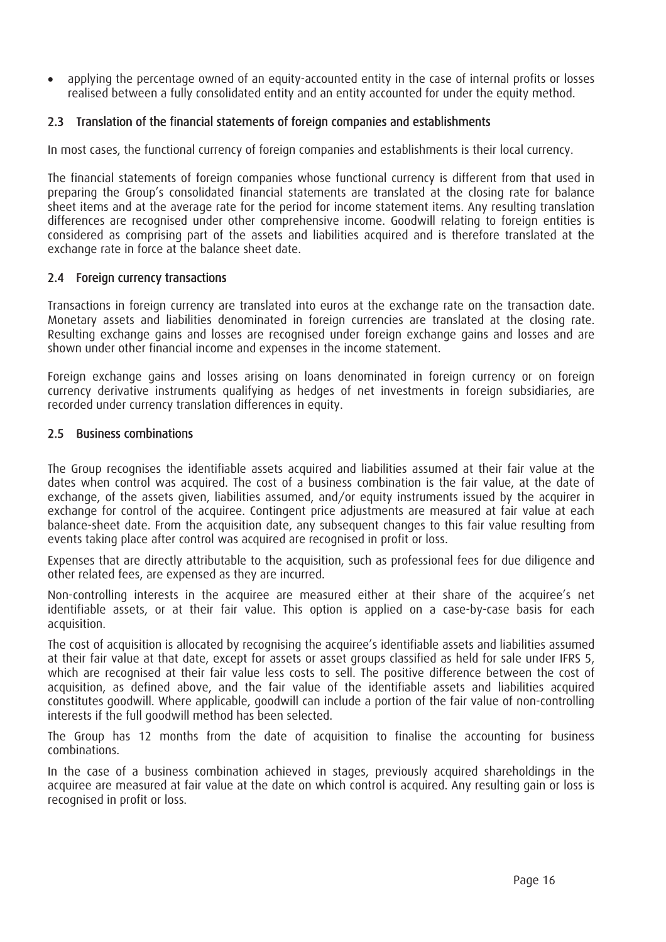• applying the percentage owned of an equity-accounted entity in the case of internal profits or losses realised between a fully consolidated entity and an entity accounted for under the equity method.

### 2.3 Translation of the financial statements of foreign companies and establishments

In most cases, the functional currency of foreign companies and establishments is their local currency.

The financial statements of foreign companies whose functional currency is different from that used in preparing the Group's consolidated financial statements are translated at the closing rate for balance sheet items and at the average rate for the period for income statement items. Any resulting translation differences are recognised under other comprehensive income. Goodwill relating to foreign entities is considered as comprising part of the assets and liabilities acquired and is therefore translated at the exchange rate in force at the balance sheet date.

#### 2.4 Foreign currency transactions

Transactions in foreign currency are translated into euros at the exchange rate on the transaction date. Monetary assets and liabilities denominated in foreign currencies are translated at the closing rate. Resulting exchange gains and losses are recognised under foreign exchange gains and losses and are shown under other financial income and expenses in the income statement.

Foreign exchange gains and losses arising on loans denominated in foreign currency or on foreign currency derivative instruments qualifying as hedges of net investments in foreign subsidiaries, are recorded under currency translation differences in equity.

#### 2.5 Business combinations

The Group recognises the identifiable assets acquired and liabilities assumed at their fair value at the dates when control was acquired. The cost of a business combination is the fair value, at the date of exchange, of the assets given, liabilities assumed, and/or equity instruments issued by the acquirer in exchange for control of the acquiree. Contingent price adjustments are measured at fair value at each balance-sheet date. From the acquisition date, any subsequent changes to this fair value resulting from events taking place after control was acquired are recognised in profit or loss.

Expenses that are directly attributable to the acquisition, such as professional fees for due diligence and other related fees, are expensed as they are incurred.

Non-controlling interests in the acquiree are measured either at their share of the acquiree's net identifiable assets, or at their fair value. This option is applied on a case-by-case basis for each acquisition.

The cost of acquisition is allocated by recognising the acquiree's identifiable assets and liabilities assumed at their fair value at that date, except for assets or asset groups classified as held for sale under IFRS 5, which are recognised at their fair value less costs to sell. The positive difference between the cost of acquisition, as defined above, and the fair value of the identifiable assets and liabilities acquired constitutes goodwill. Where applicable, goodwill can include a portion of the fair value of non-controlling interests if the full goodwill method has been selected.

The Group has 12 months from the date of acquisition to finalise the accounting for business combinations.

In the case of a business combination achieved in stages, previously acquired shareholdings in the acquiree are measured at fair value at the date on which control is acquired. Any resulting gain or loss is recognised in profit or loss.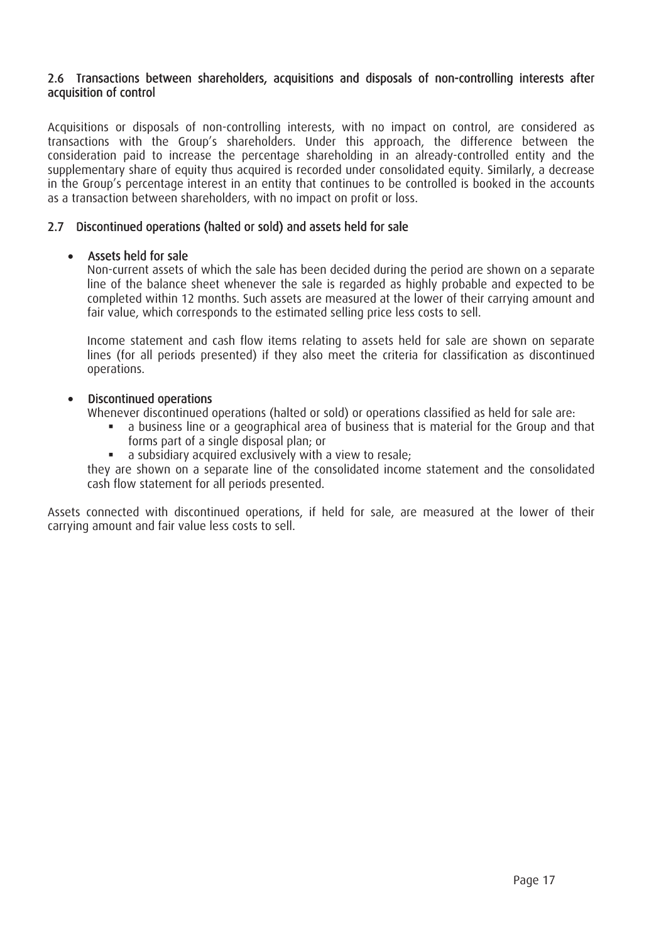#### 2.6 Transactions between shareholders, acquisitions and disposals of non-controlling interests after acquisition of control

Acquisitions or disposals of non-controlling interests, with no impact on control, are considered as transactions with the Group's shareholders. Under this approach, the difference between the consideration paid to increase the percentage shareholding in an already-controlled entity and the supplementary share of equity thus acquired is recorded under consolidated equity. Similarly, a decrease in the Group's percentage interest in an entity that continues to be controlled is booked in the accounts as a transaction between shareholders, with no impact on profit or loss.

## 2.7 Discontinued operations (halted or sold) and assets held for sale

#### • Assets held for sale

Non-current assets of which the sale has been decided during the period are shown on a separate line of the balance sheet whenever the sale is regarded as highly probable and expected to be completed within 12 months. Such assets are measured at the lower of their carrying amount and fair value, which corresponds to the estimated selling price less costs to sell.

Income statement and cash flow items relating to assets held for sale are shown on separate lines (for all periods presented) if they also meet the criteria for classification as discontinued operations.

#### Discontinued operations

Whenever discontinued operations (halted or sold) or operations classified as held for sale are:

- a business line or a geographical area of business that is material for the Group and that forms part of a single disposal plan; or
- a subsidiary acquired exclusively with a view to resale;

they are shown on a separate line of the consolidated income statement and the consolidated cash flow statement for all periods presented.

Assets connected with discontinued operations, if held for sale, are measured at the lower of their carrying amount and fair value less costs to sell.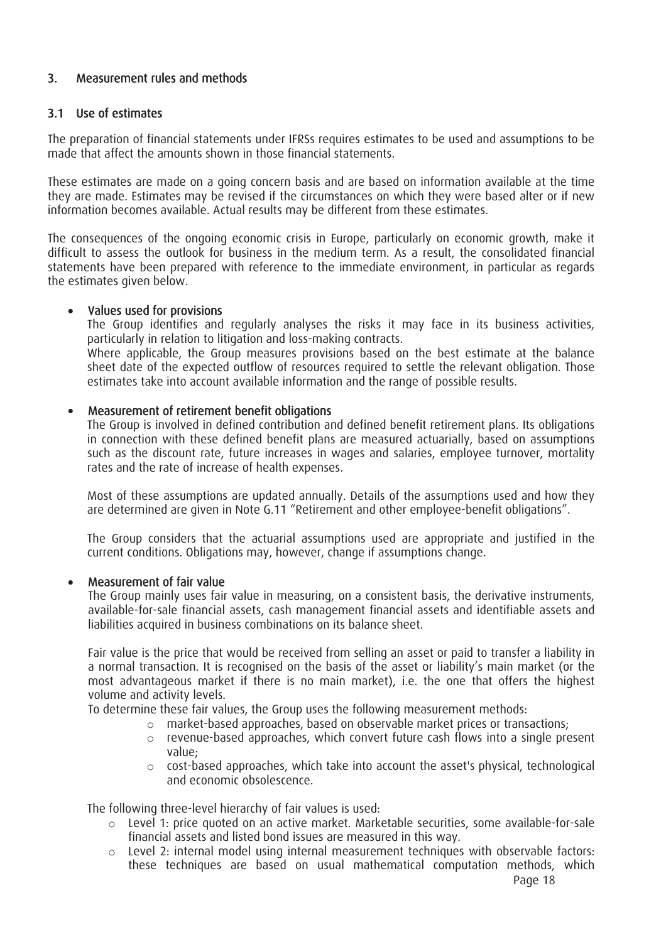# 3. Measurement rules and methods

#### 3.1 Use of estimates

The preparation of financial statements under IFRSs requires estimates to be used and assumptions to be made that affect the amounts shown in those financial statements.

These estimates are made on a going concern basis and are based on information available at the time they are made. Estimates may be revised if the circumstances on which they were based alter or if new information becomes available. Actual results may be different from these estimates.

The consequences of the ongoing economic crisis in Europe, particularly on economic growth, make it difficult to assess the outlook for business in the medium term. As a result, the consolidated financial statements have been prepared with reference to the immediate environment, in particular as regards the estimates given below.

#### x Values used for provisions

The Group identifies and regularly analyses the risks it may face in its business activities, particularly in relation to litigation and loss-making contracts.

Where applicable, the Group measures provisions based on the best estimate at the balance sheet date of the expected outflow of resources required to settle the relevant obligation. Those estimates take into account available information and the range of possible results.

#### • Measurement of retirement benefit obligations

The Group is involved in defined contribution and defined benefit retirement plans. Its obligations in connection with these defined benefit plans are measured actuarially, based on assumptions such as the discount rate, future increases in wages and salaries, employee turnover, mortality rates and the rate of increase of health expenses.

Most of these assumptions are updated annually. Details of the assumptions used and how they are determined are given in Note G.11 "Retirement and other employee-benefit obligations".

The Group considers that the actuarial assumptions used are appropriate and justified in the current conditions. Obligations may, however, change if assumptions change.

#### x Measurement of fair value

The Group mainly uses fair value in measuring, on a consistent basis, the derivative instruments, available-for-sale financial assets, cash management financial assets and identifiable assets and liabilities acquired in business combinations on its balance sheet.

Fair value is the price that would be received from selling an asset or paid to transfer a liability in a normal transaction. It is recognised on the basis of the asset or liability's main market (or the most advantageous market if there is no main market), i.e. the one that offers the highest volume and activity levels.

To determine these fair values, the Group uses the following measurement methods:

- o market-based approaches, based on observable market prices or transactions;
- $\circ$  revenue-based approaches, which convert future cash flows into a single present value;
- $\circ$  cost-based approaches, which take into account the asset's physical, technological and economic obsolescence.

The following three-level hierarchy of fair values is used:

- o Level 1: price quoted on an active market. Marketable securities, some available-for-sale financial assets and listed bond issues are measured in this way.
- $\circ$  Level 2: internal model using internal measurement techniques with observable factors: these techniques are based on usual mathematical computation methods, which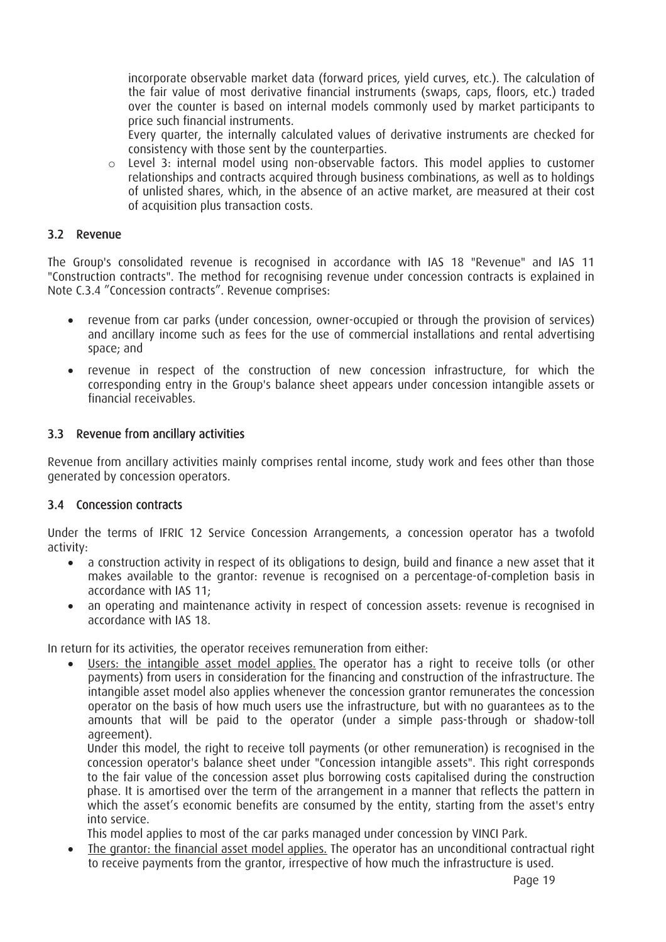incorporate observable market data (forward prices, yield curves, etc.). The calculation of the fair value of most derivative financial instruments (swaps, caps, floors, etc.) traded over the counter is based on internal models commonly used by market participants to price such financial instruments.

Every quarter, the internally calculated values of derivative instruments are checked for consistency with those sent by the counterparties.

 $\circ$  Level 3: internal model using non-observable factors. This model applies to customer relationships and contracts acquired through business combinations, as well as to holdings of unlisted shares, which, in the absence of an active market, are measured at their cost of acquisition plus transaction costs.

### 3.2 Revenue

The Group's consolidated revenue is recognised in accordance with IAS 18 "Revenue" and IAS 11 "Construction contracts". The method for recognising revenue under concession contracts is explained in Note C.3.4 "Concession contracts". Revenue comprises:

- revenue from car parks (under concession, owner-occupied or through the provision of services) and ancillary income such as fees for the use of commercial installations and rental advertising space; and
- revenue in respect of the construction of new concession infrastructure, for which the corresponding entry in the Group's balance sheet appears under concession intangible assets or financial receivables.

#### 3.3 Revenue from ancillary activities

Revenue from ancillary activities mainly comprises rental income, study work and fees other than those generated by concession operators.

#### 3.4 Concession contracts

Under the terms of IFRIC 12 Service Concession Arrangements, a concession operator has a twofold activity:

- a construction activity in respect of its obligations to design, build and finance a new asset that it makes available to the grantor: revenue is recognised on a percentage-of-completion basis in accordance with IAS 11;
- an operating and maintenance activity in respect of concession assets: revenue is recognised in accordance with IAS 18.

In return for its activities, the operator receives remuneration from either:

Users: the intangible asset model applies. The operator has a right to receive tolls (or other payments) from users in consideration for the financing and construction of the infrastructure. The intangible asset model also applies whenever the concession grantor remunerates the concession operator on the basis of how much users use the infrastructure, but with no guarantees as to the amounts that will be paid to the operator (under a simple pass-through or shadow-toll agreement).

Under this model, the right to receive toll payments (or other remuneration) is recognised in the concession operator's balance sheet under "Concession intangible assets". This right corresponds to the fair value of the concession asset plus borrowing costs capitalised during the construction phase. It is amortised over the term of the arrangement in a manner that reflects the pattern in which the asset's economic benefits are consumed by the entity, starting from the asset's entry into service.

This model applies to most of the car parks managed under concession by VINCI Park.

The grantor: the financial asset model applies. The operator has an unconditional contractual right to receive payments from the grantor, irrespective of how much the infrastructure is used.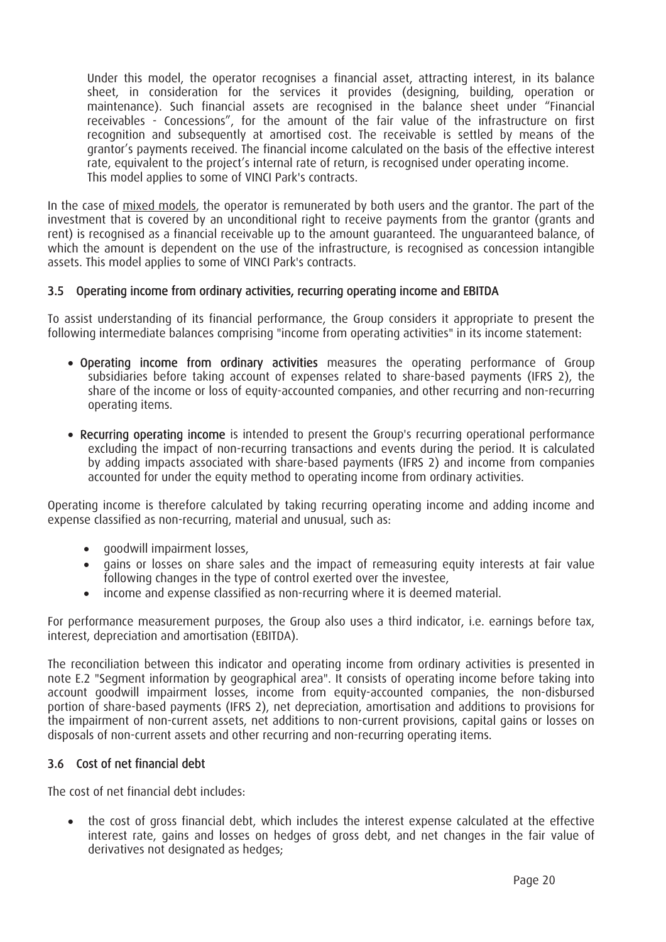Under this model, the operator recognises a financial asset, attracting interest, in its balance sheet, in consideration for the services it provides (designing, building, operation or maintenance). Such financial assets are recognised in the balance sheet under "Financial receivables - Concessions", for the amount of the fair value of the infrastructure on first recognition and subsequently at amortised cost. The receivable is settled by means of the grantor's payments received. The financial income calculated on the basis of the effective interest rate, equivalent to the project's internal rate of return, is recognised under operating income. This model applies to some of VINCI Park's contracts.

In the case of mixed models, the operator is remunerated by both users and the grantor. The part of the investment that is covered by an unconditional right to receive payments from the grantor (grants and rent) is recognised as a financial receivable up to the amount guaranteed. The unguaranteed balance, of which the amount is dependent on the use of the infrastructure, is recognised as concession intangible assets. This model applies to some of VINCI Park's contracts.

# 3.5 Operating income from ordinary activities, recurring operating income and EBITDA

To assist understanding of its financial performance, the Group considers it appropriate to present the following intermediate balances comprising "income from operating activities" in its income statement:

- Operating income from ordinary activities measures the operating performance of Group subsidiaries before taking account of expenses related to share-based payments (IFRS 2), the share of the income or loss of equity-accounted companies, and other recurring and non-recurring operating items.
- Recurring operating income is intended to present the Group's recurring operational performance excluding the impact of non-recurring transactions and events during the period. It is calculated by adding impacts associated with share-based payments (IFRS 2) and income from companies accounted for under the equity method to operating income from ordinary activities.

Operating income is therefore calculated by taking recurring operating income and adding income and expense classified as non-recurring, material and unusual, such as:

- goodwill impairment losses,
- gains or losses on share sales and the impact of remeasuring equity interests at fair value following changes in the type of control exerted over the investee,
- income and expense classified as non-recurring where it is deemed material.

For performance measurement purposes, the Group also uses a third indicator, i.e. earnings before tax, interest, depreciation and amortisation (EBITDA).

The reconciliation between this indicator and operating income from ordinary activities is presented in note E.2 "Segment information by geographical area". It consists of operating income before taking into account goodwill impairment losses, income from equity-accounted companies, the non-disbursed portion of share-based payments (IFRS 2), net depreciation, amortisation and additions to provisions for the impairment of non-current assets, net additions to non-current provisions, capital gains or losses on disposals of non-current assets and other recurring and non-recurring operating items.

# 3.6 Cost of net financial debt

The cost of net financial debt includes:

• the cost of gross financial debt, which includes the interest expense calculated at the effective interest rate, gains and losses on hedges of gross debt, and net changes in the fair value of derivatives not designated as hedges;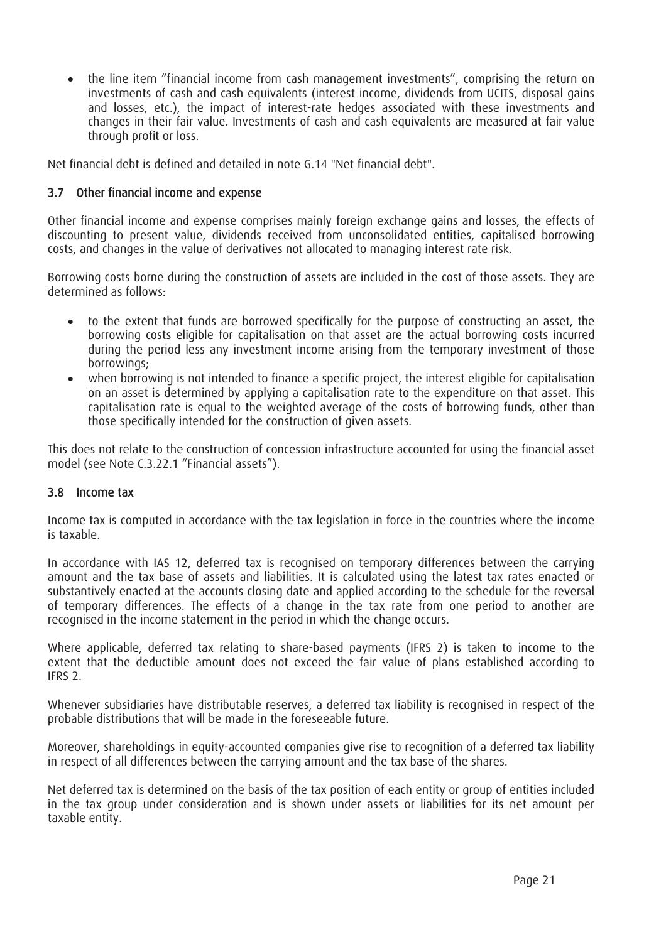x the line item "financial income from cash management investments", comprising the return on investments of cash and cash equivalents (interest income, dividends from UCITS, disposal gains and losses, etc.), the impact of interest-rate hedges associated with these investments and changes in their fair value. Investments of cash and cash equivalents are measured at fair value through profit or loss.

Net financial debt is defined and detailed in note G.14 "Net financial debt".

### 3.7 Other financial income and expense

Other financial income and expense comprises mainly foreign exchange gains and losses, the effects of discounting to present value, dividends received from unconsolidated entities, capitalised borrowing costs, and changes in the value of derivatives not allocated to managing interest rate risk.

Borrowing costs borne during the construction of assets are included in the cost of those assets. They are determined as follows:

- to the extent that funds are borrowed specifically for the purpose of constructing an asset, the borrowing costs eligible for capitalisation on that asset are the actual borrowing costs incurred during the period less any investment income arising from the temporary investment of those borrowings;
- x when borrowing is not intended to finance a specific project, the interest eligible for capitalisation on an asset is determined by applying a capitalisation rate to the expenditure on that asset. This capitalisation rate is equal to the weighted average of the costs of borrowing funds, other than those specifically intended for the construction of given assets.

This does not relate to the construction of concession infrastructure accounted for using the financial asset model (see Note C.3.22.1 "Financial assets").

#### 3.8 Income tax

Income tax is computed in accordance with the tax legislation in force in the countries where the income is taxable.

In accordance with IAS 12, deferred tax is recognised on temporary differences between the carrying amount and the tax base of assets and liabilities. It is calculated using the latest tax rates enacted or substantively enacted at the accounts closing date and applied according to the schedule for the reversal of temporary differences. The effects of a change in the tax rate from one period to another are recognised in the income statement in the period in which the change occurs.

Where applicable, deferred tax relating to share-based payments (IFRS 2) is taken to income to the extent that the deductible amount does not exceed the fair value of plans established according to IFRS 2.

Whenever subsidiaries have distributable reserves, a deferred tax liability is recognised in respect of the probable distributions that will be made in the foreseeable future.

Moreover, shareholdings in equity-accounted companies give rise to recognition of a deferred tax liability in respect of all differences between the carrying amount and the tax base of the shares.

Net deferred tax is determined on the basis of the tax position of each entity or group of entities included in the tax group under consideration and is shown under assets or liabilities for its net amount per taxable entity.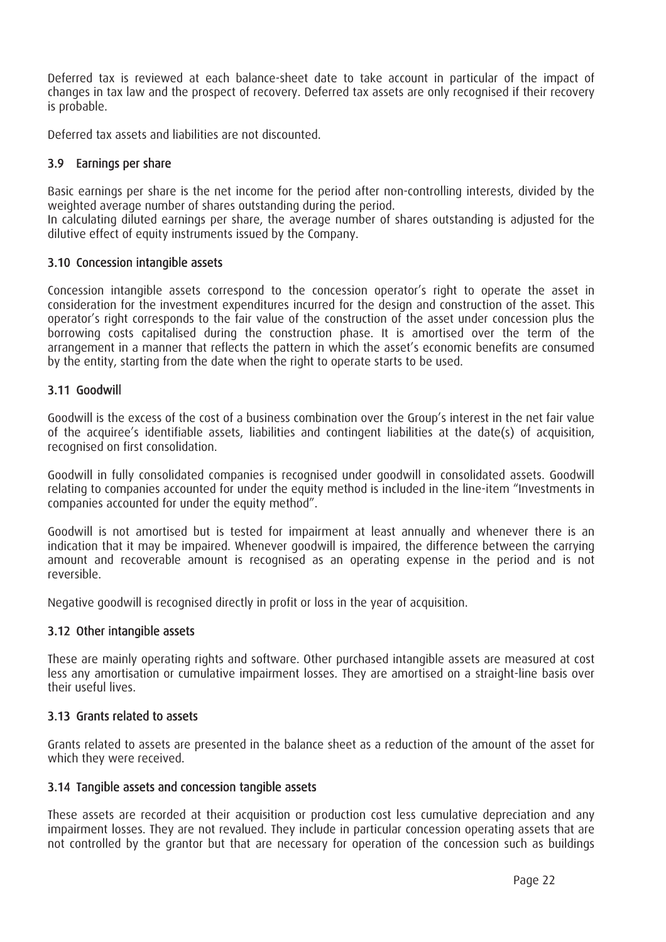Deferred tax is reviewed at each balance-sheet date to take account in particular of the impact of changes in tax law and the prospect of recovery. Deferred tax assets are only recognised if their recovery is probable.

Deferred tax assets and liabilities are not discounted.

## 3.9 Earnings per share

Basic earnings per share is the net income for the period after non-controlling interests, divided by the weighted average number of shares outstanding during the period.

In calculating diluted earnings per share, the average number of shares outstanding is adjusted for the dilutive effect of equity instruments issued by the Company.

## 3.10 Concession intangible assets

Concession intangible assets correspond to the concession operator's right to operate the asset in consideration for the investment expenditures incurred for the design and construction of the asset. This operator's right corresponds to the fair value of the construction of the asset under concession plus the borrowing costs capitalised during the construction phase. It is amortised over the term of the arrangement in a manner that reflects the pattern in which the asset's economic benefits are consumed by the entity, starting from the date when the right to operate starts to be used.

## 3.11 Goodwill

Goodwill is the excess of the cost of a business combination over the Group's interest in the net fair value of the acquiree's identifiable assets, liabilities and contingent liabilities at the date(s) of acquisition, recognised on first consolidation.

Goodwill in fully consolidated companies is recognised under goodwill in consolidated assets. Goodwill relating to companies accounted for under the equity method is included in the line-item "Investments in companies accounted for under the equity method".

Goodwill is not amortised but is tested for impairment at least annually and whenever there is an indication that it may be impaired. Whenever goodwill is impaired, the difference between the carrying amount and recoverable amount is recognised as an operating expense in the period and is not reversible.

Negative goodwill is recognised directly in profit or loss in the year of acquisition.

## 3.12 Other intangible assets

These are mainly operating rights and software. Other purchased intangible assets are measured at cost less any amortisation or cumulative impairment losses. They are amortised on a straight-line basis over their useful lives.

## 3.13 Grants related to assets

Grants related to assets are presented in the balance sheet as a reduction of the amount of the asset for which they were received.

#### 3.14 Tangible assets and concession tangible assets

These assets are recorded at their acquisition or production cost less cumulative depreciation and any impairment losses. They are not revalued. They include in particular concession operating assets that are not controlled by the grantor but that are necessary for operation of the concession such as buildings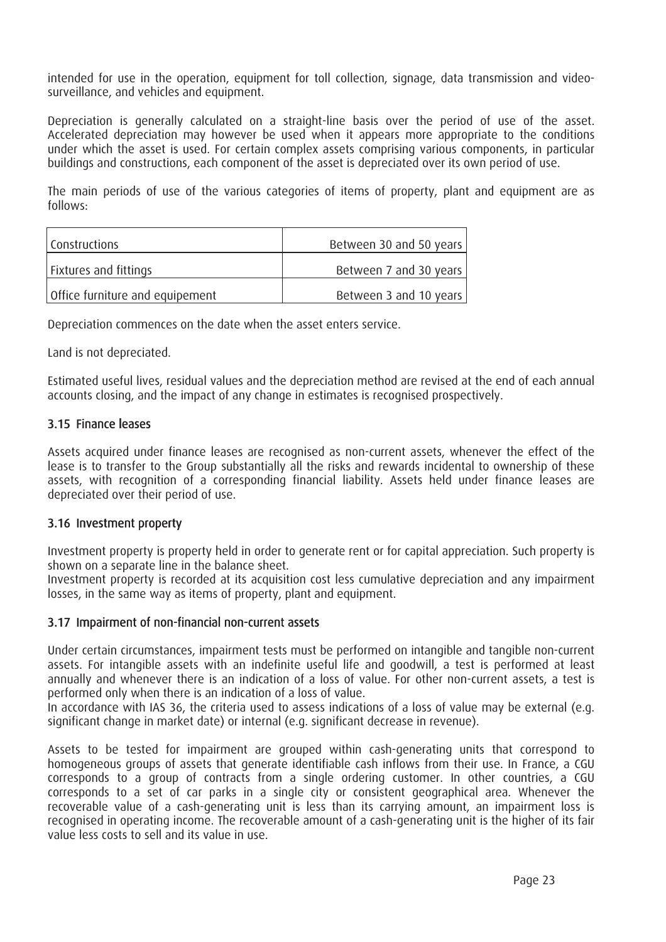intended for use in the operation, equipment for toll collection, signage, data transmission and videosurveillance, and vehicles and equipment.

Depreciation is generally calculated on a straight-line basis over the period of use of the asset. Accelerated depreciation may however be used when it appears more appropriate to the conditions under which the asset is used. For certain complex assets comprising various components, in particular buildings and constructions, each component of the asset is depreciated over its own period of use.

The main periods of use of the various categories of items of property, plant and equipment are as follows:

| Constructions                   | Between 30 and 50 years |
|---------------------------------|-------------------------|
| <b>Fixtures and fittings</b>    | Between 7 and 30 years  |
| Office furniture and equipement | Between 3 and 10 years  |

Depreciation commences on the date when the asset enters service.

Land is not depreciated.

Estimated useful lives, residual values and the depreciation method are revised at the end of each annual accounts closing, and the impact of any change in estimates is recognised prospectively.

#### 3.15 Finance leases

Assets acquired under finance leases are recognised as non-current assets, whenever the effect of the lease is to transfer to the Group substantially all the risks and rewards incidental to ownership of these assets, with recognition of a corresponding financial liability. Assets held under finance leases are depreciated over their period of use.

#### 3.16 Investment property

Investment property is property held in order to generate rent or for capital appreciation. Such property is shown on a separate line in the balance sheet.

Investment property is recorded at its acquisition cost less cumulative depreciation and any impairment losses, in the same way as items of property, plant and equipment.

#### 3.17 Impairment of non-financial non-current assets

Under certain circumstances, impairment tests must be performed on intangible and tangible non-current assets. For intangible assets with an indefinite useful life and goodwill, a test is performed at least annually and whenever there is an indication of a loss of value. For other non-current assets, a test is performed only when there is an indication of a loss of value.

In accordance with IAS 36, the criteria used to assess indications of a loss of value may be external (e.g. significant change in market date) or internal (e.g. significant decrease in revenue).

Assets to be tested for impairment are grouped within cash-generating units that correspond to homogeneous groups of assets that generate identifiable cash inflows from their use. In France, a CGU corresponds to a group of contracts from a single ordering customer. In other countries, a CGU corresponds to a set of car parks in a single city or consistent geographical area. Whenever the recoverable value of a cash-generating unit is less than its carrying amount, an impairment loss is recognised in operating income. The recoverable amount of a cash-generating unit is the higher of its fair value less costs to sell and its value in use.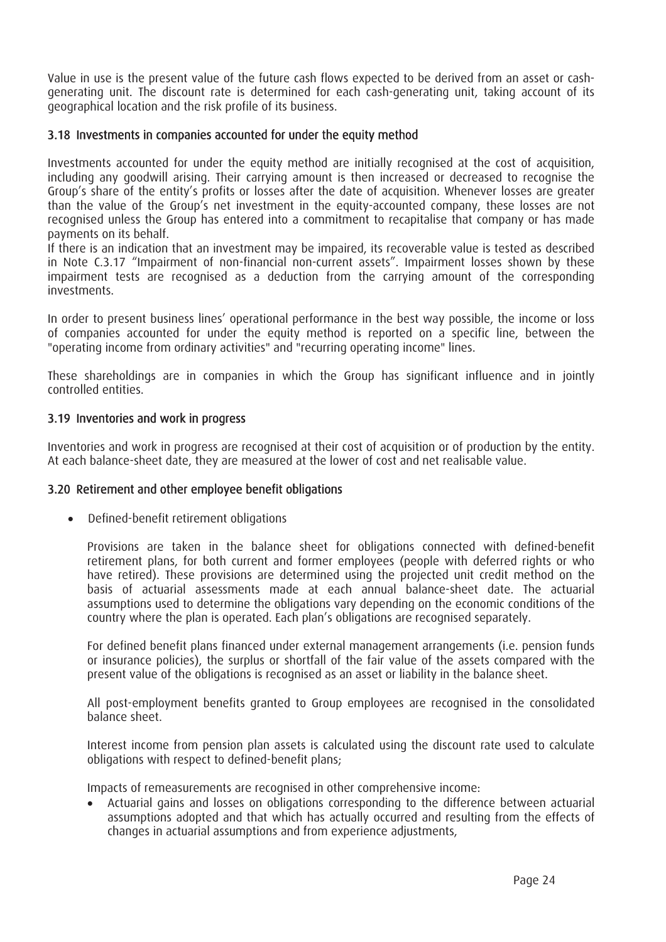Value in use is the present value of the future cash flows expected to be derived from an asset or cashgenerating unit. The discount rate is determined for each cash-generating unit, taking account of its geographical location and the risk profile of its business.

### 3.18 Investments in companies accounted for under the equity method

Investments accounted for under the equity method are initially recognised at the cost of acquisition, including any goodwill arising. Their carrying amount is then increased or decreased to recognise the Group's share of the entity's profits or losses after the date of acquisition. Whenever losses are greater than the value of the Group's net investment in the equity-accounted company, these losses are not recognised unless the Group has entered into a commitment to recapitalise that company or has made payments on its behalf.

If there is an indication that an investment may be impaired, its recoverable value is tested as described in Note C.3.17 "Impairment of non-financial non-current assets". Impairment losses shown by these impairment tests are recognised as a deduction from the carrying amount of the corresponding investments.

In order to present business lines' operational performance in the best way possible, the income or loss of companies accounted for under the equity method is reported on a specific line, between the "operating income from ordinary activities" and "recurring operating income" lines.

These shareholdings are in companies in which the Group has significant influence and in jointly controlled entities.

#### 3.19 Inventories and work in progress

Inventories and work in progress are recognised at their cost of acquisition or of production by the entity. At each balance-sheet date, they are measured at the lower of cost and net realisable value.

#### 3.20 Retirement and other employee benefit obligations

• Defined-benefit retirement obligations

Provisions are taken in the balance sheet for obligations connected with defined-benefit retirement plans, for both current and former employees (people with deferred rights or who have retired). These provisions are determined using the projected unit credit method on the basis of actuarial assessments made at each annual balance-sheet date. The actuarial assumptions used to determine the obligations vary depending on the economic conditions of the country where the plan is operated. Each plan's obligations are recognised separately.

For defined benefit plans financed under external management arrangements (i.e. pension funds or insurance policies), the surplus or shortfall of the fair value of the assets compared with the present value of the obligations is recognised as an asset or liability in the balance sheet.

All post-employment benefits granted to Group employees are recognised in the consolidated balance sheet.

Interest income from pension plan assets is calculated using the discount rate used to calculate obligations with respect to defined-benefit plans;

Impacts of remeasurements are recognised in other comprehensive income:

Actuarial gains and losses on obligations corresponding to the difference between actuarial assumptions adopted and that which has actually occurred and resulting from the effects of changes in actuarial assumptions and from experience adjustments,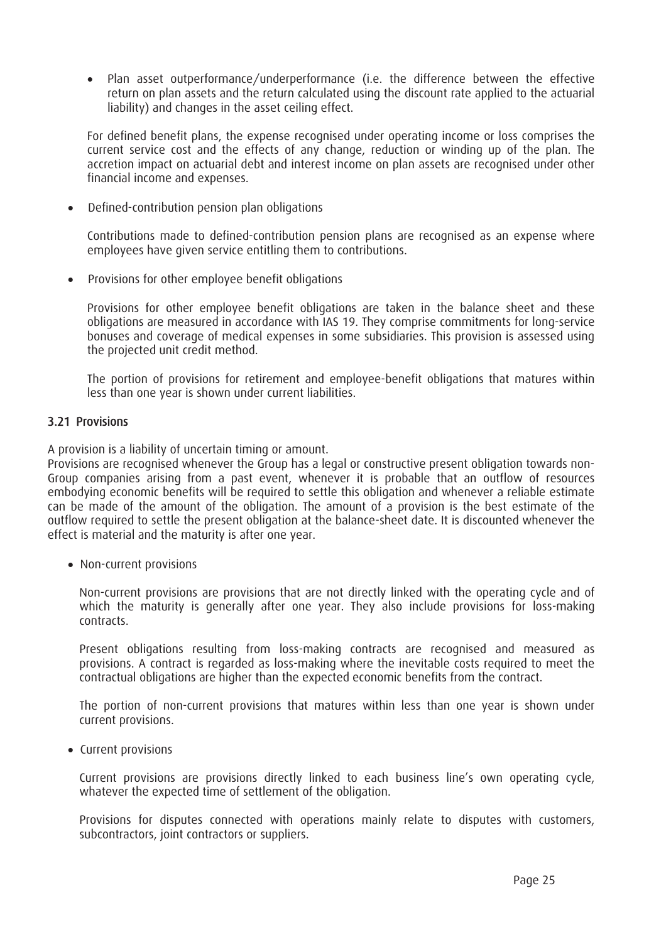x Plan asset outperformance/underperformance (i.e. the difference between the effective return on plan assets and the return calculated using the discount rate applied to the actuarial liability) and changes in the asset ceiling effect.

For defined benefit plans, the expense recognised under operating income or loss comprises the current service cost and the effects of any change, reduction or winding up of the plan. The accretion impact on actuarial debt and interest income on plan assets are recognised under other financial income and expenses.

Defined-contribution pension plan obligations

Contributions made to defined-contribution pension plans are recognised as an expense where employees have given service entitling them to contributions.

x Provisions for other employee benefit obligations

Provisions for other employee benefit obligations are taken in the balance sheet and these obligations are measured in accordance with IAS 19. They comprise commitments for long-service bonuses and coverage of medical expenses in some subsidiaries. This provision is assessed using the projected unit credit method.

The portion of provisions for retirement and employee-benefit obligations that matures within less than one year is shown under current liabilities.

#### 3.21 Provisions

A provision is a liability of uncertain timing or amount.

Provisions are recognised whenever the Group has a legal or constructive present obligation towards non-Group companies arising from a past event, whenever it is probable that an outflow of resources embodying economic benefits will be required to settle this obligation and whenever a reliable estimate can be made of the amount of the obligation. The amount of a provision is the best estimate of the outflow required to settle the present obligation at the balance-sheet date. It is discounted whenever the effect is material and the maturity is after one year.

• Non-current provisions

Non-current provisions are provisions that are not directly linked with the operating cycle and of which the maturity is generally after one year. They also include provisions for loss-making contracts.

Present obligations resulting from loss-making contracts are recognised and measured as provisions. A contract is regarded as loss-making where the inevitable costs required to meet the contractual obligations are higher than the expected economic benefits from the contract.

The portion of non-current provisions that matures within less than one year is shown under current provisions.

• Current provisions

Current provisions are provisions directly linked to each business line's own operating cycle, whatever the expected time of settlement of the obligation.

Provisions for disputes connected with operations mainly relate to disputes with customers, subcontractors, joint contractors or suppliers.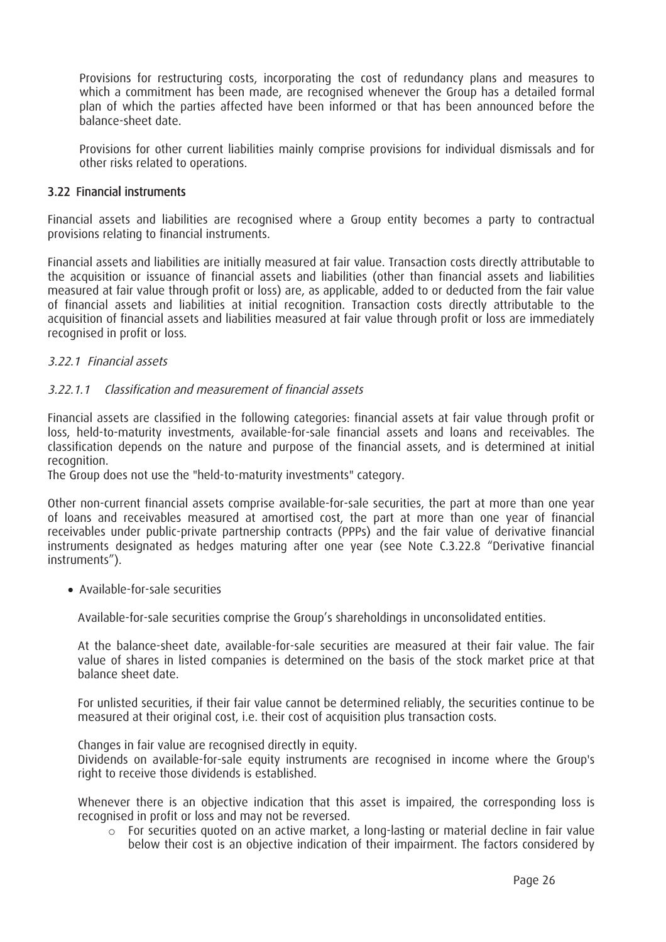Provisions for restructuring costs, incorporating the cost of redundancy plans and measures to which a commitment has been made, are recognised whenever the Group has a detailed formal plan of which the parties affected have been informed or that has been announced before the balance-sheet date.

Provisions for other current liabilities mainly comprise provisions for individual dismissals and for other risks related to operations.

#### 3.22 Financial instruments

Financial assets and liabilities are recognised where a Group entity becomes a party to contractual provisions relating to financial instruments.

Financial assets and liabilities are initially measured at fair value. Transaction costs directly attributable to the acquisition or issuance of financial assets and liabilities (other than financial assets and liabilities measured at fair value through profit or loss) are, as applicable, added to or deducted from the fair value of financial assets and liabilities at initial recognition. Transaction costs directly attributable to the acquisition of financial assets and liabilities measured at fair value through profit or loss are immediately recognised in profit or loss.

#### 3.22.1 Financial assets

#### 3.22.1.1 Classification and measurement of financial assets

Financial assets are classified in the following categories: financial assets at fair value through profit or loss, held-to-maturity investments, available-for-sale financial assets and loans and receivables. The classification depends on the nature and purpose of the financial assets, and is determined at initial recognition.

The Group does not use the "held-to-maturity investments" category.

Other non-current financial assets comprise available-for-sale securities, the part at more than one year of loans and receivables measured at amortised cost, the part at more than one year of financial receivables under public-private partnership contracts (PPPs) and the fair value of derivative financial instruments designated as hedges maturing after one year (see Note C.3.22.8 "Derivative financial instruments").

• Available-for-sale securities

Available-for-sale securities comprise the Group's shareholdings in unconsolidated entities.

At the balance-sheet date, available-for-sale securities are measured at their fair value. The fair value of shares in listed companies is determined on the basis of the stock market price at that balance sheet date.

For unlisted securities, if their fair value cannot be determined reliably, the securities continue to be measured at their original cost, i.e. their cost of acquisition plus transaction costs.

Changes in fair value are recognised directly in equity.

Dividends on available-for-sale equity instruments are recognised in income where the Group's right to receive those dividends is established.

Whenever there is an objective indication that this asset is impaired, the corresponding loss is recognised in profit or loss and may not be reversed.

 $\circ$  For securities quoted on an active market, a long-lasting or material decline in fair value below their cost is an objective indication of their impairment. The factors considered by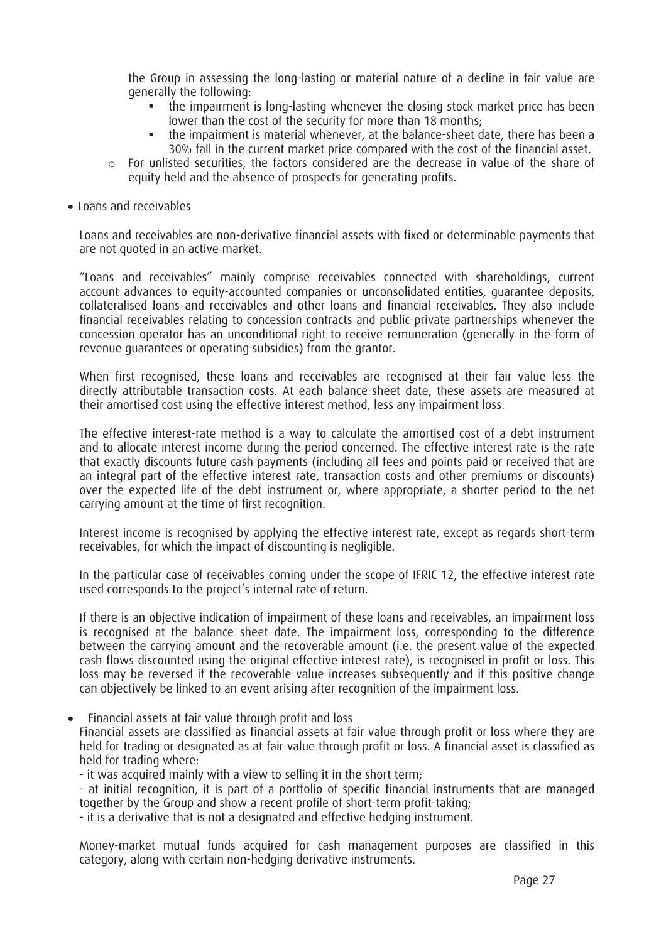the Group in assessing the long-lasting or material nature of a decline in fair value are generally the following:

- $\blacksquare$  the impairment is long-lasting whenever the closing stock market price has been lower than the cost of the security for more than 18 months;
- the impairment is material whenever, at the balance-sheet date, there has been a 30% fall in the current market price compared with the cost of the financial asset.
- $\circ$  For unlisted securities, the factors considered are the decrease in value of the share of equity held and the absence of prospects for generating profits.
- Loans and receivables

Loans and receivables are non-derivative financial assets with fixed or determinable payments that are not quoted in an active market.

"Loans and receivables" mainly comprise receivables connected with shareholdings, current account advances to equity-accounted companies or unconsolidated entities, guarantee deposits, collateralised loans and receivables and other loans and financial receivables. They also include financial receivables relating to concession contracts and public-private partnerships whenever the concession operator has an unconditional right to receive remuneration (generally in the form of revenue guarantees or operating subsidies) from the grantor.

When first recognised, these loans and receivables are recognised at their fair value less the directly attributable transaction costs. At each balance-sheet date, these assets are measured at their amortised cost using the effective interest method, less any impairment loss.

The effective interest-rate method is a way to calculate the amortised cost of a debt instrument and to allocate interest income during the period concerned. The effective interest rate is the rate that exactly discounts future cash payments (including all fees and points paid or received that are an integral part of the effective interest rate, transaction costs and other premiums or discounts) over the expected life of the debt instrument or, where appropriate, a shorter period to the net carrying amount at the time of first recognition.

Interest income is recognised by applying the effective interest rate, except as regards short-term receivables, for which the impact of discounting is negligible.

In the particular case of receivables coming under the scope of IFRIC 12, the effective interest rate used corresponds to the project's internal rate of return.

If there is an objective indication of impairment of these loans and receivables, an impairment loss is recognised at the balance sheet date. The impairment loss, corresponding to the difference between the carrying amount and the recoverable amount (i.e. the present value of the expected cash flows discounted using the original effective interest rate), is recognised in profit or loss. This loss may be reversed if the recoverable value increases subsequently and if this positive change can objectively be linked to an event arising after recognition of the impairment loss.

x Financial assets at fair value through profit and loss

Financial assets are classified as financial assets at fair value through profit or loss where they are held for trading or designated as at fair value through profit or loss. A financial asset is classified as held for trading where:

- it was acquired mainly with a view to selling it in the short term;

- at initial recognition, it is part of a portfolio of specific financial instruments that are managed together by the Group and show a recent profile of short-term profit-taking;

- it is a derivative that is not a designated and effective hedging instrument.

Money-market mutual funds acquired for cash management purposes are classified in this category, along with certain non-hedging derivative instruments.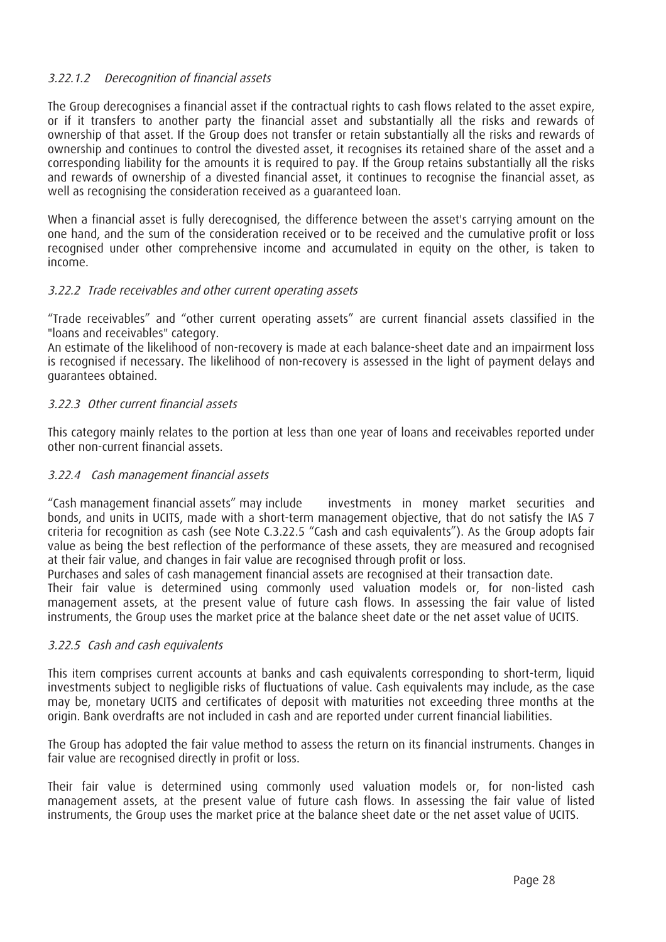### 3.22.1.2 Derecognition of financial assets

The Group derecognises a financial asset if the contractual rights to cash flows related to the asset expire, or if it transfers to another party the financial asset and substantially all the risks and rewards of ownership of that asset. If the Group does not transfer or retain substantially all the risks and rewards of ownership and continues to control the divested asset, it recognises its retained share of the asset and a corresponding liability for the amounts it is required to pay. If the Group retains substantially all the risks and rewards of ownership of a divested financial asset, it continues to recognise the financial asset, as well as recognising the consideration received as a guaranteed loan.

When a financial asset is fully derecognised, the difference between the asset's carrying amount on the one hand, and the sum of the consideration received or to be received and the cumulative profit or loss recognised under other comprehensive income and accumulated in equity on the other, is taken to income.

#### 3.22.2 Trade receivables and other current operating assets

"Trade receivables" and "other current operating assets" are current financial assets classified in the "loans and receivables" category.

An estimate of the likelihood of non-recovery is made at each balance-sheet date and an impairment loss is recognised if necessary. The likelihood of non-recovery is assessed in the light of payment delays and guarantees obtained.

#### 3.22.3 Other current financial assets

This category mainly relates to the portion at less than one year of loans and receivables reported under other non-current financial assets.

#### 3.22.4 Cash management financial assets

"Cash management financial assets" may include investments in money market securities and bonds, and units in UCITS, made with a short-term management objective, that do not satisfy the IAS 7 criteria for recognition as cash (see Note C.3.22.5 "Cash and cash equivalents"). As the Group adopts fair value as being the best reflection of the performance of these assets, they are measured and recognised at their fair value, and changes in fair value are recognised through profit or loss.

Purchases and sales of cash management financial assets are recognised at their transaction date.

Their fair value is determined using commonly used valuation models or, for non-listed cash management assets, at the present value of future cash flows. In assessing the fair value of listed instruments, the Group uses the market price at the balance sheet date or the net asset value of UCITS.

#### 3.22.5 Cash and cash equivalents

This item comprises current accounts at banks and cash equivalents corresponding to short-term, liquid investments subject to negligible risks of fluctuations of value. Cash equivalents may include, as the case may be, monetary UCITS and certificates of deposit with maturities not exceeding three months at the origin. Bank overdrafts are not included in cash and are reported under current financial liabilities.

The Group has adopted the fair value method to assess the return on its financial instruments. Changes in fair value are recognised directly in profit or loss.

Their fair value is determined using commonly used valuation models or, for non-listed cash management assets, at the present value of future cash flows. In assessing the fair value of listed instruments, the Group uses the market price at the balance sheet date or the net asset value of UCITS.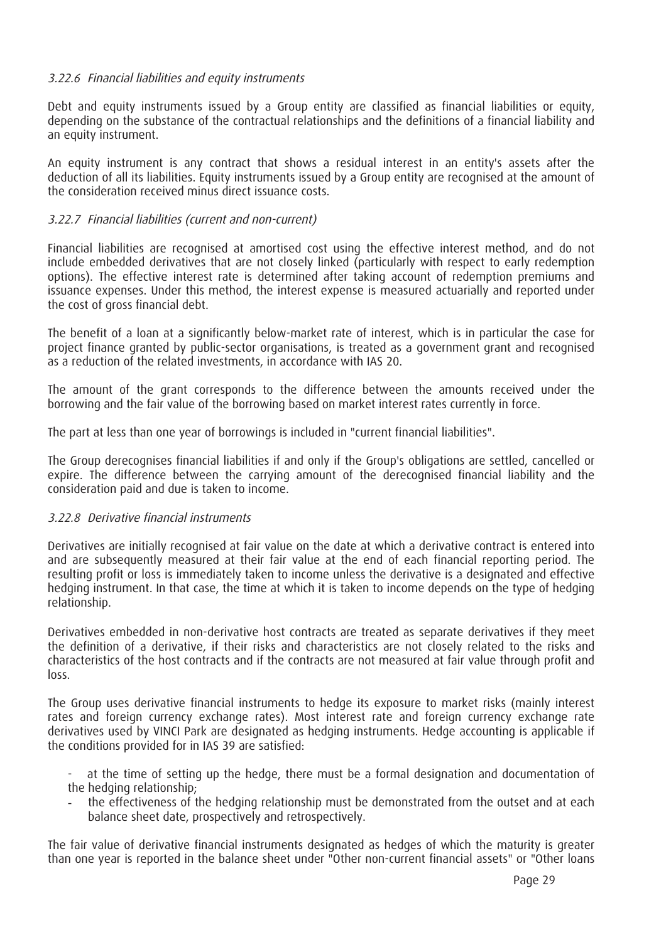#### 3.22.6 Financial liabilities and equity instruments

Debt and equity instruments issued by a Group entity are classified as financial liabilities or equity, depending on the substance of the contractual relationships and the definitions of a financial liability and an equity instrument.

An equity instrument is any contract that shows a residual interest in an entity's assets after the deduction of all its liabilities. Equity instruments issued by a Group entity are recognised at the amount of the consideration received minus direct issuance costs.

#### 3.22.7 Financial liabilities (current and non-current)

Financial liabilities are recognised at amortised cost using the effective interest method, and do not include embedded derivatives that are not closely linked (particularly with respect to early redemption options). The effective interest rate is determined after taking account of redemption premiums and issuance expenses. Under this method, the interest expense is measured actuarially and reported under the cost of gross financial debt.

The benefit of a loan at a significantly below-market rate of interest, which is in particular the case for project finance granted by public-sector organisations, is treated as a government grant and recognised as a reduction of the related investments, in accordance with IAS 20.

The amount of the grant corresponds to the difference between the amounts received under the borrowing and the fair value of the borrowing based on market interest rates currently in force.

The part at less than one year of borrowings is included in "current financial liabilities".

The Group derecognises financial liabilities if and only if the Group's obligations are settled, cancelled or expire. The difference between the carrying amount of the derecognised financial liability and the consideration paid and due is taken to income.

#### 3.22.8 Derivative financial instruments

Derivatives are initially recognised at fair value on the date at which a derivative contract is entered into and are subsequently measured at their fair value at the end of each financial reporting period. The resulting profit or loss is immediately taken to income unless the derivative is a designated and effective hedging instrument. In that case, the time at which it is taken to income depends on the type of hedging relationship.

Derivatives embedded in non-derivative host contracts are treated as separate derivatives if they meet the definition of a derivative, if their risks and characteristics are not closely related to the risks and characteristics of the host contracts and if the contracts are not measured at fair value through profit and loss.

The Group uses derivative financial instruments to hedge its exposure to market risks (mainly interest rates and foreign currency exchange rates). Most interest rate and foreign currency exchange rate derivatives used by VINCI Park are designated as hedging instruments. Hedge accounting is applicable if the conditions provided for in IAS 39 are satisfied:

at the time of setting up the hedge, there must be a formal designation and documentation of the hedging relationship;

the effectiveness of the hedging relationship must be demonstrated from the outset and at each balance sheet date, prospectively and retrospectively.

The fair value of derivative financial instruments designated as hedges of which the maturity is greater than one year is reported in the balance sheet under "Other non-current financial assets" or "Other loans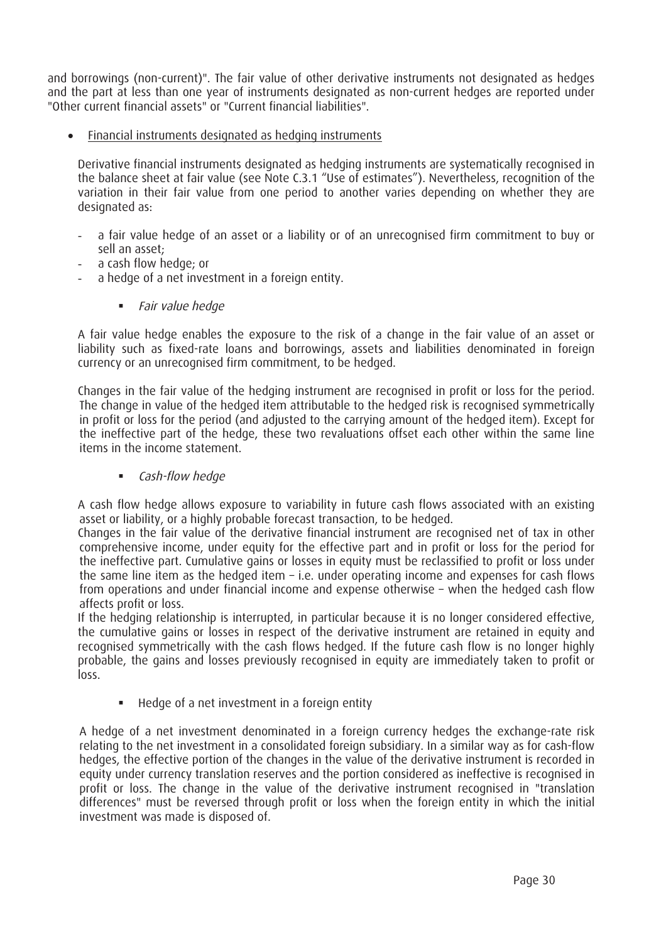and borrowings (non-current)". The fair value of other derivative instruments not designated as hedges and the part at less than one year of instruments designated as non-current hedges are reported under "Other current financial assets" or "Current financial liabilities".

• Financial instruments designated as hedging instruments

Derivative financial instruments designated as hedging instruments are systematically recognised in the balance sheet at fair value (see Note C.3.1 "Use of estimates"). Nevertheless, recognition of the variation in their fair value from one period to another varies depending on whether they are designated as:

- a fair value hedge of an asset or a liability or of an unrecognised firm commitment to buy or sell an asset;
- a cash flow hedge; or
- a hedge of a net investment in a foreign entity.
	- **Fair value hedge**

A fair value hedge enables the exposure to the risk of a change in the fair value of an asset or liability such as fixed-rate loans and borrowings, assets and liabilities denominated in foreign currency or an unrecognised firm commitment, to be hedged.

Changes in the fair value of the hedging instrument are recognised in profit or loss for the period. The change in value of the hedged item attributable to the hedged risk is recognised symmetrically in profit or loss for the period (and adjusted to the carrying amount of the hedged item). Except for the ineffective part of the hedge, these two revaluations offset each other within the same line items in the income statement.

**Example 1** Cash-flow hedge

A cash flow hedge allows exposure to variability in future cash flows associated with an existing asset or liability, or a highly probable forecast transaction, to be hedged.

Changes in the fair value of the derivative financial instrument are recognised net of tax in other comprehensive income, under equity for the effective part and in profit or loss for the period for the ineffective part. Cumulative gains or losses in equity must be reclassified to profit or loss under the same line item as the hedged item – i.e. under operating income and expenses for cash flows from operations and under financial income and expense otherwise – when the hedged cash flow affects profit or loss.

If the hedging relationship is interrupted, in particular because it is no longer considered effective, the cumulative gains or losses in respect of the derivative instrument are retained in equity and recognised symmetrically with the cash flows hedged. If the future cash flow is no longer highly probable, the gains and losses previously recognised in equity are immediately taken to profit or loss.

Hedge of a net investment in a foreign entity

A hedge of a net investment denominated in a foreign currency hedges the exchange-rate risk relating to the net investment in a consolidated foreign subsidiary. In a similar way as for cash-flow hedges, the effective portion of the changes in the value of the derivative instrument is recorded in equity under currency translation reserves and the portion considered as ineffective is recognised in profit or loss. The change in the value of the derivative instrument recognised in "translation differences" must be reversed through profit or loss when the foreign entity in which the initial investment was made is disposed of.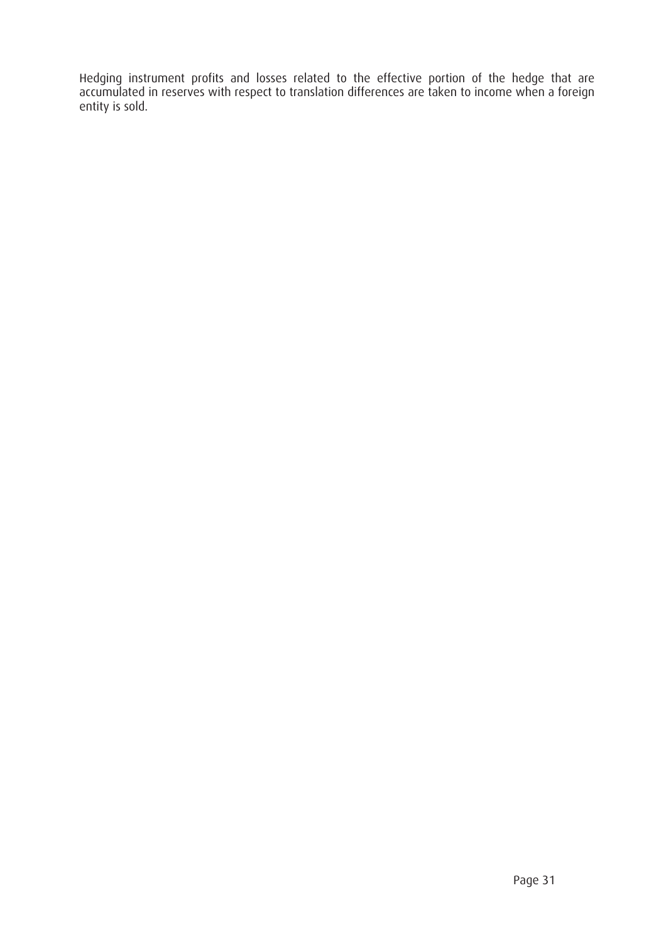Hedging instrument profits and losses related to the effective portion of the hedge that are accumulated in reserves with respect to translation differences are taken to income when a foreign entity is sold.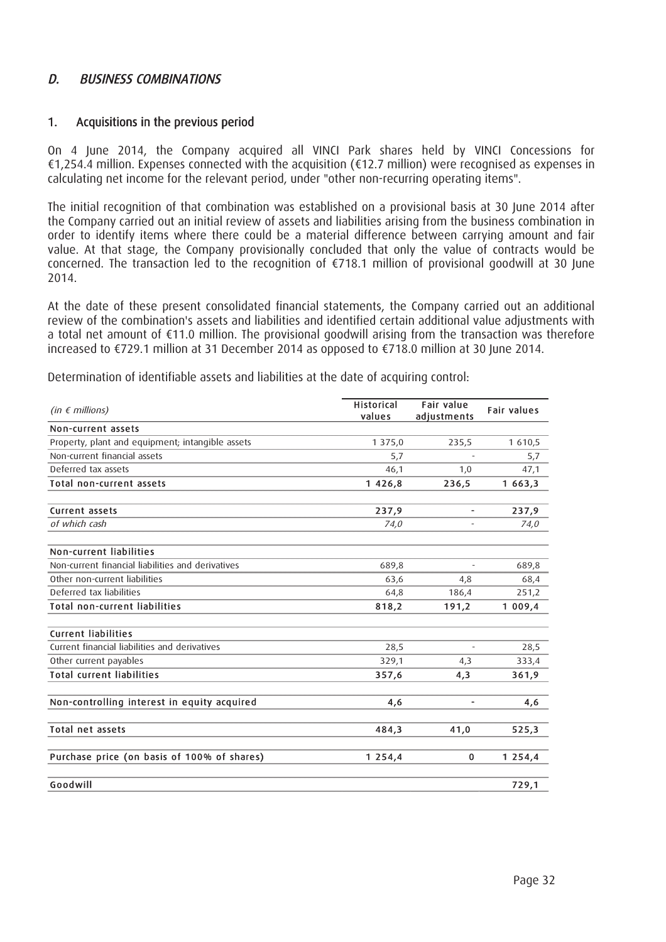# D. BUSINESS COMBINATIONS

#### 1. Acquisitions in the previous period

On 4 June 2014, the Company acquired all VINCI Park shares held by VINCI Concessions for €1,254.4 million. Expenses connected with the acquisition (€12.7 million) were recognised as expenses in calculating net income for the relevant period, under "other non-recurring operating items".

The initial recognition of that combination was established on a provisional basis at 30 June 2014 after the Company carried out an initial review of assets and liabilities arising from the business combination in order to identify items where there could be a material difference between carrying amount and fair value. At that stage, the Company provisionally concluded that only the value of contracts would be concerned. The transaction led to the recognition of  $\epsilon$ 718.1 million of provisional goodwill at 30 June 2014.

At the date of these present consolidated financial statements, the Company carried out an additional review of the combination's assets and liabilities and identified certain additional value adjustments with a total net amount of  $£11.0$  million. The provisional goodwill arising from the transaction was therefore increased to  $E$ 729.1 million at 31 December 2014 as opposed to  $E$ 718.0 million at 30 June 2014.

(in  $\epsilon$  millions) **Historical** values Fair value adjustments Fair values Non-current assets Property, plant and equipment; intangible assets 1 375,0 235,5 1 610,5 Non-current financial assets 5,7 - 5,7 Deferred tax assets  $46,1$   $1,0$   $47,1$ Total non-current assets 1 426,8 236,5 1 663,3 Current assets 237,9 - 237,9 of which cash 74,0 - 74,0 Non-current liabilities Non-current financial liabilities and derivatives 689,8 689,8 689,8 689,8 Other non-current liabilities 63,6 68,4 68,4 Deferred tax liabilities 64,8 186,4 251,2 Total non-current liabilities 818,2 191,2 1 009,4 Current liabilities Current financial liabilities and derivatives 28,5 28,5 28,5 28,5 28,5 28,5 Other current payables 329,1 4,3 333,4 Total current liabilities 357,6 4,3 361,9 Non-controlling interest in equity acquired 4,6 and 4,6 controlling interest in equity acquired 4,6 Total net assets 484,3 41,0 525,3 Purchase price (on basis of 100% of shares)  $1254.4$  0 1254.4 Goodwill 729,1

Determination of identifiable assets and liabilities at the date of acquiring control: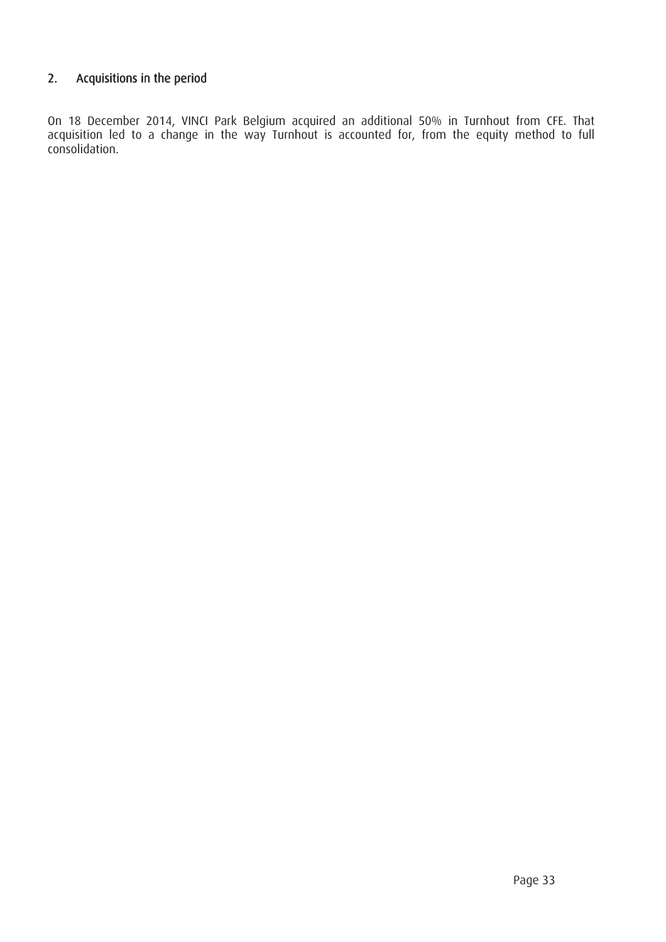# 2. Acquisitions in the period

On 18 December 2014, VINCI Park Belgium acquired an additional 50% in Turnhout from CFE. That acquisition led to a change in the way Turnhout is accounted for, from the equity method to full consolidation.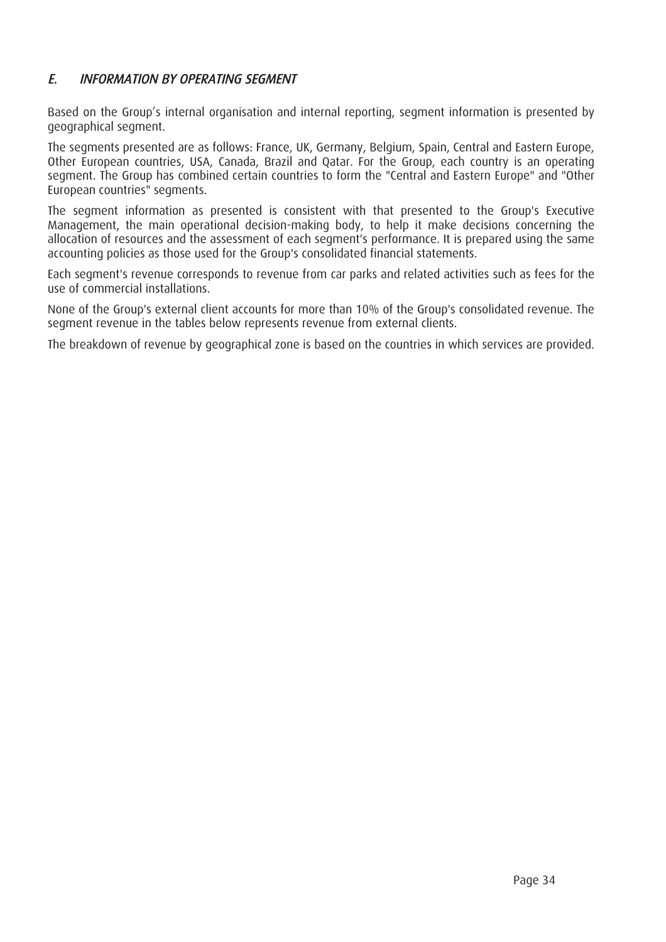# E. INFORMATION BY OPERATING SEGMENT

Based on the Group's internal organisation and internal reporting, segment information is presented by geographical segment.

The segments presented are as follows: France, UK, Germany, Belgium, Spain, Central and Eastern Europe, Other European countries, USA, Canada, Brazil and Qatar. For the Group, each country is an operating segment. The Group has combined certain countries to form the "Central and Eastern Europe" and "Other European countries" segments.

The segment information as presented is consistent with that presented to the Group's Executive Management, the main operational decision-making body, to help it make decisions concerning the allocation of resources and the assessment of each segment's performance. It is prepared using the same accounting policies as those used for the Group's consolidated financial statements.

Each segment's revenue corresponds to revenue from car parks and related activities such as fees for the use of commercial installations.

None of the Group's external client accounts for more than 10% of the Group's consolidated revenue. The segment revenue in the tables below represents revenue from external clients.

The breakdown of revenue by geographical zone is based on the countries in which services are provided.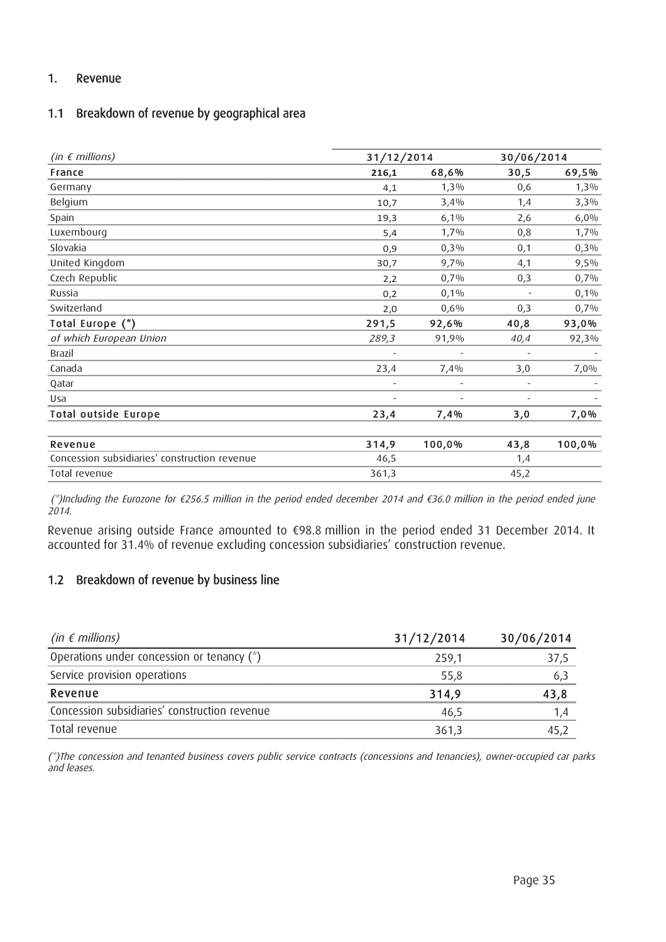## 1. Revenue

# 1.1 Breakdown of revenue by geographical area

| (in $\epsilon$ millions)                      | 31/12/2014               |        | 30/06/2014               |        |  |
|-----------------------------------------------|--------------------------|--------|--------------------------|--------|--|
| France                                        | 216,1                    | 68,6%  | 30,5                     | 69,5%  |  |
| Germany                                       | 4,1                      | 1,3%   | 0,6                      | 1,3%   |  |
| Belgium                                       | 10,7                     | 3,4%   | 1,4                      | 3,3%   |  |
| Spain                                         | 19,3                     | 6,1%   | 2,6                      | 6,0%   |  |
| Luxembourg                                    | 5,4                      | 1,7%   | 0,8                      | 1,7%   |  |
| Slovakia                                      | 0,9                      | 0,3%   | 0,1                      | 0,3%   |  |
| United Kingdom                                | 30,7                     | 9,7%   | 4,1                      | 9,5%   |  |
| Czech Republic                                | 2,2                      | 0,7%   | 0,3                      | 0,7%   |  |
| Russia                                        | 0,2                      | 0,1%   | $\overline{\phantom{a}}$ | 0,1%   |  |
| Switzerland                                   | 2,0                      | 0,6%   | 0,3                      | 0,7%   |  |
| Total Europe (*)                              | 291,5                    | 92,6%  | 40,8                     | 93,0%  |  |
| of which European Union                       | 289,3                    | 91,9%  | 40,4                     | 92,3%  |  |
| Brazil                                        |                          |        |                          |        |  |
| Canada                                        | 23,4                     | 7,4%   | 3,0                      | 7,0%   |  |
| Qatar                                         | $\overline{\phantom{a}}$ |        | $\overline{\phantom{a}}$ |        |  |
| Usa                                           |                          |        |                          |        |  |
| <b>Total outside Europe</b>                   | 23,4                     | 7,4%   | 3,0                      | 7,0%   |  |
| Revenue                                       | 314,9                    | 100,0% | 43,8                     | 100,0% |  |
| Concession subsidiaries' construction revenue | 46,5                     |        | 1,4                      |        |  |
| Total revenue                                 | 361,3                    |        | 45,2                     |        |  |
|                                               |                          |        |                          |        |  |

(\*)Including the Eurozone for €256.5 million in the period ended december 2014 and €36.0 million in the period ended june 2014.

Revenue arising outside France amounted to €98.8 million in the period ended 31 December 2014. It accounted for 31.4% of revenue excluding concession subsidiaries' construction revenue.

# 1.2 Breakdown of revenue by business line

| (in $\epsilon$ millions)                      | 31/12/2014 | 30/06/2014 |
|-----------------------------------------------|------------|------------|
| Operations under concession or tenancy (*)    | 259,1      | 37,5       |
| Service provision operations                  | 55,8       | 6,3        |
| Revenue                                       | 314,9      | 43,8       |
| Concession subsidiaries' construction revenue | 46.5       | 1,4        |
| Total revenue                                 | 361,3      | 45,2       |

(\*)The concession and tenanted business covers public service contracts (concessions and tenancies), owner-occupied car parks and leases.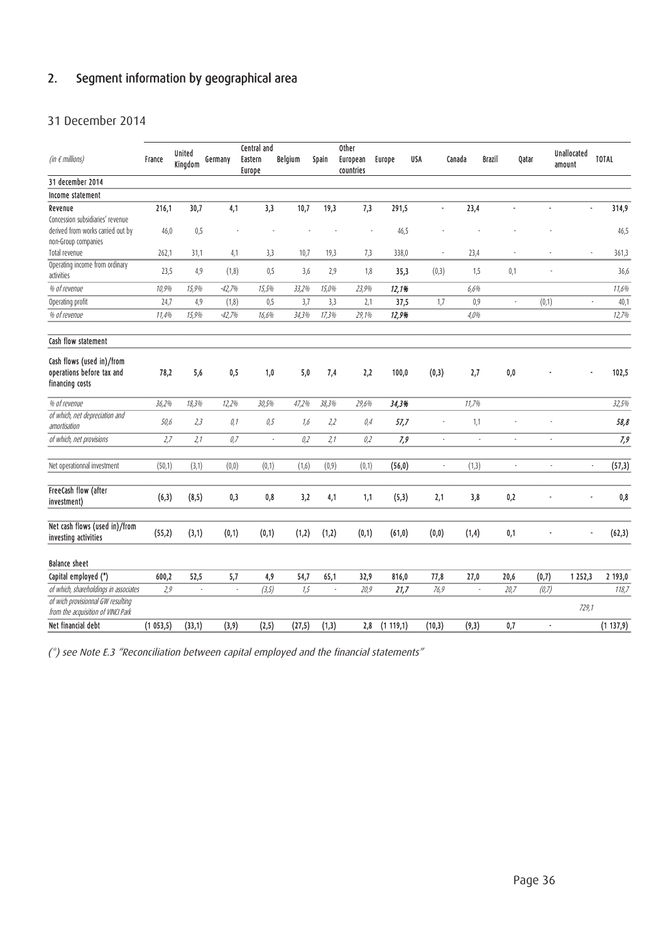# 2. Segment information by geographical area

# 31 December 2014

| (in $\epsilon$ millions)                                                  | France   | United<br>Kingdom | Germany  | Central and<br>Eastern<br>Europe | Belgium | Spain  | <b>Other</b><br>European<br>countries | Europe   | <b>USA</b> |                          | Canada | Brazil | Qatar | Unallocated<br>amount |        | <b>TOTAL</b> |
|---------------------------------------------------------------------------|----------|-------------------|----------|----------------------------------|---------|--------|---------------------------------------|----------|------------|--------------------------|--------|--------|-------|-----------------------|--------|--------------|
| 31 december 2014                                                          |          |                   |          |                                  |         |        |                                       |          |            |                          |        |        |       |                       |        |              |
| Income statement                                                          |          |                   |          |                                  |         |        |                                       |          |            |                          |        |        |       |                       |        |              |
| Revenue                                                                   | 216,1    | 30,7              | 4,1      | 3,3                              | 10,7    | 19,3   | 7,3                                   | 291,5    |            | ×                        | 23,4   |        |       |                       |        | 314,9        |
| Concession subsidiaries' revenue                                          |          |                   |          |                                  |         |        |                                       |          |            |                          |        |        |       |                       |        |              |
| derived from works carried out by                                         | 46,0     | 0,5               |          |                                  |         |        |                                       | 46,5     |            |                          |        |        |       |                       |        | 46,5         |
| non-Group companies                                                       |          |                   |          |                                  |         |        |                                       |          |            |                          |        |        |       |                       |        |              |
| Total revenue                                                             | 262,1    | 31,1              | 4,1      | 3,3                              | 10,7    | 19,3   | 7,3                                   | 338,0    |            | $\overline{\phantom{a}}$ | 23,4   |        |       |                       |        | 361,3        |
| Operating income from ordinary                                            | 23,5     | 4,9               | (1,8)    | 0,5                              | 3,6     | 2,9    | 1,8                                   | 35,3     |            | (0, 3)                   | 1,5    |        | 0,1   |                       |        | 36,6         |
| activities                                                                |          |                   |          |                                  |         |        |                                       |          |            |                          |        |        |       |                       |        |              |
| % of revenue                                                              | 10,9%    | 15,9%             | $-42,7%$ | 15,5%                            | 33,2%   | 15,0%  | 23,9%                                 | 12,1%    |            |                          | 6,6%   |        |       |                       |        | 11,6%        |
| Operating profit                                                          | 24,7     | 4,9               | (1,8)    | 0,5                              | 3,7     | 3,3    | 2,1                                   | 37,5     |            | 1,7                      | 0,9    |        |       | (0,1)                 |        | 40,1         |
| % of revenue                                                              | 11,4%    | 15,9%             | $-42,7%$ | 16,6%                            | 34,3%   | 17,3%  | 29,1%                                 | 12,9%    |            |                          | 4,0%   |        |       |                       |        | 12,7%        |
| Cash flow statement                                                       |          |                   |          |                                  |         |        |                                       |          |            |                          |        |        |       |                       |        |              |
| Cash flows (used in)/from<br>operations before tax and<br>financing costs | 78,2     | 5,6               | 0,5      | 1,0                              | 5,0     | 7,4    | 2,2                                   | 100,0    |            | (0,3)                    | 2,7    |        | 0,0   |                       |        | 102,5        |
| % of revenue                                                              | 36,2%    | 18,3%             | 12,2%    | 30,5%                            | 47,2%   | 38,3%  | 29,6%                                 | 34,3%    |            |                          | 11,7%  |        |       |                       |        | 32,5%        |
| of which, net depreciation and                                            | 50,6     | 2,3               | 0,1      | 0,5                              | 1,6     | 2,2    | 0,4                                   | 57,7     |            |                          | 1,1    |        |       |                       |        | 58,8         |
| amortisation                                                              |          |                   |          |                                  |         |        |                                       |          |            |                          |        |        |       |                       |        |              |
| of which, net provisions                                                  | 2,7      | 2,1               | 0,7      | ÷,                               | 0,2     | 2,1    | 0,2                                   | 7,9      |            | $\overline{\phantom{a}}$ | à.     |        | ä,    |                       |        | 7,9          |
| Net operationnal investment                                               | (50,1)   | (3,1)             | (0, 0)   | (0,1)                            | (1,6)   | (0, 9) | (0,1)                                 | (56, 0)  |            |                          | (1,3)  |        | Ĭ.    |                       |        | (57, 3)      |
| FreeCash flow (after<br>investment)                                       | (6, 3)   | (8, 5)            | 0,3      | 0,8                              | 3,2     | 4,1    | 1,1                                   | (5,3)    |            | 2,1                      | 3,8    |        | 0,2   |                       |        | 0,8          |
| Net cash flows (used in)/from<br>investing activities                     | (55,2)   | (3,1)             | (0,1)    | (0,1)                            | (1,2)   | (1,2)  | (0,1)                                 | (61, 0)  |            | (0, 0)                   | (1,4)  |        | 0,1   |                       |        | (62,3)       |
| <b>Balance sheet</b>                                                      |          |                   |          |                                  |         |        |                                       |          |            |                          |        |        |       |                       |        |              |
| Capital employed (*)                                                      | 600,2    | 52,5              | 5,7      | 4,9                              | 54,7    | 65,1   | 32,9                                  | 816,0    |            | 77,8                     | 27,0   |        | 20,6  | (0,7)                 | 1252,3 | 2 193,0      |
| of which, shareholdings in associates                                     | 2.9      | $\overline{a}$    | J.       | (3, 5)                           | 1,5     | ÷,     | 20.9                                  | 21,7     |            | 76,9                     | J.     |        | 20.7  | (0,7)                 |        | 118,7        |
| of wich provisionnal GW resulting<br>from the acquisition of VINCI Park   |          |                   |          |                                  |         |        |                                       |          |            |                          |        |        |       |                       | 729,1  |              |
| Net financial debt                                                        | (1053,5) | (33, 1)           | (3, 9)   | (2,5)                            | (27, 5) | (1,3)  | 2,8                                   | (1119,1) |            | (10,3)                   | (9,3)  |        | 0,7   | ä,                    |        | (1137,9)     |

(\*) see Note E.3 "Reconciliation between capital employed and the financial statements"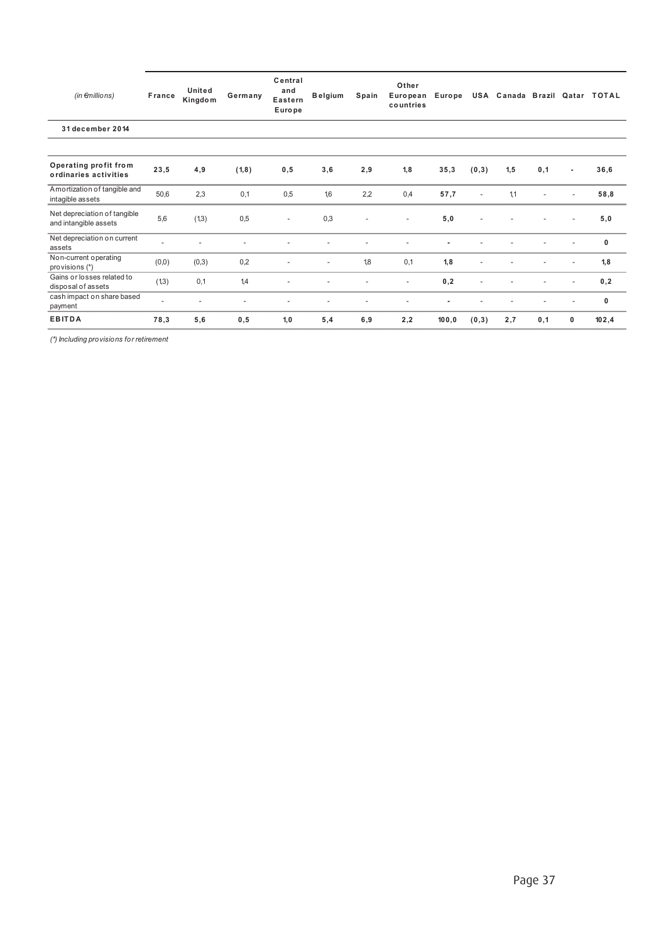| $(in$ $\Theta$ millions)                              | France | United<br>Kingdom | Germany | Central<br>and<br>Eastern<br>Europe | <b>Belgium</b> | Spain | Other<br>European<br>countries | Europe | USA   | Canada Brazil |     |                          | Qatar TOTAL |
|-------------------------------------------------------|--------|-------------------|---------|-------------------------------------|----------------|-------|--------------------------------|--------|-------|---------------|-----|--------------------------|-------------|
| 31 december 2014                                      |        |                   |         |                                     |                |       |                                |        |       |               |     |                          |             |
|                                                       |        |                   |         |                                     |                |       |                                |        |       |               |     |                          |             |
| Operating profit from<br>ordinaries activities        | 23,5   | 4,9               | (1, 8)  | 0, 5                                | 3,6            | 2,9   | 1,8                            | 35,3   | (0,3) | 1,5           | 0,1 | ٠                        | 36,6        |
| Amortization of tangible and<br>intagible assets      | 50,6   | 2,3               | 0,1     | 0,5                                 | 1,6            | 2,2   | 0,4                            | 57,7   | ٠     | 1,1           |     |                          | 58,8        |
| Net depreciation of tangible<br>and intangible assets | 5,6    | (1,3)             | 0,5     | $\overline{\phantom{a}}$            | 0,3            | ٠     | ٠                              | 5,0    | ٠     |               |     | $\overline{\phantom{a}}$ | 5,0         |
| Net depreciation on current<br>assets                 |        |                   |         |                                     |                |       |                                |        |       |               |     |                          | 0           |
| Non-current operating<br>provisions (*)               | (0,0)  | (0,3)             | 0,2     |                                     | ٠              | 1,8   | 0,1                            | 1,8    |       |               |     |                          | 1,8         |
| Gains or losses related to<br>disposal of assets      | (1,3)  | 0,1               | 1,4     |                                     |                |       | $\bar{ }$                      | 0,2    | ٠     |               |     | $\overline{\phantom{a}}$ | 0,2         |
| cash impact on share based<br>payment                 |        |                   | ۳       |                                     |                | ٠     | ٠                              |        |       |               |     |                          | 0           |
| <b>EBITDA</b>                                         | 78,3   | 5,6               | 0,5     | 1,0                                 | 5,4            | 6,9   | 2,2                            | 100,0  | (0,3) | 2,7           | 0,1 | 0                        | 102,4       |

*(\*) Including pro visions fo r retirement*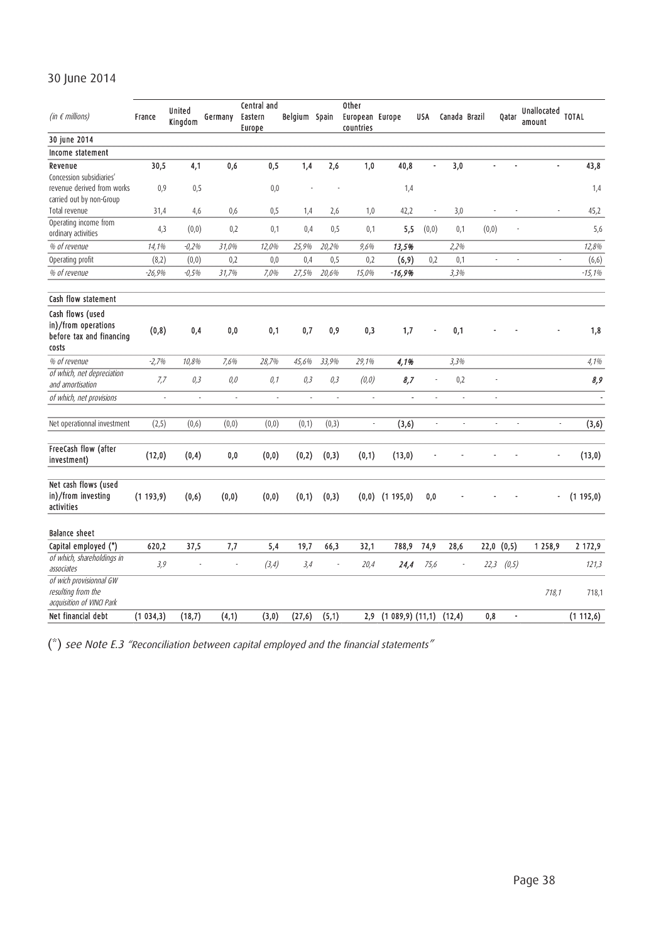# 30 June 2014

|                                                                            |                          |                          |                          | Central and              |                          |                          | <b>Other</b>                 |                     |            |               |                                |       |                       |              |
|----------------------------------------------------------------------------|--------------------------|--------------------------|--------------------------|--------------------------|--------------------------|--------------------------|------------------------------|---------------------|------------|---------------|--------------------------------|-------|-----------------------|--------------|
| (in $\notin$ millions)                                                     | France                   | United<br>Kingdom        | Germany                  | Eastern<br><b>Europe</b> | Belgium Spain            |                          | European Europe<br>countries |                     | <b>USA</b> | Canada Brazil |                                | Qatar | Unallocated<br>amount | <b>TOTAL</b> |
| 30 june 2014                                                               |                          |                          |                          |                          |                          |                          |                              |                     |            |               |                                |       |                       |              |
| Income statement                                                           |                          |                          |                          |                          |                          |                          |                              |                     |            |               |                                |       |                       |              |
| Revenue                                                                    | 30,5                     | 4,1                      | 0,6                      | 0,5                      | 1,4                      | 2,6                      | 1,0                          | 40,8                |            | 3,0           |                                |       |                       | 43,8         |
| Concession subsidiaries'                                                   |                          |                          |                          |                          |                          |                          |                              |                     |            |               |                                |       |                       |              |
| revenue derived from works                                                 | 0,9                      | 0,5                      |                          | 0,0                      |                          |                          |                              | 1,4                 |            |               |                                |       |                       | 1,4          |
| carried out by non-Group                                                   |                          |                          |                          |                          |                          |                          |                              |                     |            |               |                                |       |                       |              |
| Total revenue<br>Operating income from                                     | 31,4                     | 4,6                      | 0,6                      | 0,5                      | 1,4                      | 2,6                      | 1,0                          | 42,2                |            | 3,0           |                                |       |                       | 45,2         |
| ordinary activities                                                        | 4,3                      | (0, 0)                   | 0,2                      | 0,1                      | 0,4                      | 0,5                      | 0,1                          | 5,5                 | (0, 0)     | 0,1           | (0, 0)                         |       |                       | 5,6          |
| % of revenue                                                               | 14,1%                    | $-0,2%$                  | 31,0%                    | 12,0%                    | 25,9%                    | 20,2%                    | 9,6%                         | 13,5%               |            | 2,2%          |                                |       |                       | 12,8%        |
| Operating profit                                                           | (8,2)                    | (0, 0)                   | 0,2                      | 0,0                      | 0,4                      | 0,5                      | 0,2                          | (6, 9)              | 0,2        | 0,1           |                                |       |                       | (6, 6)       |
| % of revenue                                                               | $-26,9%$                 | $-0.5%$                  | 31,7%                    | 7,0%                     | 27,5%                    | 20,6%                    | 15,0%                        | $-16,9%$            |            | 3,3%          |                                |       |                       | $-15,1%$     |
| Cash flow statement                                                        |                          |                          |                          |                          |                          |                          |                              |                     |            |               |                                |       |                       |              |
| Cash flows (used                                                           |                          |                          |                          |                          |                          |                          |                              |                     |            |               |                                |       |                       |              |
| in)/from operations<br>before tax and financing                            | (0,8)                    | 0,4                      | 0,0                      | 0,1                      | 0,7                      | 0,9                      | 0,3                          | 1,7                 |            | 0,1           |                                |       |                       | 1,8          |
| costs                                                                      |                          |                          |                          |                          |                          |                          |                              |                     |            |               |                                |       |                       |              |
| % of revenue                                                               | $-2,7%$                  | 10,8%                    | 7,6%                     | 28,7%                    | 45,6%                    | 33,9%                    | 29,1%                        | 4,1%                |            | 3,3%          |                                |       |                       | 4,1%         |
| of which, net depreciation<br>and amortisation                             | 7,7                      | 0,3                      | 0,0                      | 0,1                      | 0,3                      | 0,3                      | (0,0)                        | 8,7                 |            | 0,2           |                                |       |                       | 8,9          |
| of which, net provisions                                                   | $\overline{\phantom{a}}$ | $\overline{\phantom{a}}$ | $\overline{\phantom{a}}$ | $\overline{\phantom{a}}$ | $\overline{\phantom{a}}$ | $\overline{\phantom{a}}$ | ä,                           | $\blacksquare$      | ÷,         |               | $\overline{\phantom{a}}$<br>÷, |       |                       |              |
| Net operationnal investment                                                | (2, 5)                   | (0,6)                    | (0, 0)                   | (0, 0)                   | (0,1)                    | (0, 3)                   |                              | (3, 6)              |            | ÷,            | ×,<br>ä,                       |       | ä,                    | (3, 6)       |
| FreeCash flow (after                                                       | (12,0)                   | (0, 4)                   | 0,0                      | (0, 0)                   | (0, 2)                   | (0,3)                    | (0,1)                        | (13,0)              |            |               |                                |       | ä,                    | (13,0)       |
| investment)                                                                |                          |                          |                          |                          |                          |                          |                              |                     |            |               |                                |       |                       |              |
| Net cash flows (used<br>in)/from investing<br>activities                   | (1193,9)                 | (0,6)                    | (0, 0)                   | (0, 0)                   | (0,1)                    | (0,3)                    |                              | $(0,0)$ $(1,195,0)$ | 0,0        |               |                                |       | ۰                     | (1195,0)     |
| <b>Balance sheet</b>                                                       |                          |                          |                          |                          |                          |                          |                              |                     |            |               |                                |       |                       |              |
| Capital employed (*)                                                       | 620,2                    | 37,5                     | 7,7                      | 5,4                      | 19,7                     | 66,3                     | 32,1                         | 788,9               | 74,9       | 28,6          | 22,0                           | (0,5) | 1 2 5 8, 9            | 2 172,9      |
| of which, shareholdings in<br>associates                                   | 3,9                      |                          |                          | (3, 4)                   | 3,4                      |                          | 20,4                         | 24,4                | 75,6       |               | $22,3$ $(0,5)$                 |       |                       | 121,3        |
| of wich provisionnal GW<br>resulting from the<br>acquisition of VINCI Park |                          |                          |                          |                          |                          |                          |                              |                     |            |               |                                |       | 718,1                 | 718,1        |
| Net financial debt                                                         | (1034,3)                 | (18,7)                   | (4,1)                    | (3, 0)                   | (27, 6)                  | (5,1)                    | 2,9                          | (1 089, 9) (11, 1)  |            | (12,4)        | 0,8                            |       |                       | (1112,6)     |
|                                                                            |                          |                          |                          |                          |                          |                          |                              |                     |            |               |                                |       |                       |              |

(\*) see Note E.3 "Reconciliation between capital employed and the financial statements"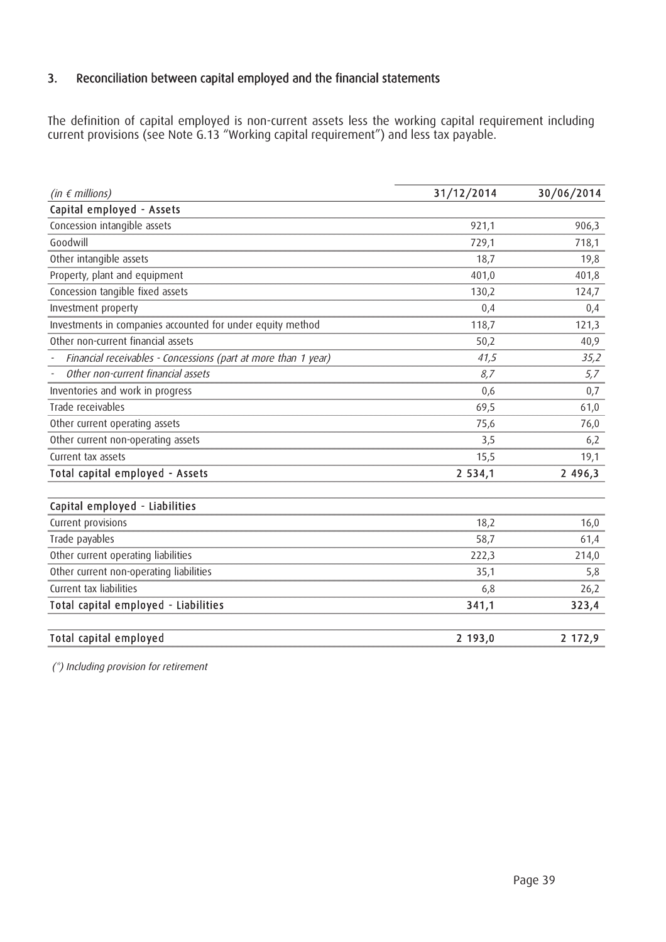# 3. Reconciliation between capital employed and the financial statements

The definition of capital employed is non-current assets less the working capital requirement including current provisions (see Note G.13 "Working capital requirement") and less tax payable.

| (in $\epsilon$ millions)                                       | 31/12/2014 | 30/06/2014 |
|----------------------------------------------------------------|------------|------------|
| Capital employed - Assets                                      |            |            |
| Concession intangible assets                                   | 921,1      | 906,3      |
| Goodwill                                                       | 729,1      | 718,1      |
| Other intangible assets                                        | 18,7       | 19,8       |
| Property, plant and equipment                                  | 401,0      | 401,8      |
| Concession tangible fixed assets                               | 130,2      | 124,7      |
| Investment property                                            | 0,4        | 0,4        |
| Investments in companies accounted for under equity method     | 118,7      | 121,3      |
| Other non-current financial assets                             | 50,2       | 40,9       |
| Financial receivables - Concessions (part at more than 1 year) | 41,5       | 35,2       |
| Other non-current financial assets                             | 8,7        | 5,7        |
| Inventories and work in progress                               | 0,6        | 0,7        |
| Trade receivables                                              | 69,5       | 61,0       |
| Other current operating assets                                 | 75,6       | 76,0       |
| Other current non-operating assets                             | 3,5        | 6,2        |
| Current tax assets                                             | 15,5       | 19,1       |
| <b>Total capital employed - Assets</b>                         | 2534,1     | 2 496,3    |
| Capital employed - Liabilities                                 |            |            |
| Current provisions                                             | 18,2       | 16,0       |
| Trade payables                                                 | 58,7       | 61,4       |
| Other current operating liabilities                            | 222,3      | 214,0      |
| Other current non-operating liabilities                        | 35,1       | 5,8        |
| Current tax liabilities                                        | 6,8        | 26,2       |
| Total capital employed - Liabilities                           | 341,1      | 323,4      |
| <b>Total capital employed</b>                                  | 2 193,0    | 2 172,9    |

(\*) Including provision for retirement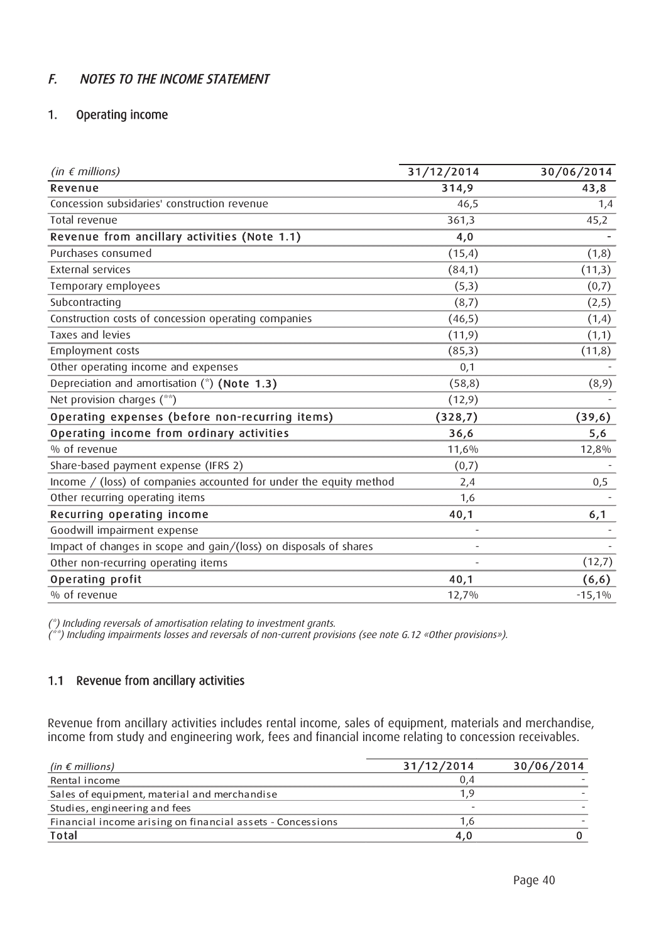# F. NOTES TO THE INCOME STATEMENT

# 1. Operating income

| (in $\epsilon$ millions)                                           | 31/12/2014 | 30/06/2014 |
|--------------------------------------------------------------------|------------|------------|
| Revenue                                                            | 314,9      | 43,8       |
| Concession subsidaries' construction revenue                       | 46,5       | 1,4        |
| Total revenue                                                      | 361,3      | 45,2       |
| Revenue from ancillary activities (Note 1.1)                       | 4,0        |            |
| Purchases consumed                                                 | (15,4)     | (1,8)      |
| <b>External services</b>                                           | (84,1)     | (11,3)     |
| Temporary employees                                                | (5,3)      | (0,7)      |
| Subcontracting                                                     | (8,7)      | (2,5)      |
| Construction costs of concession operating companies               | (46, 5)    | (1,4)      |
| Taxes and levies                                                   | (11,9)     | (1,1)      |
| Employment costs                                                   | (85,3)     | (11,8)     |
| Other operating income and expenses                                | 0,1        |            |
| Depreciation and amortisation (*) (Note 1.3)                       | (58, 8)    | (8, 9)     |
| Net provision charges (**)                                         | (12,9)     |            |
| Operating expenses (before non-recurring items)                    | (328,7)    | (39,6)     |
| Operating income from ordinary activities                          | 36,6       | 5,6        |
| % of revenue                                                       | 11,6%      | 12,8%      |
| Share-based payment expense (IFRS 2)                               | (0,7)      |            |
| Income / (loss) of companies accounted for under the equity method | 2,4        | 0,5        |
| Other recurring operating items                                    | 1,6        |            |
| Recurring operating income                                         | 40,1       | 6,1        |
| Goodwill impairment expense                                        |            |            |
| Impact of changes in scope and gain/(loss) on disposals of shares  |            |            |
| Other non-recurring operating items                                |            | (12,7)     |
| Operating profit                                                   | 40,1       | (6, 6)     |
| % of revenue                                                       | 12,7%      | $-15,1%$   |

(\*) Including reversals of amortisation relating to investment grants.

(\*\*) Including impairments losses and reversals of non-current provisions (see note G.12 «Other provisions»).

# 1.1 Revenue from ancillary activities

Revenue from ancillary activities includes rental income, sales of equipment, materials and merchandise, income from study and engineering work, fees and financial income relating to concession receivables.

| (in $\epsilon$ millions)                                   | 31/12/2014 | 30/06/2014 |
|------------------------------------------------------------|------------|------------|
| Rental income                                              | 0.4        |            |
| Sales of equipment, material and merchandise               |            |            |
| Studies, engineering and fees                              |            |            |
| Financial income arising on financial assets - Concessions | I.6        |            |
| Total                                                      | 4.0        |            |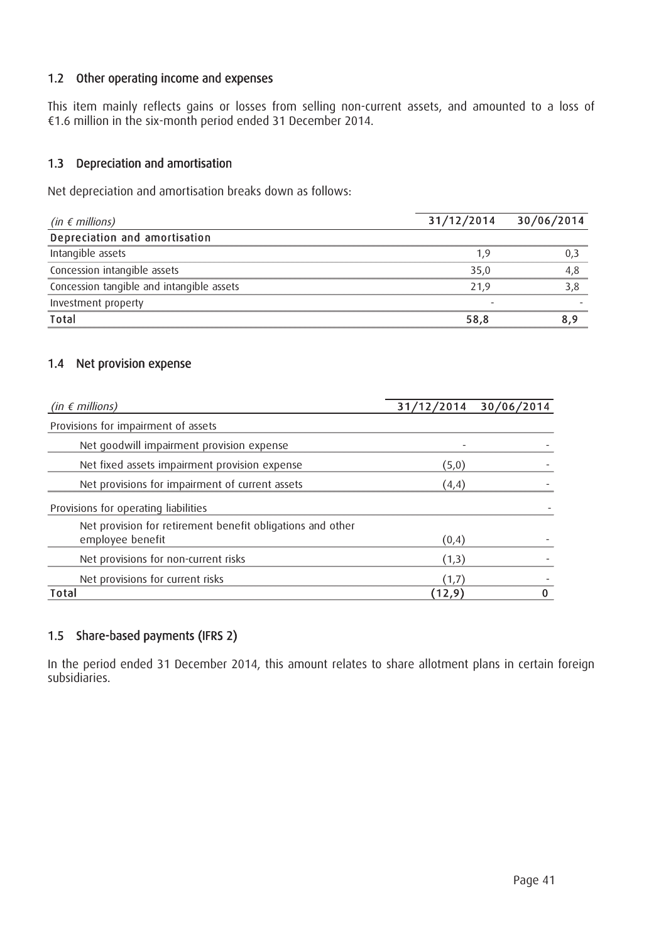# 1.2 Other operating income and expenses

This item mainly reflects gains or losses from selling non-current assets, and amounted to a loss of €1.6 million in the six-month period ended 31 December 2014.

# 1.3 Depreciation and amortisation

Net depreciation and amortisation breaks down as follows:

| (in $\epsilon$ millions)                  | 31/12/2014 | 30/06/2014 |
|-------------------------------------------|------------|------------|
| Depreciation and amortisation             |            |            |
| Intangible assets                         | 1,9        | 0,3        |
| Concession intangible assets              | 35,0       | 4,8        |
| Concession tangible and intangible assets | 21.9       | 3,8        |
| Investment property                       |            |            |
| Total                                     | 58,8       | 8,9        |

## 1.4 Net provision expense

| (in $\epsilon$ millions)                                   | 31/12/2014 | 30/06/2014 |
|------------------------------------------------------------|------------|------------|
| Provisions for impairment of assets                        |            |            |
| Net goodwill impairment provision expense                  |            |            |
| Net fixed assets impairment provision expense              | (5,0)      |            |
| Net provisions for impairment of current assets            | (4,4)      |            |
| Provisions for operating liabilities                       |            |            |
| Net provision for retirement benefit obligations and other |            |            |
| employee benefit                                           | (0,4)      |            |
| Net provisions for non-current risks                       | (1,3)      |            |
| Net provisions for current risks                           | (1,7)      |            |
| <b>Total</b>                                               | (12,9)     |            |

## 1.5 Share-based payments (IFRS 2)

In the period ended 31 December 2014, this amount relates to share allotment plans in certain foreign subsidiaries.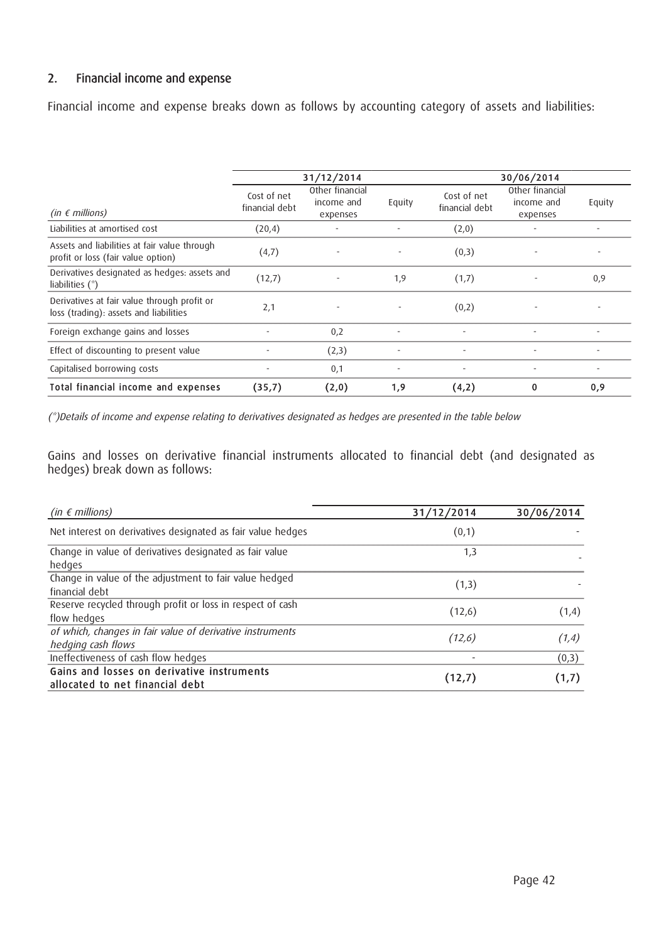# 2. Financial income and expense

Financial income and expense breaks down as follows by accounting category of assets and liabilities:

|                                                                                       | 31/12/2014                    |                                           |        |                               | 30/06/2014                                |                          |
|---------------------------------------------------------------------------------------|-------------------------------|-------------------------------------------|--------|-------------------------------|-------------------------------------------|--------------------------|
| (in $\epsilon$ millions)                                                              | Cost of net<br>financial debt | Other financial<br>income and<br>expenses | Equity | Cost of net<br>financial debt | Other financial<br>income and<br>expenses | Equity                   |
| Liabilities at amortised cost                                                         | (20, 4)                       |                                           |        | (2,0)                         |                                           |                          |
| Assets and liabilities at fair value through<br>profit or loss (fair value option)    | (4,7)                         |                                           |        | (0,3)                         |                                           |                          |
| Derivatives designated as hedges: assets and<br>liabilities $($                       | (12,7)                        |                                           | 1,9    | (1,7)                         |                                           | 0,9                      |
| Derivatives at fair value through profit or<br>loss (trading): assets and liabilities | 2,1                           |                                           |        | (0,2)                         | ٠                                         |                          |
| Foreign exchange gains and losses                                                     |                               | 0,2                                       |        |                               |                                           |                          |
| Effect of discounting to present value                                                |                               | (2,3)                                     |        |                               |                                           |                          |
| Capitalised borrowing costs                                                           |                               | 0,1                                       |        |                               |                                           | $\overline{\phantom{a}}$ |
| Total financial income and expenses                                                   | (35,7)                        | (2,0)                                     | 1,9    | (4,2)                         | $\mathbf 0$                               | 0,9                      |

(\*)Details of income and expense relating to derivatives designated as hedges are presented in the table below

Gains and losses on derivative financial instruments allocated to financial debt (and designated as hedges) break down as follows:

| (in $\epsilon$ millions)                                                        | 31/12/2014 | 30/06/2014 |
|---------------------------------------------------------------------------------|------------|------------|
| Net interest on derivatives designated as fair value hedges                     | (0,1)      |            |
| Change in value of derivatives designated as fair value<br>hedges               | 1,3        |            |
| Change in value of the adjustment to fair value hedged<br>financial debt        | (1,3)      |            |
| Reserve recycled through profit or loss in respect of cash<br>flow hedges       | (12,6)     | (1,4)      |
| of which, changes in fair value of derivative instruments<br>hedging cash flows | (12,6)     | (1,4)      |
| Ineffectiveness of cash flow hedges                                             |            | (0,3)      |
| Gains and losses on derivative instruments<br>allocated to net financial debt   | (12,7)     | (1,7)      |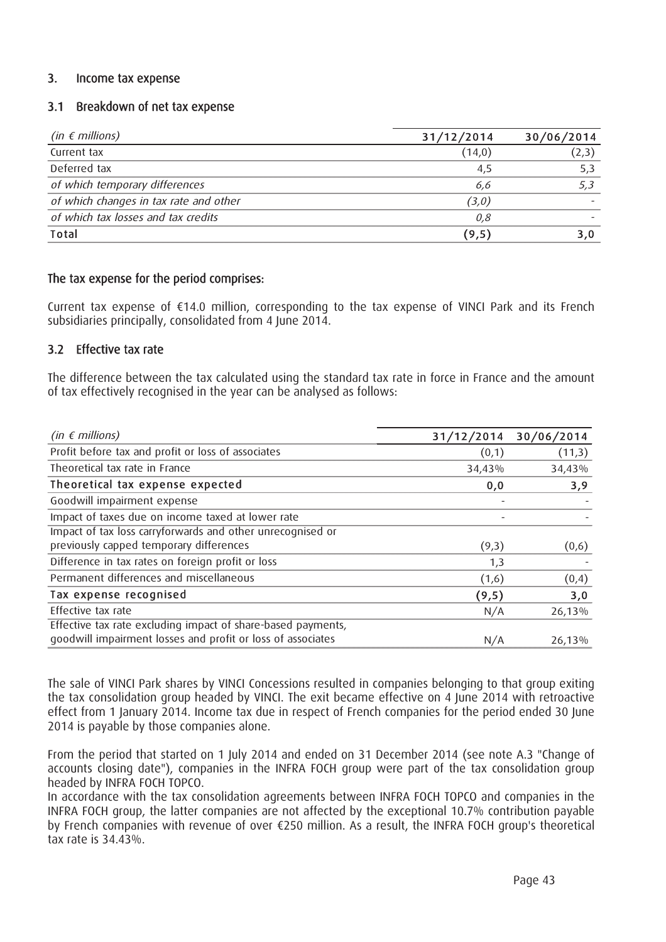## 3. Income tax expense

#### 3.1 Breakdown of net tax expense

| (in $\epsilon$ millions)               | 31/12/2014 | 30/06/2014 |
|----------------------------------------|------------|------------|
| Current tax                            | (14,0)     |            |
| Deferred tax                           | 4.5        |            |
| of which temporary differences         | 6.6        |            |
| of which changes in tax rate and other | (3,0)      |            |
| of which tax losses and tax credits    | 0.8        |            |
| <b>Total</b>                           | (9.5)      |            |
|                                        |            |            |

#### The tax expense for the period comprises:

Current tax expense of  $E14.0$  million, corresponding to the tax expense of VINCI Park and its French subsidiaries principally, consolidated from 4 June 2014.

## 3.2 Effective tax rate

The difference between the tax calculated using the standard tax rate in force in France and the amount of tax effectively recognised in the year can be analysed as follows:

| (in $\epsilon$ millions)                                     | 31/12/2014 | 30/06/2014 |
|--------------------------------------------------------------|------------|------------|
| Profit before tax and profit or loss of associates           | (0,1)      | (11,3)     |
| Theoretical tax rate in France                               | 34,43%     | 34,43%     |
| Theoretical tax expense expected                             | 0,0        | 3,9        |
| Goodwill impairment expense                                  |            |            |
| Impact of taxes due on income taxed at lower rate            |            |            |
| Impact of tax loss carryforwards and other unrecognised or   |            |            |
| previously capped temporary differences                      | (9,3)      | (0,6)      |
| Difference in tax rates on foreign profit or loss            | 1,3        |            |
| Permanent differences and miscellaneous                      | (1,6)      | (0,4)      |
| Tax expense recognised                                       | (9,5)      | 3,0        |
| Effective tax rate                                           | N/A        | 26,13%     |
| Effective tax rate excluding impact of share-based payments, |            |            |
| goodwill impairment losses and profit or loss of associates  | N/A        | 26,13%     |

The sale of VINCI Park shares by VINCI Concessions resulted in companies belonging to that group exiting the tax consolidation group headed by VINCI. The exit became effective on 4 June 2014 with retroactive effect from 1 January 2014. Income tax due in respect of French companies for the period ended 30 June 2014 is payable by those companies alone.

From the period that started on 1 July 2014 and ended on 31 December 2014 (see note A.3 "Change of accounts closing date"), companies in the INFRA FOCH group were part of the tax consolidation group headed by INFRA FOCH TOPCO.

In accordance with the tax consolidation agreements between INFRA FOCH TOPCO and companies in the INFRA FOCH group, the latter companies are not affected by the exceptional 10.7% contribution payable by French companies with revenue of over €250 million. As a result, the INFRA FOCH group's theoretical tax rate is 34.43%.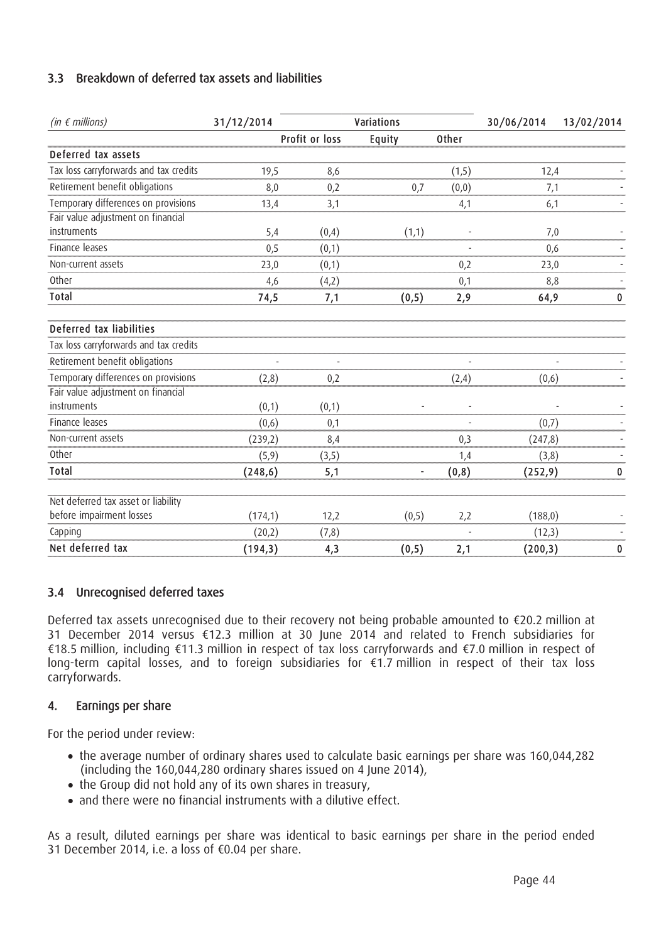# 3.3 Breakdown of deferred tax assets and liabilities

| 31/12/2014<br>(in $\epsilon$ millions) |          | Variations     |                              |                          | 30/06/2014 | 13/02/2014 |
|----------------------------------------|----------|----------------|------------------------------|--------------------------|------------|------------|
|                                        |          | Profit or loss | Equity                       | <b>Other</b>             |            |            |
| Deferred tax assets                    |          |                |                              |                          |            |            |
| Tax loss carryforwards and tax credits | 19,5     | 8,6            |                              | (1,5)                    | 12,4       |            |
| Retirement benefit obligations         | 8,0      | 0,2            | 0,7                          | (0, 0)                   | 7,1        |            |
| Temporary differences on provisions    | 13,4     | 3,1            |                              | 4,1                      | 6,1        |            |
| Fair value adjustment on financial     |          |                |                              |                          |            |            |
| instruments                            | 5,4      | (0,4)          | (1,1)                        | $\overline{\phantom{a}}$ | 7,0        |            |
| Finance leases                         | 0,5      | (0,1)          |                              | $\overline{\phantom{a}}$ | 0,6        |            |
| Non-current assets                     | 23,0     | (0,1)          |                              | 0,2                      | 23,0       |            |
| Other                                  | 4,6      | (4,2)          |                              | 0,1                      | 8,8        |            |
| Total                                  | 74,5     | 7,1            | (0,5)                        | 2,9                      | 64,9       | $\bf{0}$   |
| Deferred tax liabilities               |          |                |                              |                          |            |            |
| Tax loss carryforwards and tax credits |          |                |                              |                          |            |            |
| Retirement benefit obligations         |          |                |                              |                          |            |            |
| Temporary differences on provisions    | (2,8)    | 0,2            |                              | (2,4)                    | (0,6)      |            |
| Fair value adjustment on financial     |          |                |                              |                          |            |            |
| instruments                            | (0,1)    | (0,1)          |                              |                          |            |            |
| Finance leases                         | (0,6)    | 0,1            |                              |                          | (0,7)      |            |
| Non-current assets                     | (239,2)  | 8,4            |                              | 0,3                      | (247, 8)   |            |
| Other                                  | (5,9)    | (3,5)          |                              | 1,4                      | (3,8)      |            |
| Total                                  | (248, 6) | 5,1            | $\qquad \qquad \blacksquare$ | (0, 8)                   | (252, 9)   | $\bf{0}$   |
| Net deferred tax asset or liability    |          |                |                              |                          |            |            |
| before impairment losses               | (174,1)  | 12,2           | (0, 5)                       | 2,2                      | (188, 0)   |            |
| Capping                                | (20,2)   | (7,8)          |                              |                          | (12,3)     |            |
| Net deferred tax                       | (194, 3) | 4,3            | (0,5)                        | 2,1                      | (200, 3)   | $\pmb{0}$  |

## 3.4 Unrecognised deferred taxes

Deferred tax assets unrecognised due to their recovery not being probable amounted to  $\epsilon$ 20.2 million at 31 December 2014 versus  $£12.3$  million at 30 June 2014 and related to French subsidiaries for €18.5 million, including €11.3 million in respect of tax loss carryforwards and €7.0 million in respect of long-term capital losses, and to foreign subsidiaries for  $\epsilon$ 1.7 million in respect of their tax loss carryforwards.

## 4. Earnings per share

For the period under review:

- the average number of ordinary shares used to calculate basic earnings per share was 160,044,282 (including the 160,044,280 ordinary shares issued on 4 June 2014),
- the Group did not hold any of its own shares in treasury,
- and there were no financial instruments with a dilutive effect.

As a result, diluted earnings per share was identical to basic earnings per share in the period ended 31 December 2014, i.e. a loss of  $€0.04$  per share.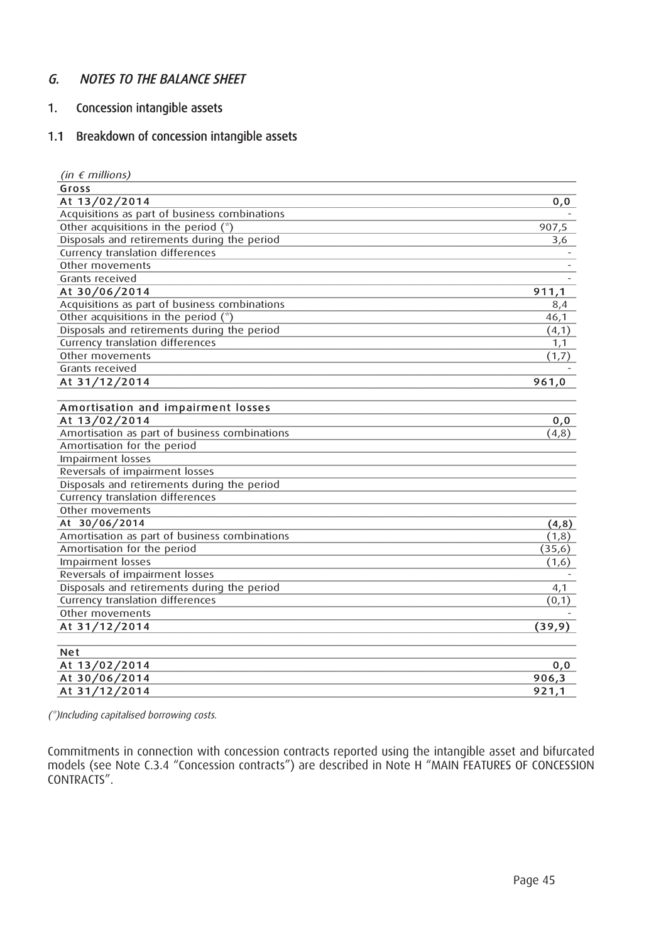# G. NOTES TO THE BALANCE SHEET

# 1. Concession intangible assets

# 1.1 Breakdown of concession intangible assets

| (in $\notin$ millions)                        |         |
|-----------------------------------------------|---------|
| Gross                                         |         |
| At 13/02/2014                                 | 0, 0    |
| Acquisitions as part of business combinations |         |
| Other acquisitions in the period (*)          | 907,5   |
| Disposals and retirements during the period   | 3,6     |
| Currency translation differences              |         |
| Other movements                               |         |
| Grants received                               |         |
| At 30/06/2014                                 | 911,1   |
| Acquisitions as part of business combinations | 8,4     |
| Other acquisitions in the period (*)          | 46,1    |
| Disposals and retirements during the period   | (4,1)   |
| Currency translation differences              | 1,1     |
| Other movements                               | (1,7)   |
| Grants received                               |         |
| At 31/12/2014                                 | 961,0   |
|                                               |         |
| Amortisation and impairment losses            |         |
| At 13/02/2014                                 | 0, 0    |
| Amortisation as part of business combinations | (4,8)   |
| Amortisation for the period                   |         |
| <b>Impairment losses</b>                      |         |
| Reversals of impairment losses                |         |
| Disposals and retirements during the period   |         |
| Currency translation differences              |         |
| Other movements                               |         |
| At 30/06/2014                                 | (4,8)   |
| Amortisation as part of business combinations | (1,8)   |
| Amortisation for the period                   | (35,6)  |
| Impairment losses                             | (1,6)   |
| Reversals of impairment losses                |         |
| Disposals and retirements during the period   | 4,1     |
| Currency translation differences              | (0,1)   |
| Other movements                               |         |
| At 31/12/2014                                 | (39, 9) |
|                                               |         |
| Net                                           |         |
| At 13/02/2014                                 | 0, 0    |
| At 30/06/2014                                 | 906,3   |
| At 31/12/2014                                 | 921,1   |

(\*)Including capitalised borrowing costs.

Commitments in connection with concession contracts reported using the intangible asset and bifurcated models (see Note C.3.4 "Concession contracts") are described in Note H "MAIN FEATURES OF CONCESSION CONTRACTS".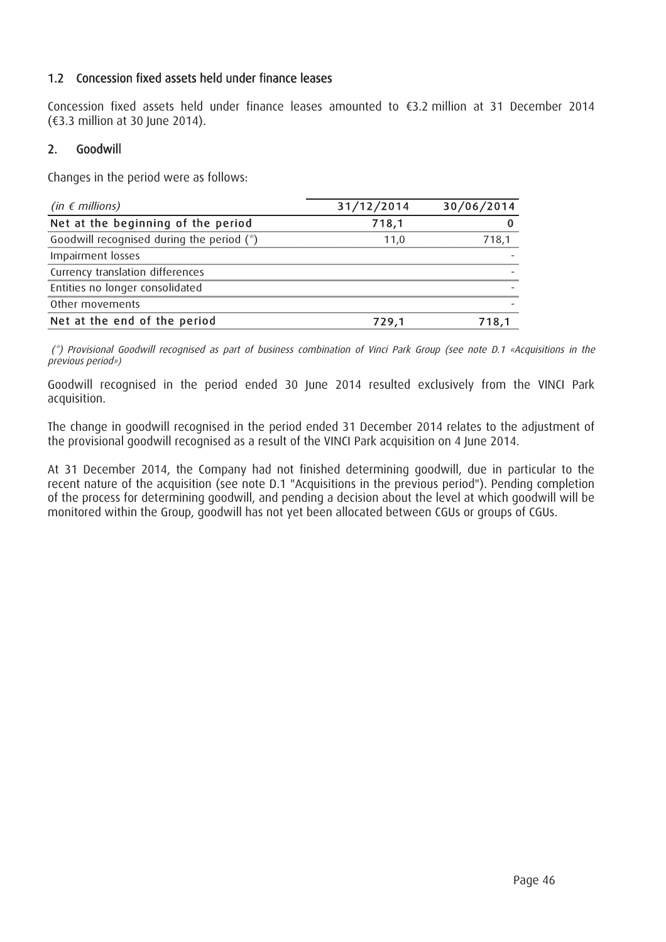## 1.2 Concession fixed assets held under finance leases

Concession fixed assets held under finance leases amounted to  $\epsilon$ 3.2 million at 31 December 2014  $(63.3$  million at 30 June 2014).

#### 2. Goodwill

Changes in the period were as follows:

| (in $\epsilon$ millions)                  | 31/12/2014 | 30/06/2014 |
|-------------------------------------------|------------|------------|
| Net at the beginning of the period        | 718,1      |            |
| Goodwill recognised during the period (*) | 11.0       | 718,1      |
| Impairment losses                         |            |            |
| Currency translation differences          |            |            |
| Entities no longer consolidated           |            |            |
| Other movements                           |            |            |
| Net at the end of the period              | 729,1      | 718,1      |

(\*) Provisional Goodwill recognised as part of business combination of Vinci Park Group (see note D.1 «Acquisitions in the previous period»)

Goodwill recognised in the period ended 30 June 2014 resulted exclusively from the VINCI Park acquisition.

The change in goodwill recognised in the period ended 31 December 2014 relates to the adjustment of the provisional goodwill recognised as a result of the VINCI Park acquisition on 4 June 2014.

At 31 December 2014, the Company had not finished determining goodwill, due in particular to the recent nature of the acquisition (see note D.1 "Acquisitions in the previous period"). Pending completion of the process for determining goodwill, and pending a decision about the level at which goodwill will be monitored within the Group, goodwill has not yet been allocated between CGUs or groups of CGUs.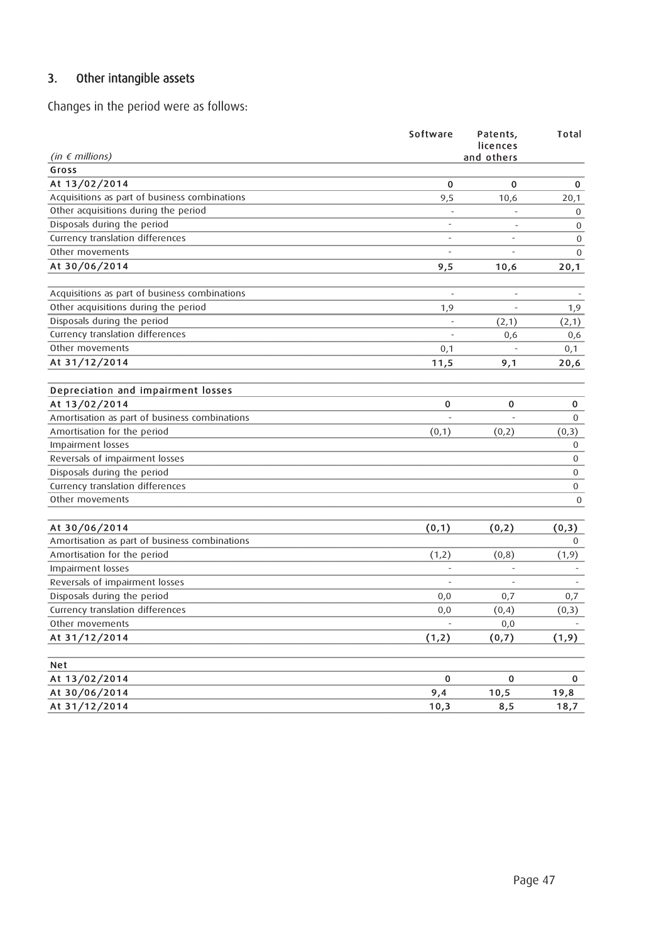# 3. Other intangible assets

Changes in the period were as follows:

| (in $\notin$ millions)                        | Software    | Patents,<br>licences     | Total        |
|-----------------------------------------------|-------------|--------------------------|--------------|
| Gross                                         |             | and others               |              |
| At 13/02/2014                                 | 0           | $\mathbf 0$              | 0            |
| Acquisitions as part of business combinations | 9,5         |                          | 20,1         |
| Other acquisitions during the period          |             | 10,6                     |              |
| Disposals during the period                   |             | $\overline{\phantom{a}}$ | 0            |
| Currency translation differences              |             | $\overline{\phantom{m}}$ | 0            |
| Other movements                               |             |                          | $\mathbf{0}$ |
|                                               |             |                          | $\mathbf{0}$ |
| At 30/06/2014                                 | 9,5         | 10,6                     | 20,1         |
| Acquisitions as part of business combinations | ä,          | $\blacksquare$           |              |
| Other acquisitions during the period          | 1,9         |                          | 1,9          |
| Disposals during the period                   |             | (2,1)                    | (2,1)        |
| Currency translation differences              |             | 0,6                      | 0,6          |
| Other movements                               | 0,1         |                          | 0,1          |
| At 31/12/2014                                 | 11,5        | 9,1                      | 20,6         |
|                                               |             |                          |              |
| Depreciation and impairment losses            |             |                          |              |
| At 13/02/2014                                 | 0           | 0                        | 0            |
| Amortisation as part of business combinations |             |                          | $\mathbf{0}$ |
| Amortisation for the period                   | (0,1)       | (0,2)                    | (0,3)        |
| Impairment losses                             |             |                          | $\mathbf 0$  |
| Reversals of impairment losses                |             |                          | $\mathbf{0}$ |
| Disposals during the period                   |             |                          | $\mathbf{0}$ |
| Currency translation differences              |             |                          | $\mathbf 0$  |
| Other movements                               |             |                          | $\mathbf{0}$ |
| At 30/06/2014                                 | (0,1)       | (0,2)                    | (0,3)        |
| Amortisation as part of business combinations |             |                          | $\Omega$     |
| Amortisation for the period                   | (1,2)       | (0,8)                    | (1, 9)       |
| Impairment losses                             |             |                          |              |
| Reversals of impairment losses                |             | $\sim$                   |              |
| Disposals during the period                   | 0, 0        | 0,7                      | 0,7          |
| Currency translation differences              | 0,0         | (0,4)                    | (0,3)        |
| Other movements                               |             | 0,0                      |              |
| At 31/12/2014                                 | (1,2)       | (0,7)                    | (1, 9)       |
|                                               |             |                          |              |
| <b>Net</b>                                    |             |                          |              |
| At 13/02/2014                                 | $\mathbf 0$ | $\pmb{0}$                | $\bf{0}$     |
| At 30/06/2014                                 | 9,4         | 10,5                     | 19,8         |
| At 31/12/2014                                 | 10,3        | 8,5                      | 18,7         |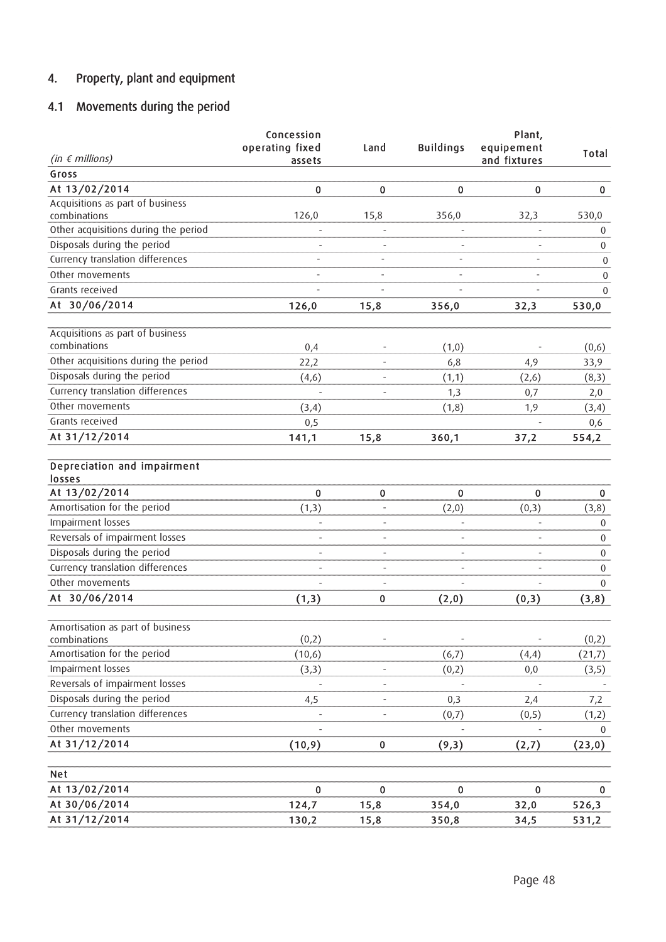# 4. Property, plant and equipment

# 4.1 Movements during the period

|                                                  | Concession<br>operating fixed | Land                     | <b>Buildings</b> | Plant,<br>equipement     | <b>Total</b>   |
|--------------------------------------------------|-------------------------------|--------------------------|------------------|--------------------------|----------------|
| (in $\epsilon$ millions)                         | assets                        |                          |                  | and fixtures             |                |
| Gross                                            |                               |                          |                  |                          |                |
| At 13/02/2014                                    | $\bf{0}$                      | 0                        | $\mathbf 0$      | 0                        | $\bf{0}$       |
| Acquisitions as part of business<br>combinations | 126,0                         | 15,8                     | 356,0            | 32,3                     | 530,0          |
| Other acquisitions during the period             | $\blacksquare$                | $\overline{\phantom{a}}$ | $\blacksquare$   | $\overline{\phantom{a}}$ | $\mathbf{0}$   |
| Disposals during the period                      |                               |                          |                  |                          | $\mathbf 0$    |
| Currency translation differences                 |                               |                          |                  |                          | $\overline{0}$ |
| Other movements                                  |                               |                          |                  |                          | $\mathbf 0$    |
| Grants received                                  |                               |                          |                  |                          | $\mathbf{0}$   |
| At 30/06/2014                                    | 126,0                         | 15,8                     | 356,0            | 32,3                     | 530,0          |
|                                                  |                               |                          |                  |                          |                |
| Acquisitions as part of business                 |                               |                          |                  |                          |                |
| combinations                                     | 0,4                           |                          | (1,0)            |                          | (0,6)          |
| Other acquisitions during the period             | 22,2                          |                          | 6,8              | 4,9                      | 33,9           |
| Disposals during the period                      | (4,6)                         |                          | (1,1)            | (2,6)                    | (8,3)          |
| Currency translation differences                 |                               | ÷,                       | 1,3              | 0,7                      | 2,0            |
| Other movements                                  | (3,4)                         |                          | (1,8)            | 1,9                      | (3,4)          |
| Grants received                                  | 0,5                           |                          |                  |                          | 0,6            |
| At 31/12/2014                                    | 141,1                         | 15,8                     | 360,1            | 37,2                     | 554,2          |
| Depreciation and impairment<br>losses            |                               |                          |                  |                          |                |
| At 13/02/2014                                    | $\mathbf 0$                   | 0                        | $\mathbf 0$      | $\mathbf 0$              | $\bf{0}$       |
| Amortisation for the period                      | (1,3)                         |                          | (2,0)            | (0,3)                    | (3,8)          |
| Impairment losses                                |                               |                          |                  |                          | 0              |
| Reversals of impairment losses                   |                               |                          |                  |                          | $\mathbf{0}$   |
| Disposals during the period                      | ÷,                            | ÷,                       | ÷                | L,                       | $\mathbf 0$    |
| Currency translation differences                 | $\frac{1}{2}$                 | ÷,                       |                  | ÷,                       | $\mathbf{0}$   |
| Other movements                                  |                               |                          |                  |                          | $\bf{0}$       |
| At 30/06/2014                                    | (1,3)                         | $\bf{0}$                 | (2,0)            | (0,3)                    | (3,8)          |
| Amortisation as part of business<br>combinations | (0,2)                         |                          |                  |                          | (0,2)          |
| Amortisation for the period                      | (10,6)                        |                          | (6,7)            | (4,4)                    | (21,7)         |
| Impairment losses                                | (3,3)                         |                          | (0,2)            | 0,0                      | (3,5)          |
| Reversals of impairment losses                   |                               |                          |                  |                          |                |
| Disposals during the period                      | 4,5                           | $\overline{\phantom{m}}$ | 0,3              | 2,4                      | 7,2            |
| Currency translation differences                 |                               | $\overline{\phantom{a}}$ | (0,7)            | (0, 5)                   | (1,2)          |
| Other movements                                  |                               |                          |                  |                          | $\mathbf{0}$   |
| At 31/12/2014                                    | (10, 9)                       | $\pmb{0}$                | (9,3)            | (2,7)                    | (23, 0)        |
| <b>Net</b>                                       |                               |                          |                  |                          |                |
| At 13/02/2014                                    | $\pmb{0}$                     | $\bf{0}$                 | $\mathbf 0$      | $\pmb{0}$                | $\bf{0}$       |
| At 30/06/2014                                    | 124,7                         | 15,8                     | 354,0            | 32,0                     | 526,3          |
| At 31/12/2014                                    | 130,2                         | 15,8                     | 350,8            | 34,5                     | 531,2          |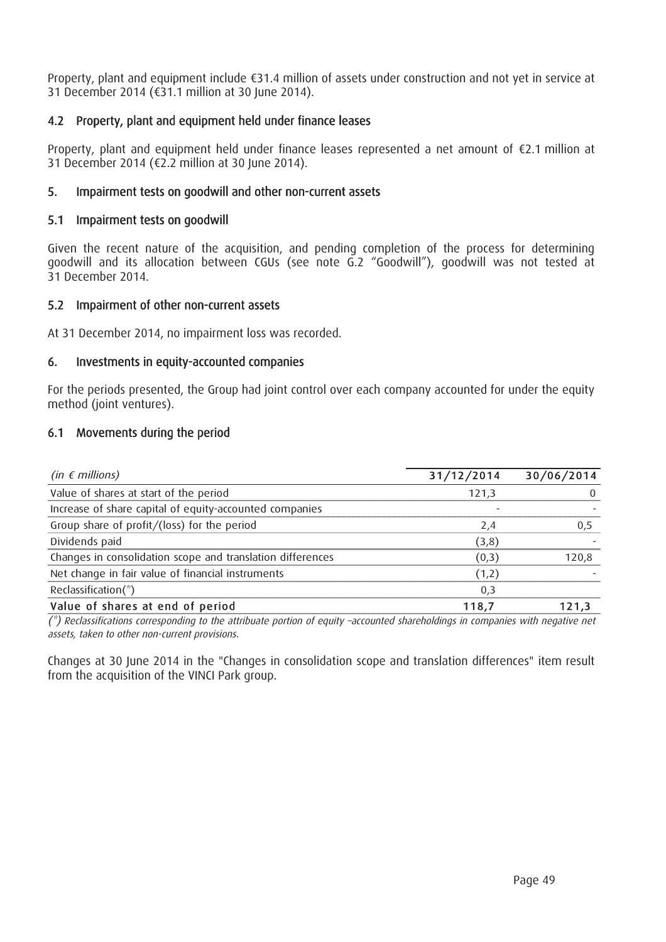Property, plant and equipment include  $\epsilon$ 31.4 million of assets under construction and not yet in service at 31 December 2014 ( $631.1$  million at 30 June 2014).

# 4.2 Property, plant and equipment held under finance leases

Property, plant and equipment held under finance leases represented a net amount of  $E$ .1 million at 31 December 2014 ( $\epsilon$ 2.2 million at 30 June 2014).

## 5. Impairment tests on goodwill and other non-current assets

## 5.1 Impairment tests on goodwill

Given the recent nature of the acquisition, and pending completion of the process for determining goodwill and its allocation between CGUs (see note G.2 "Goodwill"), goodwill was not tested at 31 December 2014.

## 5.2 Impairment of other non-current assets

At 31 December 2014, no impairment loss was recorded.

## 6. Investments in equity-accounted companies

For the periods presented, the Group had joint control over each company accounted for under the equity method (joint ventures).

# 6.1 Movements during the period

| (in $\epsilon$ millions)                                   | 31/12/2014 | 30/06/2014 |
|------------------------------------------------------------|------------|------------|
| Value of shares at start of the period                     | 121,3      |            |
| Increase of share capital of equity-accounted companies    |            |            |
| Group share of profit/(loss) for the period                | 2.4        | 0.5        |
| Dividends paid                                             | (3,8)      |            |
| Changes in consolidation scope and translation differences | (0,3)      | 120,8      |
| Net change in fair value of financial instruments          | (1,2)      |            |
| Reclassification(*)                                        | 0,3        |            |
| Value of shares at end of period                           | 118,7      | 121,3      |

 $^{\prime\ast}$ ) Reclassifications corresponding to the attribuate portion of equity -accounted shareholdings in companies with negative net assets, taken to other non-current provisions.

Changes at 30 June 2014 in the "Changes in consolidation scope and translation differences" item result from the acquisition of the VINCI Park group.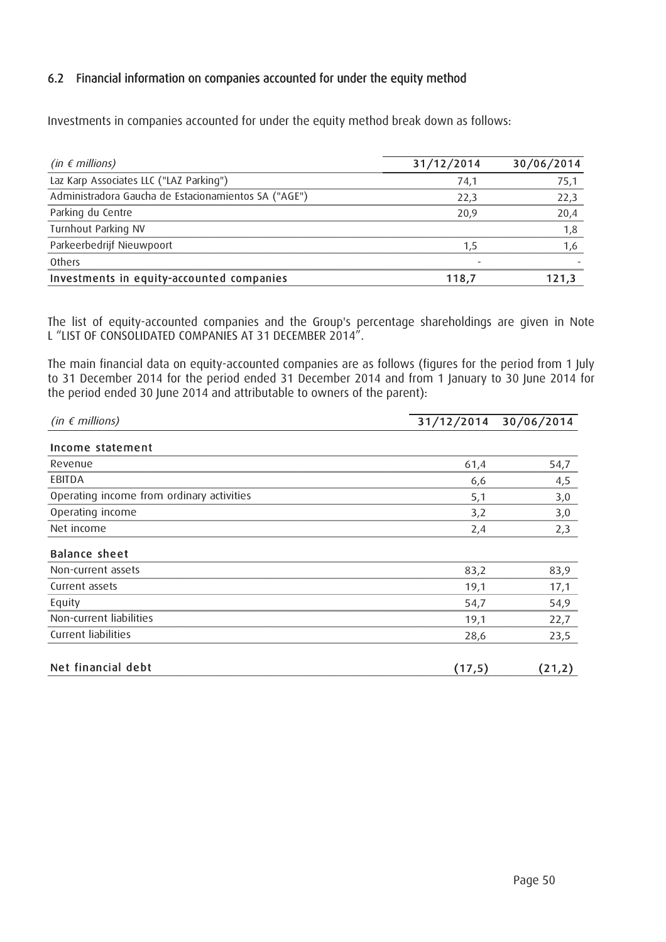# 6.2 Financial information on companies accounted for under the equity method

Investments in companies accounted for under the equity method break down as follows:

| (in $\epsilon$ millions)                             | 31/12/2014 | 30/06/2014 |
|------------------------------------------------------|------------|------------|
| Laz Karp Associates LLC ("LAZ Parking")              | 74,1       | 75,1       |
| Administradora Gaucha de Estacionamientos SA ("AGE") | 22,3       | 22,3       |
| Parking du Centre                                    | 20.9       | 20,4       |
| Turnhout Parking NV                                  |            | 1,8        |
| Parkeerbedrijf Nieuwpoort                            | 1.5        | 1.6        |
| Others                                               |            |            |
| Investments in equity-accounted companies            | 118,7      | 121.3      |

The list of equity-accounted companies and the Group's percentage shareholdings are given in Note L "LIST OF CONSOLIDATED COMPANIES AT 31 DECEMBER 2014".

The main financial data on equity-accounted companies are as follows (figures for the period from 1 July to 31 December 2014 for the period ended 31 December 2014 and from 1 January to 30 June 2014 for the period ended 30 June 2014 and attributable to owners of the parent):

| (in $\epsilon$ millions)                  | 31/12/2014 | 30/06/2014 |
|-------------------------------------------|------------|------------|
| Income statement                          |            |            |
| Revenue                                   | 61,4       | 54,7       |
| EBITDA                                    | 6,6        | 4,5        |
| Operating income from ordinary activities | 5,1        | 3,0        |
| Operating income                          | 3,2        | 3,0        |
| Net income                                | 2,4        | 2,3        |
| <b>Balance sheet</b>                      |            |            |
| Non-current assets                        | 83,2       | 83,9       |
| Current assets                            | 19,1       | 17,1       |
| Equity                                    | 54,7       | 54,9       |
| Non-current liabilities                   | 19,1       | 22,7       |
| Current liabilities                       | 28,6       | 23,5       |
| Net financial debt                        | (17,5)     | (21,2)     |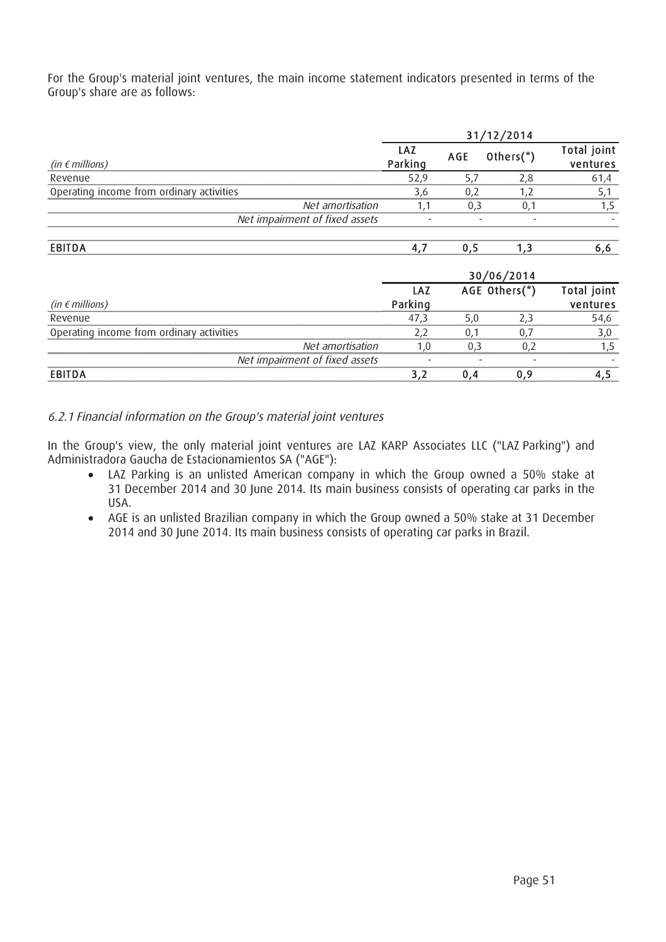For the Group's material joint ventures, the main income statement indicators presented in terms of the Group's share are as follows:

|                                           |                       |                          | 31/12/2014               |                         |
|-------------------------------------------|-----------------------|--------------------------|--------------------------|-------------------------|
| (in $\epsilon$ millions)                  | <b>LAZ</b><br>Parking | AGE                      | Others $(*)$             | Total joint<br>ventures |
| Revenue                                   | 52,9                  | 5,7                      | 2,8                      | 61,4                    |
| Operating income from ordinary activities | 3,6                   | 0,2                      | 1,2                      | 5,1                     |
| Net amortisation                          | 1,1                   | 0,3                      | 0,1                      | 1,5                     |
| Net impairment of fixed assets            |                       | $\overline{\phantom{a}}$ | $\overline{\phantom{a}}$ |                         |
|                                           |                       |                          |                          |                         |
| <b>EBITDA</b>                             | 4,7                   | 0,5                      | 1,3                      | 6, 6                    |
|                                           |                       |                          | 30/06/2014               |                         |
|                                           | LAZ                   |                          | AGE Others(*)            | Total joint             |
| (in $\epsilon$ millions)                  | Parking               |                          |                          | ventures                |
| Revenue                                   | 47,3                  | 5,0                      | 2,3                      | 54,6                    |
| Operating income from ordinary activities | 2,2                   | 0,1                      | 0,7                      | 3,0                     |
| Net amortisation                          | 1,0                   | 0,3                      | 0,2                      | 1,5                     |
| Net impairment of fixed assets            |                       |                          |                          |                         |
| <b>EBITDA</b>                             | 3,2                   | 0,4                      | 0,9                      | 4,5                     |

#### 6.2.1 Financial information on the Group's material joint ventures

In the Group's view, the only material joint ventures are LAZ KARP Associates LLC ("LAZ Parking") and Administradora Gaucha de Estacionamientos SA ("AGE"):

- LAZ Parking is an unlisted American company in which the Group owned a 50% stake at 31 December 2014 and 30 June 2014. Its main business consists of operating car parks in the USA.
- AGE is an unlisted Brazilian company in which the Group owned a 50% stake at 31 December 2014 and 30 June 2014. Its main business consists of operating car parks in Brazil.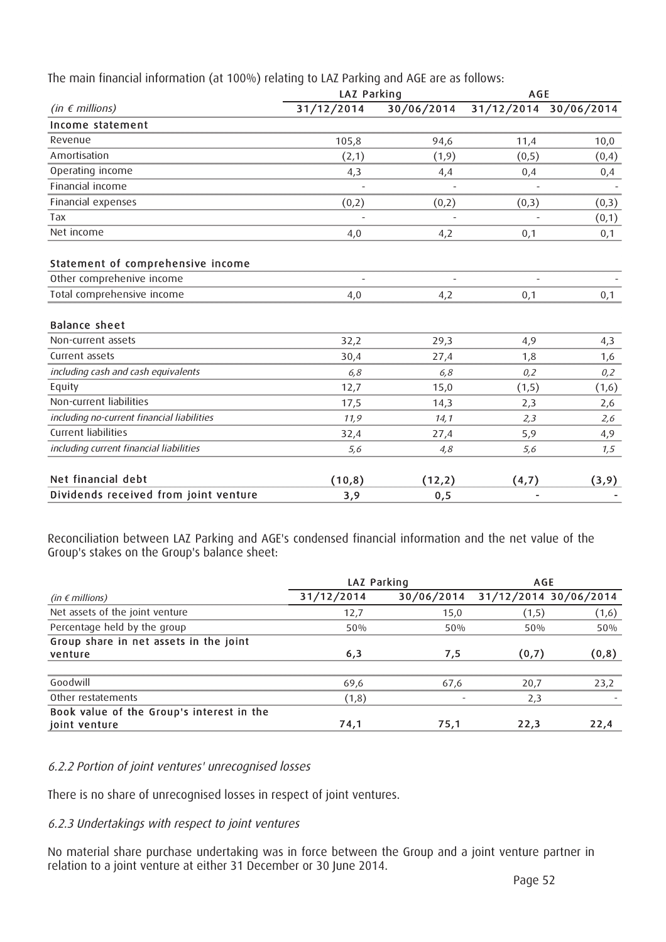The main financial information (at 100%) relating to LAZ Parking and AGE are as follows:

|                                            | LAZ Parking |            | <b>AGE</b> |                       |
|--------------------------------------------|-------------|------------|------------|-----------------------|
| (in $\epsilon$ millions)                   | 31/12/2014  | 30/06/2014 |            | 31/12/2014 30/06/2014 |
| Income statement                           |             |            |            |                       |
| Revenue                                    | 105,8       | 94,6       | 11,4       | 10,0                  |
| Amortisation                               | (2,1)       | (1, 9)     | (0,5)      | (0,4)                 |
| Operating income                           | 4,3         | 4,4        | 0,4        | 0,4                   |
| Financial income                           |             |            |            |                       |
| Financial expenses                         | (0,2)       | (0,2)      | (0,3)      | (0,3)                 |
| Tax                                        |             |            |            | (0,1)                 |
| Net income                                 | 4,0         | 4,2        | 0,1        | 0,1                   |
| Statement of comprehensive income          |             |            |            |                       |
| Other comprehenive income                  | ÷           |            | $\sim$     |                       |
| Total comprehensive income                 | 4,0         | 4,2        | 0,1        | 0,1                   |
| <b>Balance sheet</b>                       |             |            |            |                       |
| Non-current assets                         | 32,2        | 29,3       | 4,9        | 4,3                   |
| Current assets                             | 30,4        | 27,4       | 1,8        | 1,6                   |
| including cash and cash equivalents        | 6,8         | 6,8        | 0,2        | 0,2                   |
| Equity                                     | 12,7        | 15,0       | (1,5)      | (1,6)                 |
| Non-current liabilities                    | 17,5        | 14,3       | 2,3        | 2,6                   |
| including no-current financial liabilities | 11,9        | 14,1       | 2,3        | 2,6                   |
| Current liabilities                        | 32,4        | 27,4       | 5,9        | 4,9                   |
| including current financial liabilities    | 5,6         | 4,8        | 5,6        | 1,5                   |
| Net financial debt                         | (10, 8)     | (12,2)     | (4,7)      | (3, 9)                |
| Dividends received from joint venture      | 3,9         | 0,5        |            |                       |

Reconciliation between LAZ Parking and AGE's condensed financial information and the net value of the Group's stakes on the Group's balance sheet:

|                                           | LAZ Parking |                          | AGE                   |        |
|-------------------------------------------|-------------|--------------------------|-----------------------|--------|
| (in $\epsilon$ millions)                  | 31/12/2014  | 30/06/2014               | 31/12/2014 30/06/2014 |        |
| Net assets of the joint venture           | 12,7        | 15,0                     | (1,5)                 | (1,6)  |
| Percentage held by the group              | 50%         | 50%                      | 50%                   | 50%    |
| Group share in net assets in the joint    |             |                          |                       |        |
| venture                                   | 6,3         | 7,5                      | (0,7)                 | (0, 8) |
| Goodwill                                  | 69,6        | 67,6                     | 20,7                  | 23,2   |
| Other restatements                        | (1,8)       | $\overline{\phantom{a}}$ | 2.3                   |        |
| Book value of the Group's interest in the |             |                          |                       |        |
| joint venture                             | 74,1        | 75,1                     | 22,3                  | 22,4   |

## 6.2.2 Portion of joint ventures' unrecognised losses

There is no share of unrecognised losses in respect of joint ventures.

#### 6.2.3 Undertakings with respect to joint ventures

No material share purchase undertaking was in force between the Group and a joint venture partner in relation to a joint venture at either 31 December or 30 June 2014.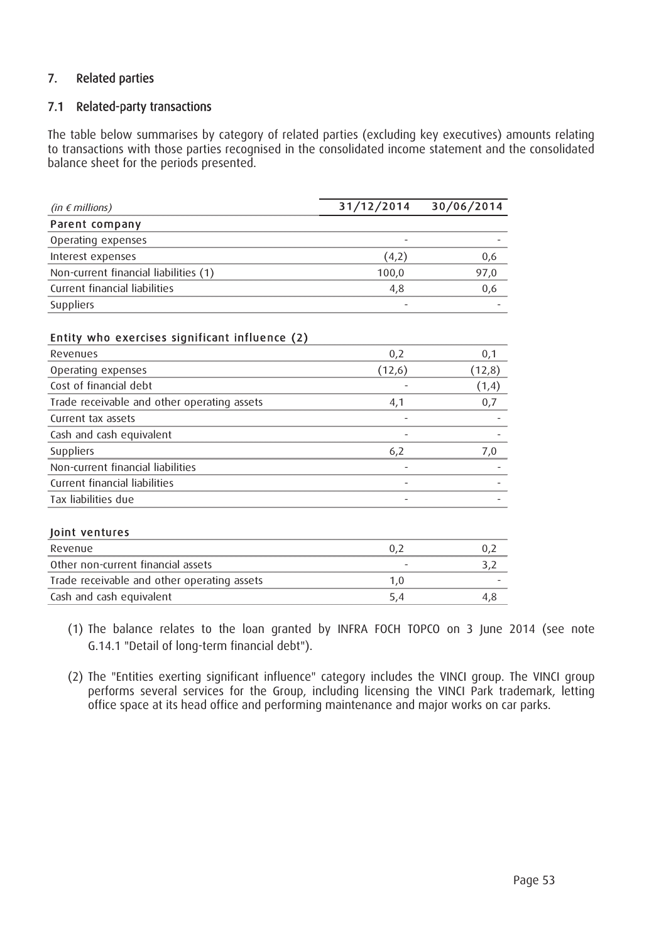# 7. Related parties

## 7.1 Related-party transactions

The table below summarises by category of related parties (excluding key executives) amounts relating to transactions with those parties recognised in the consolidated income statement and the consolidated balance sheet for the periods presented.

| (in $\epsilon$ millions)              | 31/12/2014 | 30/06/2014 |
|---------------------------------------|------------|------------|
| Parent company                        |            |            |
| Operating expenses                    |            |            |
| Interest expenses                     | (4,2)      |            |
| Non-current financial liabilities (1) | 100.0      | 97 N       |
| Current financial liabilities         | 4.8        |            |
| Suppliers                             |            |            |

#### Entity who exercises significant influence (2)

| Revenues                                    | 0,2    | 0,1    |
|---------------------------------------------|--------|--------|
| Operating expenses                          | (12,6) | (12,8) |
| Cost of financial debt                      |        | (1,4)  |
| Trade receivable and other operating assets | 4,1    | 0,7    |
| Current tax assets                          |        |        |
| Cash and cash equivalent                    |        |        |
| Suppliers                                   | 6.2    | 70     |
| Non-current financial liabilities           |        |        |
| Current financial liabilities               |        |        |
| Tax liabilities due                         |        |        |
|                                             |        |        |

#### Joint ventures

| Revenue                                     |    |  |
|---------------------------------------------|----|--|
| Other non-current financial assets          |    |  |
| Trade receivable and other operating assets |    |  |
| Cash and cash equivalent                    | 52 |  |

(1) The balance relates to the loan granted by INFRA FOCH TOPCO on 3 June 2014 (see note G.14.1 "Detail of long-term financial debt").

(2) The "Entities exerting significant influence" category includes the VINCI group. The VINCI group performs several services for the Group, including licensing the VINCI Park trademark, letting office space at its head office and performing maintenance and major works on car parks.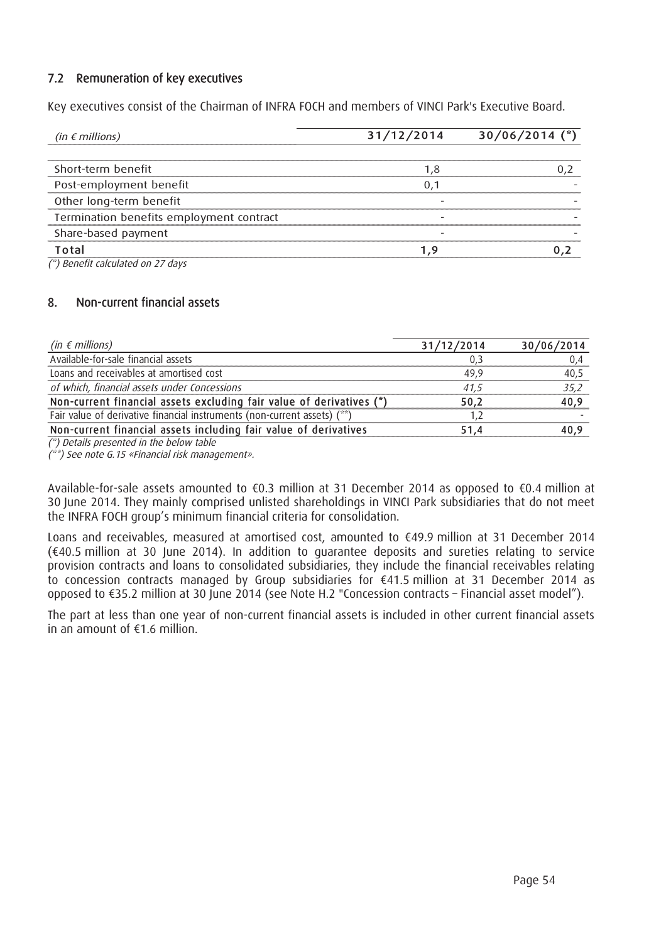# 7.2 Remuneration of key executives

Key executives consist of the Chairman of INFRA FOCH and members of VINCI Park's Executive Board.

| (in $\epsilon$ millions)                                     | 31/12/2014 | $30/06/2014$ (*) |
|--------------------------------------------------------------|------------|------------------|
|                                                              |            |                  |
| Short-term benefit                                           | 1,8        | 0.2              |
| Post-employment benefit                                      | 0,1        |                  |
| Other long-term benefit                                      |            |                  |
| Termination benefits employment contract                     |            |                  |
| Share-based payment                                          |            |                  |
| <b>Total</b>                                                 | 1.9        |                  |
| $\ell \gg 0$ . $\ell t$ . $l$ . $l$ , $l$ , $l$ , $\eta = 1$ |            |                  |

(\*) Benefit calculated on <sup>27</sup> days

## 8. Non-current financial assets

| (in $\epsilon$ millions)                                                 | 31/12/2014 | 30/06/2014 |
|--------------------------------------------------------------------------|------------|------------|
| Available-for-sale financial assets                                      | 0,3        |            |
| Loans and receivables at amortised cost                                  | 49.9       | 40,5       |
| of which, financial assets under Concessions                             | 41.5       | 35,2       |
| Non-current financial assets excluding fair value of derivatives (*)     | 50.2       | 40,9       |
| Fair value of derivative financial instruments (non-current assets) (**) |            |            |
| Non-current financial assets including fair value of derivatives         | 51.4       | 40,9       |
|                                                                          |            |            |

(\*) Details presented in the below table

(\*\*) See note G.15 «Financial risk management».

Available-for-sale assets amounted to  $60.3$  million at 31 December 2014 as opposed to  $60.4$  million at 30 June 2014. They mainly comprised unlisted shareholdings in VINCI Park subsidiaries that do not meet the INFRA FOCH group's minimum financial criteria for consolidation.

Loans and receivables, measured at amortised cost, amounted to €49.9 million at 31 December 2014 ( $€40.5$  million at 30 June 2014). In addition to guarantee deposits and sureties relating to service provision contracts and loans to consolidated subsidiaries, they include the financial receivables relating to concession contracts managed by Group subsidiaries for  $\epsilon$ 41.5 million at 31 December 2014 as opposed to  $\epsilon$ 35.2 million at 30 June 2014 (see Note H.2 "Concession contracts – Financial asset model").

The part at less than one year of non-current financial assets is included in other current financial assets in an amount of  $f \in \mathcal{A}$  million.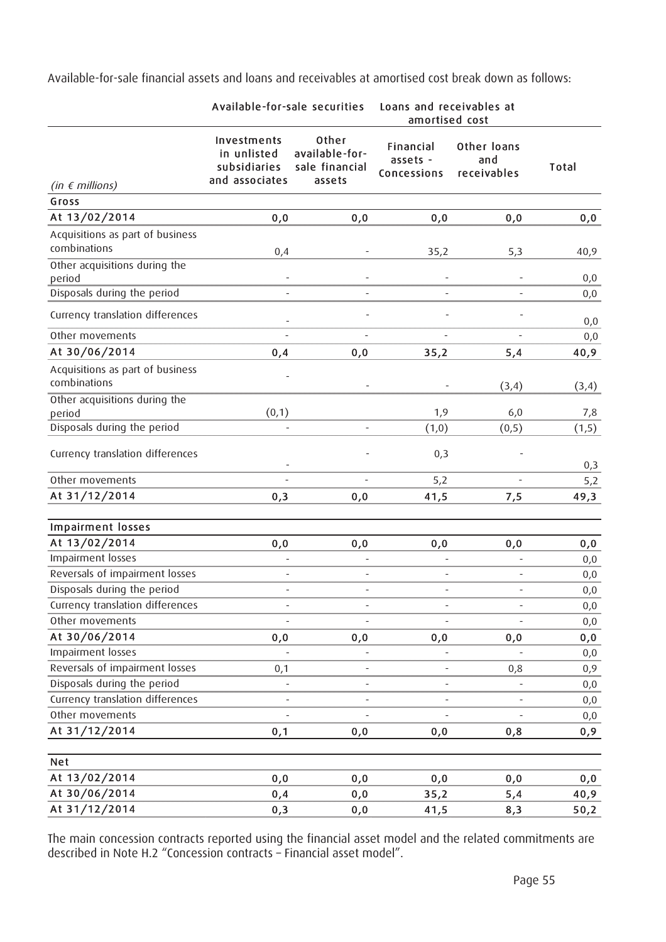Available-for-sale financial assets and loans and receivables at amortised cost break down as follows:

|                                                  | Available-for-sale securities                                | Loans and receivables at<br>amortised cost          |                                             |                                   |              |
|--------------------------------------------------|--------------------------------------------------------------|-----------------------------------------------------|---------------------------------------------|-----------------------------------|--------------|
| (in $\epsilon$ millions)                         | Investments<br>in unlisted<br>subsidiaries<br>and associates | Other<br>available-for-<br>sale financial<br>assets | Financial<br>assets -<br><b>Concessions</b> | Other loans<br>and<br>receivables | <b>Total</b> |
| Gross                                            |                                                              |                                                     |                                             |                                   |              |
| At 13/02/2014                                    | 0, 0                                                         | 0, 0                                                | 0, 0                                        | 0, 0                              | 0, 0         |
| Acquisitions as part of business<br>combinations | 0,4                                                          |                                                     | 35,2                                        | 5,3                               | 40,9         |
| Other acquisitions during the<br>period          | $\overline{\phantom{a}}$                                     |                                                     |                                             |                                   | 0,0          |
| Disposals during the period                      |                                                              |                                                     |                                             |                                   | 0,0          |
| Currency translation differences                 |                                                              |                                                     |                                             |                                   | 0,0          |
| Other movements                                  |                                                              |                                                     |                                             |                                   | 0,0          |
| At 30/06/2014                                    | 0,4                                                          | 0, 0                                                | 35,2                                        | 5,4                               | 40,9         |
| Acquisitions as part of business<br>combinations |                                                              |                                                     |                                             | (3,4)                             | (3,4)        |
| Other acquisitions during the<br>period          | (0,1)                                                        |                                                     | 1,9                                         | 6,0                               | 7,8          |
| Disposals during the period                      |                                                              |                                                     | (1,0)                                       | (0, 5)                            | (1,5)        |
| Currency translation differences                 | $\overline{\phantom{a}}$                                     |                                                     | 0,3                                         |                                   | 0,3          |
| Other movements                                  |                                                              |                                                     | 5,2                                         | $\overline{\phantom{a}}$          | 5,2          |
| At 31/12/2014                                    | 0,3                                                          | 0,0                                                 | 41,5                                        | 7,5                               | 49,3         |
| <b>Impairment losses</b>                         |                                                              |                                                     |                                             |                                   |              |
| At 13/02/2014                                    | 0, 0                                                         | 0, 0                                                | 0, 0                                        | 0, 0                              | 0, 0         |
| Impairment losses                                | $\overline{\phantom{a}}$                                     | $\frac{1}{2}$                                       |                                             |                                   | 0,0          |
| Reversals of impairment losses                   | $\overline{\phantom{0}}$                                     | $\qquad \qquad \blacksquare$                        |                                             |                                   | 0,0          |
| Disposals during the period                      | $\overline{a}$                                               | $\frac{1}{2}$                                       |                                             |                                   | 0,0          |
| Currency translation differences                 | $\overline{\phantom{a}}$                                     |                                                     |                                             |                                   | 0,0          |
| Other movements                                  | $\overline{\phantom{0}}$                                     | $\overline{a}$                                      |                                             |                                   | 0,0          |
| At 30/06/2014                                    | 0, 0                                                         | 0,0                                                 | 0,0                                         | 0, 0                              | 0, 0         |
| Impairment losses                                |                                                              |                                                     |                                             |                                   | 0,0          |
| Reversals of impairment losses                   | 0,1                                                          | $\qquad \qquad \blacksquare$                        |                                             | 0,8                               | 0,9          |
| Disposals during the period                      | $\overline{\phantom{a}}$                                     | $\overline{\phantom{0}}$                            |                                             |                                   | 0,0          |
| Currency translation differences                 | $\overline{\phantom{a}}$                                     | $\overline{\phantom{a}}$                            |                                             |                                   | 0,0          |
| Other movements                                  | ÷                                                            | $\frac{1}{2}$                                       |                                             |                                   | 0,0          |
| At 31/12/2014                                    | 0,1                                                          | 0,0                                                 | 0, 0                                        | 0,8                               | 0,9          |
| <b>Net</b>                                       |                                                              |                                                     |                                             |                                   |              |
| At 13/02/2014                                    | 0, 0                                                         | 0, 0                                                | 0, 0                                        | 0, 0                              | 0, 0         |
| At 30/06/2014                                    | 0,4                                                          | 0, 0                                                | 35,2                                        | 5,4                               | 40,9         |
| At 31/12/2014                                    | 0,3                                                          | 0, 0                                                | 41,5                                        | 8,3                               | 50,2         |

The main concession contracts reported using the financial asset model and the related commitments are described in Note H.2 "Concession contracts – Financial asset model".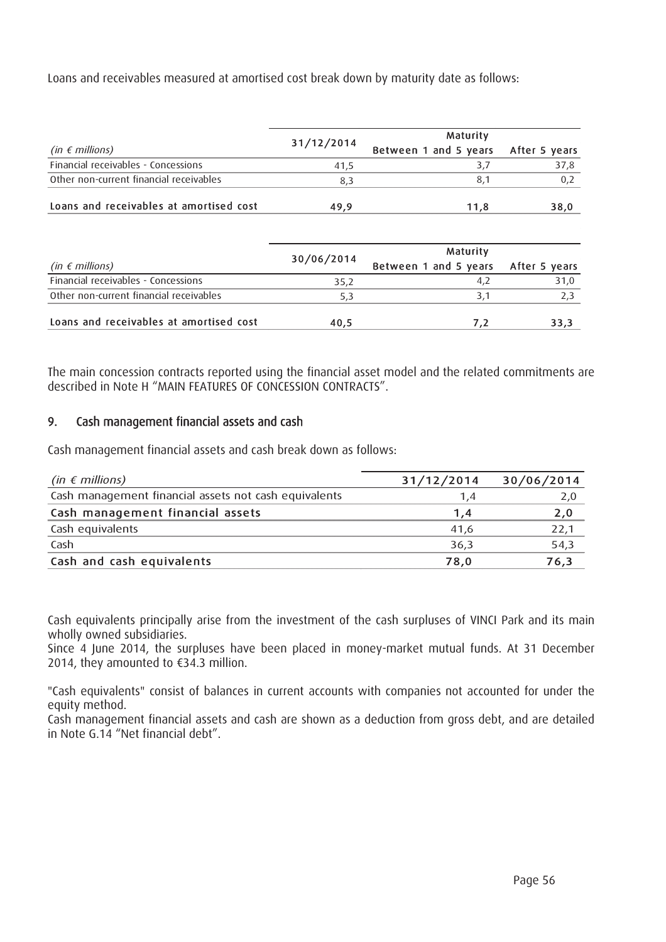Loans and receivables measured at amortised cost break down by maturity date as follows:

|                                         |            | Maturity              |               |
|-----------------------------------------|------------|-----------------------|---------------|
| (in $\epsilon$ millions)                | 31/12/2014 | Between 1 and 5 years | After 5 years |
| Financial receivables - Concessions     | 41.5       |                       | 37,8          |
| Other non-current financial receivables | 8.3        | 8.1                   | 0,2           |
| Loans and receivables at amortised cost | 49,9       | 11.8                  | 38,0          |

|                                         |            | Maturity              |               |
|-----------------------------------------|------------|-----------------------|---------------|
| (in $\epsilon$ millions)                | 30/06/2014 | Between 1 and 5 years | After 5 years |
| Financial receivables - Concessions     | 35.2       |                       |               |
| Other non-current financial receivables |            |                       |               |
| Loans and receivables at amortised cost | 40.5       |                       |               |

The main concession contracts reported using the financial asset model and the related commitments are described in Note H "MAIN FEATURES OF CONCESSION CONTRACTS".

## 9. Cash management financial assets and cash

Cash management financial assets and cash break down as follows:

| (in $\epsilon$ millions)                              | 31/12/2014 | 30/06/2014 |
|-------------------------------------------------------|------------|------------|
| Cash management financial assets not cash equivalents | 1.4        |            |
| Cash management financial assets                      | 1.4        | 2.0        |
| Cash equivalents                                      | 41.6       | 22.1       |
| Cash                                                  | 36.3       | 54,3       |
| Cash and cash equivalents                             | 78.0       | 76.3       |

Cash equivalents principally arise from the investment of the cash surpluses of VINCI Park and its main wholly owned subsidiaries.

Since 4 June 2014, the surpluses have been placed in money-market mutual funds. At 31 December 2014, they amounted to  $\epsilon$ 34.3 million.

"Cash equivalents" consist of balances in current accounts with companies not accounted for under the equity method.

Cash management financial assets and cash are shown as a deduction from gross debt, and are detailed in Note G.14 "Net financial debt".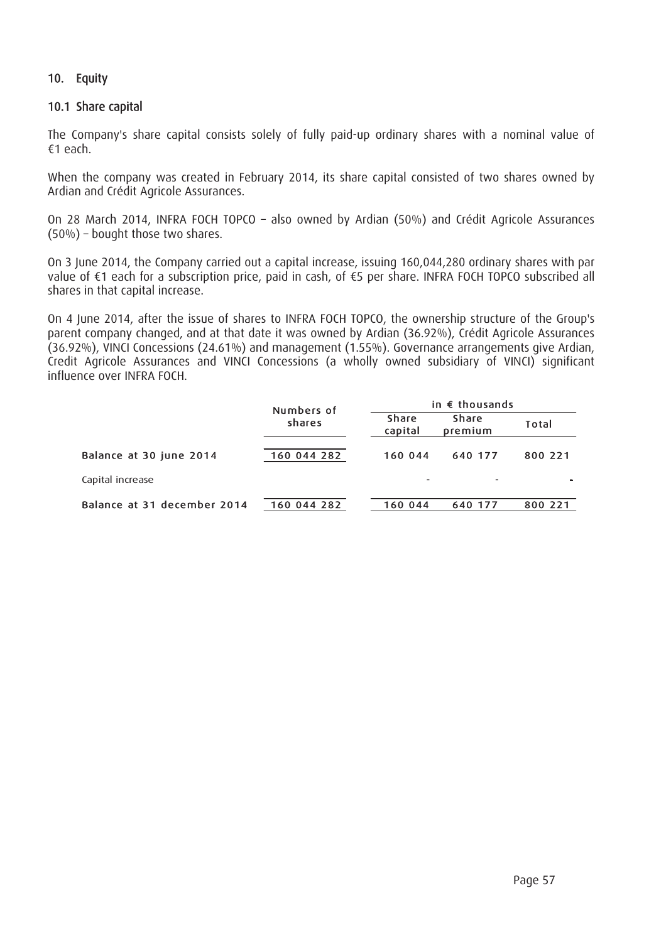## 10. Equity

## 10.1 Share capital

The Company's share capital consists solely of fully paid-up ordinary shares with a nominal value of  $£1$  each.

When the company was created in February 2014, its share capital consisted of two shares owned by Ardian and Crédit Agricole Assurances.

On 28 March 2014, INFRA FOCH TOPCO – also owned by Ardian (50%) and Crédit Agricole Assurances (50%) – bought those two shares.

On 3 June 2014, the Company carried out a capital increase, issuing 160,044,280 ordinary shares with par value of  $\epsilon$ 1 each for a subscription price, paid in cash, of  $\epsilon$ 5 per share. INFRA FOCH TOPCO subscribed all shares in that capital increase.

On 4 June 2014, after the issue of shares to INFRA FOCH TOPCO, the ownership structure of the Group's parent company changed, and at that date it was owned by Ardian (36.92%), Crédit Agricole Assurances (36.92%), VINCI Concessions (24.61%) and management (1.55%). Governance arrangements give Ardian, Credit Agricole Assurances and VINCI Concessions (a wholly owned subsidiary of VINCI) significant influence over INFRA FOCH.

|                             | Numbers of  | in $\epsilon$ thousands |                          |              |
|-----------------------------|-------------|-------------------------|--------------------------|--------------|
|                             | shares      | <b>Share</b><br>capital | <b>Share</b><br>premium  | <b>Total</b> |
| Balance at 30 june 2014     | 160 044 282 | 160 044                 | 640 177                  | 800 221      |
| Capital increase            |             |                         | $\overline{\phantom{a}}$ |              |
| Balance at 31 december 2014 | 160 044 282 | 160 044                 | 640 177                  | 800 221      |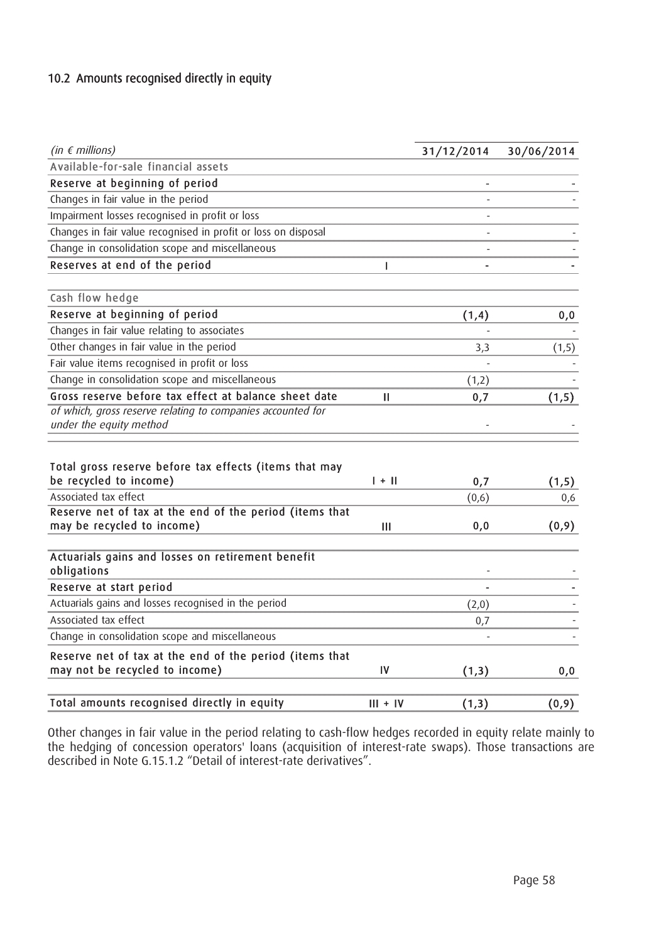# 10.2 Amounts recognised directly in equity

| (in $\epsilon$ millions)                                         |            | 31/12/2014     | 30/06/2014 |
|------------------------------------------------------------------|------------|----------------|------------|
| Available-for-sale financial assets                              |            |                |            |
| Reserve at beginning of period                                   |            |                |            |
| Changes in fair value in the period                              |            |                |            |
| Impairment losses recognised in profit or loss                   |            | $\overline{a}$ |            |
| Changes in fair value recognised in profit or loss on disposal   |            |                |            |
| Change in consolidation scope and miscellaneous                  |            |                |            |
| Reserves at end of the period                                    | T          |                |            |
|                                                                  |            |                |            |
| Cash flow hedge                                                  |            |                |            |
| Reserve at beginning of period                                   |            | (1,4)          | 0, 0       |
| Changes in fair value relating to associates                     |            |                |            |
| Other changes in fair value in the period                        |            | 3,3            | (1,5)      |
| Fair value items recognised in profit or loss                    |            |                |            |
| Change in consolidation scope and miscellaneous                  |            | (1,2)          |            |
| Gross reserve before tax effect at balance sheet date            | ш          | 0,7            | (1, 5)     |
| of which, gross reserve relating to companies accounted for      |            |                |            |
| under the equity method                                          |            |                |            |
|                                                                  |            |                |            |
| Total gross reserve before tax effects (items that may           |            |                |            |
| be recycled to income)                                           | $1 + 11$   | 0,7            | (1,5)      |
| Associated tax effect                                            |            | (0,6)          | 0,6        |
| Reserve net of tax at the end of the period (items that          |            |                |            |
| may be recycled to income)                                       | Ш          | 0,0            | (0, 9)     |
|                                                                  |            |                |            |
| Actuarials gains and losses on retirement benefit<br>obligations |            |                |            |
| Reserve at start period                                          |            |                |            |
| Actuarials gains and losses recognised in the period             |            | (2,0)          |            |
| Associated tax effect                                            |            | 0,7            |            |
| Change in consolidation scope and miscellaneous                  |            |                |            |
| Reserve net of tax at the end of the period (items that          |            |                |            |
| may not be recycled to income)                                   | <b>IV</b>  | (1,3)          | 0, 0       |
|                                                                  |            |                |            |
| Total amounts recognised directly in equity                      | $III + IV$ | (1,3)          | (0, 9)     |

Other changes in fair value in the period relating to cash-flow hedges recorded in equity relate mainly to the hedging of concession operators' loans (acquisition of interest-rate swaps). Those transactions are described in Note G.15.1.2 "Detail of interest-rate derivatives".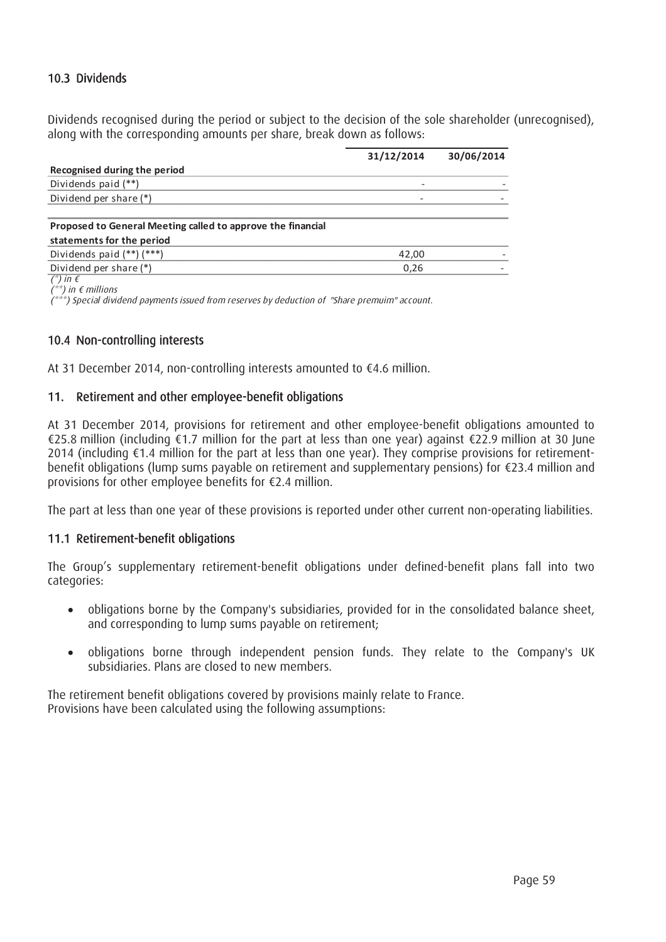# 10.3 Dividends

Dividends recognised during the period or subject to the decision of the sole shareholder (unrecognised), along with the corresponding amounts per share, break down as follows:

|                                                             | 31/12/2014               | 30/06/2014 |
|-------------------------------------------------------------|--------------------------|------------|
| Recognised during the period                                |                          |            |
| Dividends paid (**)                                         | $\overline{\phantom{0}}$ |            |
| Dividend per share (*)                                      | $\overline{\phantom{a}}$ |            |
|                                                             |                          |            |
| Proposed to General Meeting called to approve the financial |                          |            |
| statements for the period                                   |                          |            |
| Dividends paid $(**)$ $(***)$                               | 42,00                    |            |
| Dividend per share (*)                                      | 0,26                     |            |
| $($ ") in $\epsilon$                                        |                          |            |

 $($ \*\*) in  $\epsilon$  millions

(\*\*\*) Special dividend payments issued from reserves by deduction of "Share premuim" account.

#### 10.4 Non-controlling interests

At 31 December 2014, non-controlling interests amounted to  $€4.6$  million.

#### 11. Retirement and other employee-benefit obligations

At 31 December 2014, provisions for retirement and other employee-benefit obligations amounted to €25.8 million (including €1.7 million for the part at less than one year) against €22.9 million at 30 June 2014 (including  $£1.4$  million for the part at less than one year). They comprise provisions for retirementbenefit obligations (lump sums payable on retirement and supplementary pensions) for  $\epsilon$ 23.4 million and provisions for other employee benefits for  $\epsilon$ 2.4 million.

The part at less than one year of these provisions is reported under other current non-operating liabilities.

#### 11.1 Retirement-benefit obligations

The Group's supplementary retirement-benefit obligations under defined-benefit plans fall into two categories:

- obligations borne by the Company's subsidiaries, provided for in the consolidated balance sheet, and corresponding to lump sums payable on retirement;
- obligations borne through independent pension funds. They relate to the Company's UK subsidiaries. Plans are closed to new members.

The retirement benefit obligations covered by provisions mainly relate to France. Provisions have been calculated using the following assumptions: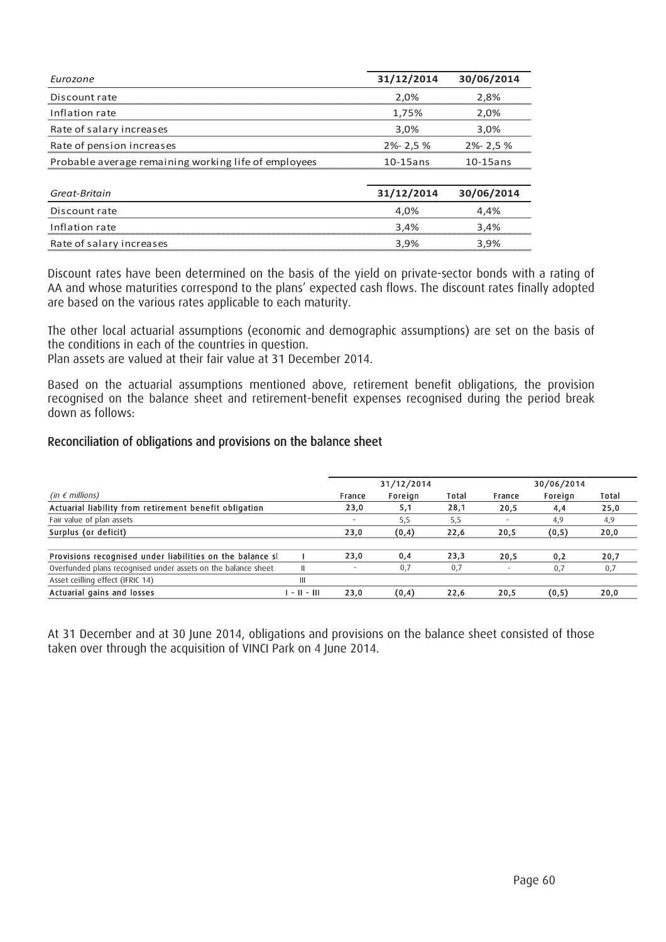| Eurozone                                             | 31/12/2014  | 30/06/2014  |
|------------------------------------------------------|-------------|-------------|
| Discount rate                                        | 2,0%        | 2,8%        |
| Inflation rate                                       | 1,75%       | 2,0%        |
| Rate of salary increases                             | 3,0%        | 3,0%        |
| Rate of pension increases                            | $2% - 2.5%$ | $2% - 2.5%$ |
| Probable average remaining working life of employees | $10-15$ ans | $10-15$ ans |
|                                                      |             |             |
| Great-Britain                                        | 31/12/2014  | 30/06/2014  |
| Discount rate                                        | 4,0%        | 4,4%        |
| Inflation rate                                       | 3,4%        | 3,4%        |
| Rate of salary increases                             | 3,9%        | 3,9%        |

Discount rates have been determined on the basis of the yield on private-sector bonds with a rating of AA and whose maturities correspond to the plans' expected cash flows. The discount rates finally adopted are based on the various rates applicable to each maturity.

The other local actuarial assumptions (economic and demographic assumptions) are set on the basis of the conditions in each of the countries in question.

Plan assets are valued at their fair value at 31 December 2014.

Based on the actuarial assumptions mentioned above, retirement benefit obligations, the provision recognised on the balance sheet and retirement-benefit expenses recognised during the period break down as follows:

### Reconciliation of obligations and provisions on the balance sheet

|                                                               |                                                     | 31/12/2014 |         |       | 30/06/2014 |         |       |  |
|---------------------------------------------------------------|-----------------------------------------------------|------------|---------|-------|------------|---------|-------|--|
| (in $\epsilon$ millions)                                      |                                                     | France     | Foreign | Total | France     | Foreign | Total |  |
| Actuarial liability from retirement benefit obligation        |                                                     | 23,0       | 5,1     | 28,1  | 20,5       | 4,4     | 25,0  |  |
| Fair value of plan assets                                     |                                                     |            | 5,5     | 5,5   |            | 4.9     | 4,9   |  |
| Surplus (or deficit)                                          |                                                     | 23.0       | (0,4)   | 22.6  | 20.5       | (0,5)   | 20,0  |  |
| Provisions recognised under liabilities on the balance sl     |                                                     | 23,0       | 0,4     | 23,3  | 20,5       | 0.2     | 20,7  |  |
| Overfunded plans recognised under assets on the balance sheet |                                                     |            | 0.7     | 0.7   |            | 0.7     | 0,7   |  |
| Asset ceilling effect (IFRIC 14)                              | Ш                                                   |            |         |       |            |         |       |  |
| Actuarial gains and losses                                    | $\mathbf{I} \cdot \mathbf{II} \cdot \mathbf{III}$ . | 23.0       | (0, 4)  | 22,6  | 20,5       | (0,5)   | 20,0  |  |

At 31 December and at 30 June 2014, obligations and provisions on the balance sheet consisted of those taken over through the acquisition of VINCI Park on 4 June 2014.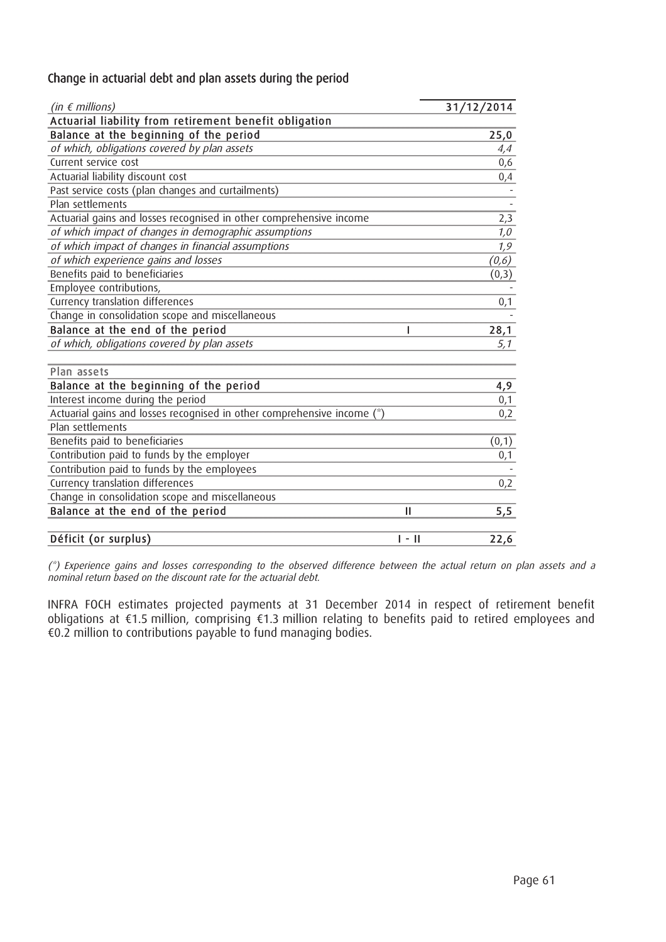# Change in actuarial debt and plan assets during the period

| (in $\epsilon$ millions)                                                |                              | 31/12/2014 |
|-------------------------------------------------------------------------|------------------------------|------------|
| Actuarial liability from retirement benefit obligation                  |                              |            |
| Balance at the beginning of the period                                  |                              | 25,0       |
| of which, obligations covered by plan assets                            |                              | 4,4        |
| Current service cost                                                    |                              | 0,6        |
| Actuarial liability discount cost                                       |                              | 0,4        |
| Past service costs (plan changes and curtailments)                      |                              |            |
| Plan settlements                                                        |                              |            |
| Actuarial gains and losses recognised in other comprehensive income     |                              | 2,3        |
| of which impact of changes in demographic assumptions                   |                              | 1,0        |
| of which impact of changes in financial assumptions                     |                              | 1,9        |
| of which experience gains and losses                                    |                              | (0,6)      |
| Benefits paid to beneficiaries                                          |                              | (0,3)      |
| Employee contributions,                                                 |                              |            |
| Currency translation differences                                        |                              | 0,1        |
| Change in consolidation scope and miscellaneous                         |                              |            |
| Balance at the end of the period                                        |                              | 28,1       |
| of which, obligations covered by plan assets                            |                              | 5,1        |
| Plan assets                                                             |                              |            |
| Balance at the beginning of the period                                  |                              | 4,9        |
| Interest income during the period                                       |                              | 0,1        |
| Actuarial gains and losses recognised in other comprehensive income (*) |                              | 0,2        |
| Plan settlements                                                        |                              |            |
| Benefits paid to beneficiaries                                          |                              | (0,1)      |
| Contribution paid to funds by the employer                              |                              | 0,1        |
| Contribution paid to funds by the employees                             |                              |            |
| Currency translation differences                                        |                              | 0,2        |
| Change in consolidation scope and miscellaneous                         |                              |            |
| Balance at the end of the period                                        | Ш                            | 5,5        |
| Déficit (or surplus)                                                    | $\mathsf{I}$ - $\mathsf{II}$ | 22,6       |

(\*) Experience gains and losses corresponding to the observed difference between the actual return on plan assets and <sup>a</sup> nominal return based on the discount rate for the actuarial debt.

INFRA FOCH estimates projected payments at 31 December 2014 in respect of retirement benefit obligations at €1.5 million, comprising €1.3 million relating to benefits paid to retired employees and<br>
∴with the comprisions at €1.5 million, comprising €1.3 million relating to benefits paid to retired employees and  $\epsilon$ 0.2 million to contributions payable to fund managing bodies.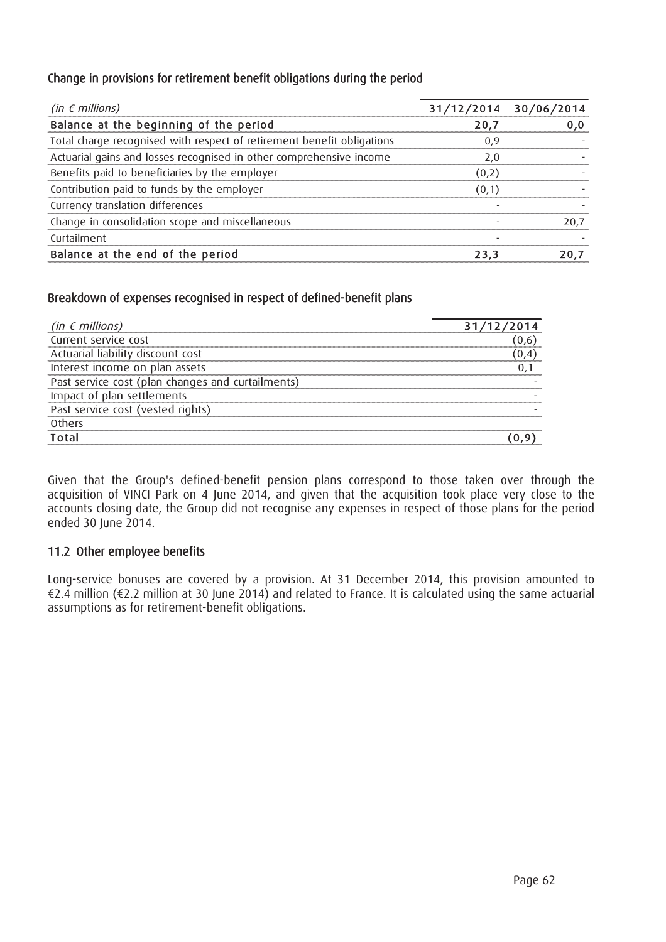## Change in provisions for retirement benefit obligations during the period

| (in $\epsilon$ millions)                                               |       | 31/12/2014 30/06/2014 |
|------------------------------------------------------------------------|-------|-----------------------|
| Balance at the beginning of the period                                 | 20,7  | 0,0                   |
| Total charge recognised with respect of retirement benefit obligations | 0,9   |                       |
| Actuarial gains and losses recognised in other comprehensive income    | 2,0   |                       |
| Benefits paid to beneficiaries by the employer                         | (0,2) |                       |
| Contribution paid to funds by the employer                             | (0,1) |                       |
| Currency translation differences                                       |       |                       |
| Change in consolidation scope and miscellaneous                        |       | 20,7                  |
| Curtailment                                                            |       |                       |
| Balance at the end of the period                                       | 23,3  | 20,7                  |

# Breakdown of expenses recognised in respect of defined-benefit plans

| (in $\epsilon$ millions)                          | 31/12/2014 |
|---------------------------------------------------|------------|
| Current service cost                              | (0,6)      |
| Actuarial liability discount cost                 | (0,4)      |
| Interest income on plan assets                    |            |
| Past service cost (plan changes and curtailments) |            |
| Impact of plan settlements                        |            |
| Past service cost (vested rights)                 |            |
| Others                                            |            |
| <b>Total</b>                                      |            |

Given that the Group's defined-benefit pension plans correspond to those taken over through the acquisition of VINCI Park on 4 June 2014, and given that the acquisition took place very close to the accounts closing date, the Group did not recognise any expenses in respect of those plans for the period ended 30 June 2014.

## 11.2 Other employee benefits

Long-service bonuses are covered by a provision. At 31 December 2014, this provision amounted to €2.4 million (€2.2 million at 30 June 2014) and related to France. It is calculated using the same actuarial assumptions as for retirement-benefit obligations.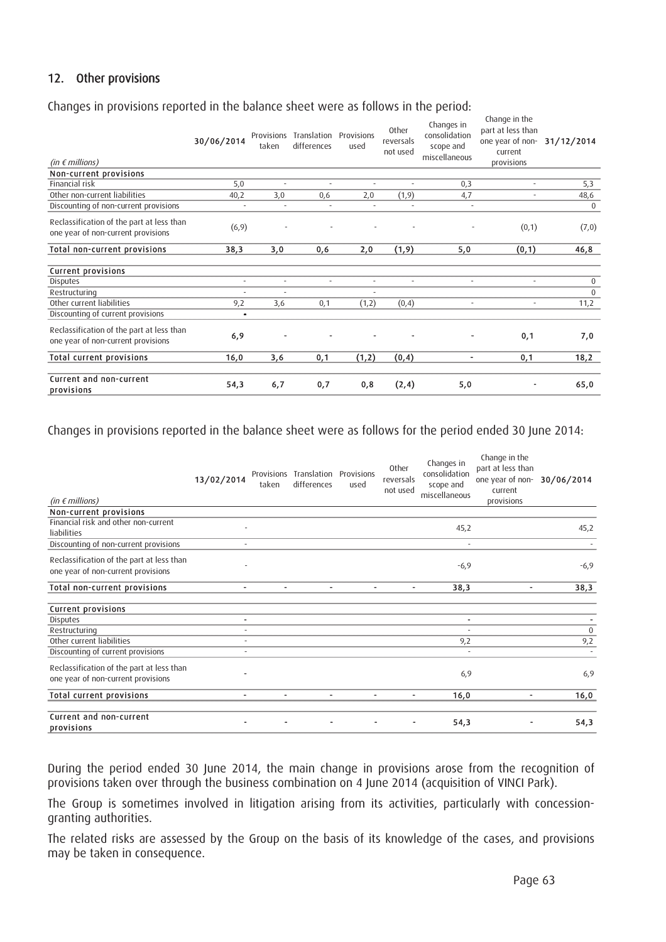## 12. Other provisions

Changes in provisions reported in the balance sheet were as follows in the period:

| (in $\epsilon$ millions)                                                        | 30/06/2014               | Provisions<br>taken      | Translation Provisions<br>differences | used                     | Other<br>reversals<br>not used | Changes in<br>consolidation<br>scope and<br>miscellaneous | Change in the<br>part at less than<br>one year of non- 31/12/2014<br>current<br>provisions |              |
|---------------------------------------------------------------------------------|--------------------------|--------------------------|---------------------------------------|--------------------------|--------------------------------|-----------------------------------------------------------|--------------------------------------------------------------------------------------------|--------------|
| Non-current provisions                                                          |                          |                          |                                       |                          |                                |                                                           |                                                                                            |              |
| Financial risk                                                                  | 5,0                      | $\overline{\phantom{a}}$ | $\overline{a}$                        | $\overline{\phantom{a}}$ |                                | 0,3                                                       |                                                                                            | 5,3          |
| Other non-current liabilities                                                   | 40,2                     | 3,0                      | 0,6                                   | 2,0                      | (1, 9)                         | 4,7                                                       |                                                                                            | 48,6         |
| Discounting of non-current provisions                                           | $\overline{a}$           |                          | $\overline{\phantom{a}}$              |                          |                                |                                                           |                                                                                            | $\mathbf 0$  |
| Reclassification of the part at less than<br>one year of non-current provisions | (6, 9)                   |                          |                                       |                          |                                |                                                           | (0,1)                                                                                      | (7,0)        |
| <b>Total non-current provisions</b>                                             | 38,3                     | 3,0                      | 0,6                                   | 2,0                      | (1, 9)                         | 5,0                                                       | (0,1)                                                                                      | 46,8         |
| <b>Current provisions</b>                                                       |                          |                          |                                       |                          |                                |                                                           |                                                                                            |              |
| <b>Disputes</b>                                                                 | $\overline{a}$           | ٠                        | $\sim$                                | ٠                        | $\overline{\phantom{a}}$       | $\overline{\phantom{a}}$                                  | $\overline{a}$                                                                             | $\mathbf{0}$ |
| Restructuring                                                                   | $\overline{\phantom{a}}$ | $\overline{a}$           |                                       | $\overline{\phantom{a}}$ |                                |                                                           |                                                                                            | $\mathbf{0}$ |
| Other current liabilities                                                       | 9,2                      | 3,6                      | 0,1                                   | (1,2)                    | (0, 4)                         | $\overline{a}$                                            |                                                                                            | 11,2         |
| Discounting of current provisions                                               | $\overline{\phantom{a}}$ |                          |                                       |                          |                                |                                                           |                                                                                            |              |
| Reclassification of the part at less than<br>one year of non-current provisions | 6,9                      |                          |                                       |                          |                                |                                                           | 0,1                                                                                        | 7,0          |
| <b>Total current provisions</b>                                                 | 16,0                     | 3,6                      | 0,1                                   | (1, 2)                   | (0, 4)                         | ٠                                                         | 0,1                                                                                        | 18,2         |
| Current and non-current<br>provisions                                           | 54,3                     | 6,7                      | 0,7                                   | 0,8                      | (2, 4)                         | 5,0                                                       |                                                                                            | 65,0         |

Changes in provisions reported in the balance sheet were as follows for the period ended 30 June 2014:

| (in $\notin$ millions)                                                          | 13/02/2014               | Provisions<br>taken      | Translation Provisions<br>differences | used           | Other<br>reversals<br>not used | Changes in<br>consolidation<br>scope and<br>miscellaneous | Change in the<br>part at less than<br>one year of non- 30/06/2014<br>current<br>provisions |              |
|---------------------------------------------------------------------------------|--------------------------|--------------------------|---------------------------------------|----------------|--------------------------------|-----------------------------------------------------------|--------------------------------------------------------------------------------------------|--------------|
| Non-current provisions                                                          |                          |                          |                                       |                |                                |                                                           |                                                                                            |              |
| Financial risk and other non-current<br>liabilities                             |                          |                          |                                       |                |                                | 45,2                                                      |                                                                                            | 45,2         |
| Discounting of non-current provisions                                           | $\sim$                   |                          |                                       |                |                                | $\overline{\phantom{a}}$                                  |                                                                                            |              |
| Reclassification of the part at less than<br>one year of non-current provisions |                          |                          |                                       |                |                                | $-6,9$                                                    |                                                                                            | $-6,9$       |
| <b>Total non-current provisions</b>                                             | ۰.                       | $\overline{\phantom{a}}$ | ٠                                     | ٠              | ٠                              | 38,3                                                      | ٠                                                                                          | 38,3         |
| <b>Current provisions</b>                                                       |                          |                          |                                       |                |                                |                                                           |                                                                                            |              |
| <b>Disputes</b>                                                                 | ۰                        |                          |                                       |                |                                | $\blacksquare$                                            |                                                                                            |              |
| Restructuring                                                                   | $\overline{a}$           |                          |                                       |                |                                |                                                           |                                                                                            | $\mathbf{0}$ |
| Other current liabilities                                                       | ٠                        |                          |                                       |                |                                | 9,2                                                       |                                                                                            | 9,2          |
| Discounting of current provisions                                               | $\overline{\phantom{0}}$ |                          |                                       |                |                                |                                                           |                                                                                            |              |
| Reclassification of the part at less than<br>one year of non-current provisions |                          |                          |                                       |                |                                | 6,9                                                       |                                                                                            | 6,9          |
| <b>Total current provisions</b>                                                 | ۰                        | $\overline{\phantom{a}}$ | ٠                                     | $\blacksquare$ | ۰                              | 16,0                                                      | ۰                                                                                          | 16,0         |
| Current and non-current<br>provisions                                           |                          |                          |                                       |                |                                | 54,3                                                      |                                                                                            | 54,3         |

During the period ended 30 June 2014, the main change in provisions arose from the recognition of provisions taken over through the business combination on 4 June 2014 (acquisition of VINCI Park).

The Group is sometimes involved in litigation arising from its activities, particularly with concessiongranting authorities.

The related risks are assessed by the Group on the basis of its knowledge of the cases, and provisions may be taken in consequence.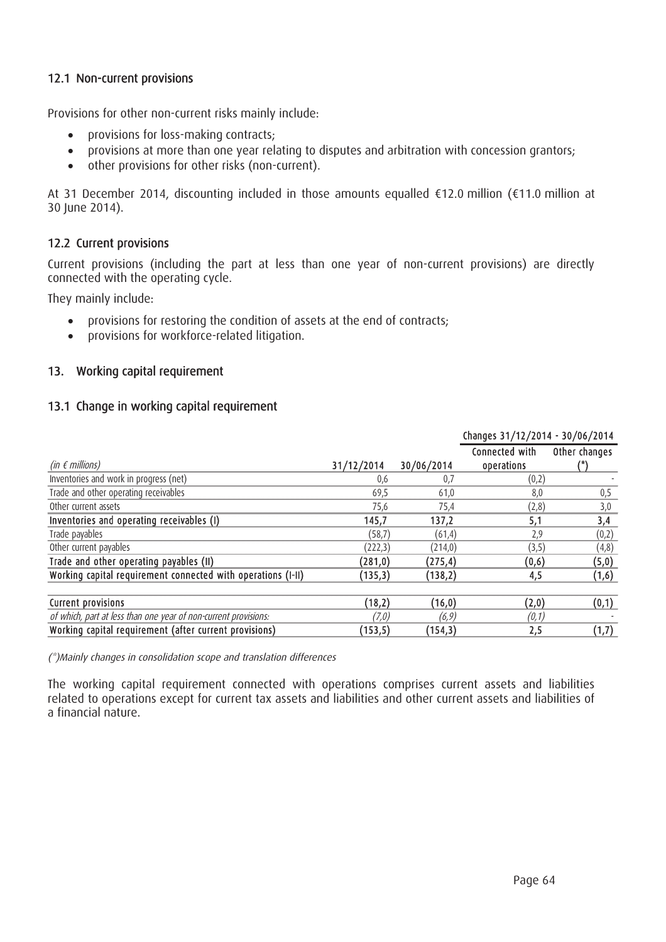## 12.1 Non-current provisions

Provisions for other non-current risks mainly include:

- provisions for loss-making contracts;
- provisions at more than one year relating to disputes and arbitration with concession grantors;
- other provisions for other risks (non-current).

At 31 December 2014, discounting included in those amounts equalled  $£12.0$  million ( $£11.0$  million at 30 June 2014).

## 12.2 Current provisions

Current provisions (including the part at less than one year of non-current provisions) are directly connected with the operating cycle.

They mainly include:

- provisions for restoring the condition of assets at the end of contracts;
- provisions for workforce-related litigation.

## 13. Working capital requirement

## 13.1 Change in working capital requirement

|                                                                 |            |            | Changes 31/12/2014 - 30/06/2014 |               |  |
|-----------------------------------------------------------------|------------|------------|---------------------------------|---------------|--|
| (in $\epsilon$ millions)                                        | 31/12/2014 | 30/06/2014 | Connected with<br>operations    | Other changes |  |
| Inventories and work in progress (net)                          | 0,6        | 0,7        | (0,2)                           |               |  |
| Trade and other operating receivables                           | 69,5       | 61,0       | 8,0                             | 0,5           |  |
| Other current assets                                            | 75,6       | 75,4       | (2,8)                           | 3,0           |  |
| Inventories and operating receivables (I)                       | 145,7      | 137,2      | 5,1                             | 3,4           |  |
| Trade payables                                                  | (58,7)     | (61,4)     | 2,9                             | (0,2)         |  |
| Other current payables                                          | (222,3)    | (214, 0)   | (3,5)                           | (4,8)         |  |
| Trade and other operating payables (II)                         | (281, 0)   | (275,4)    | (0, 6)                          | (5,0)         |  |
| Working capital requirement connected with operations (I-II)    | (135,3)    | (138,2)    | 4,5                             | (1,6)         |  |
|                                                                 |            |            |                                 |               |  |
| <b>Current provisions</b>                                       | (18, 2)    | (16, 0)    | (2,0)                           | (0,1)         |  |
| of which, part at less than one year of non-current provisions: | (7,0)      | (6, 9)     | (0,1)                           |               |  |
| Working capital requirement (after current provisions)          | (153, 5)   | (154,3)    | 2,5                             | (1,7)         |  |

(\*)Mainly changes in consolidation scope and translation differences

The working capital requirement connected with operations comprises current assets and liabilities related to operations except for current tax assets and liabilities and other current assets and liabilities of a financial nature.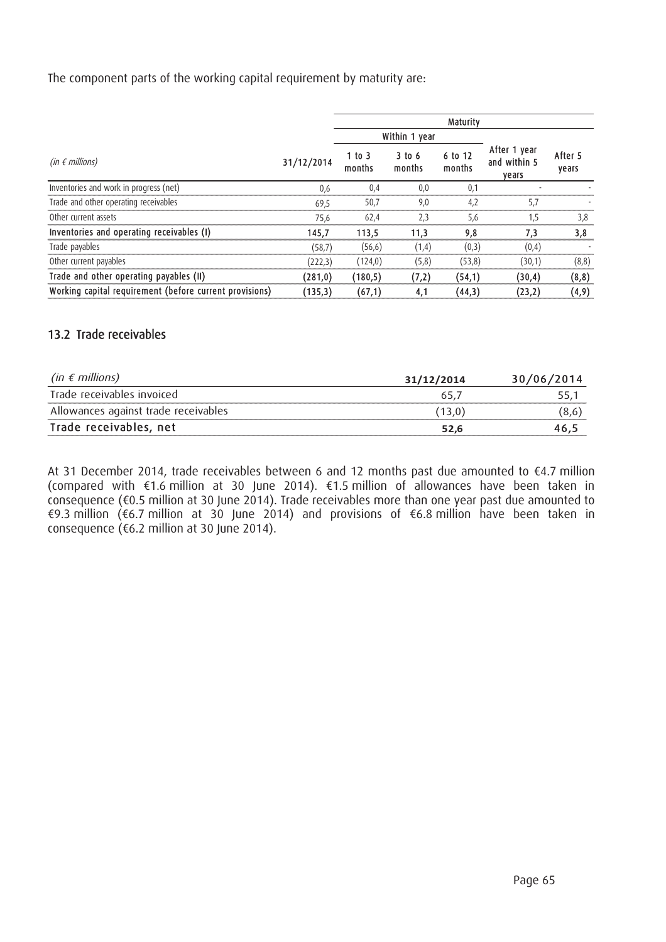The component parts of the working capital requirement by maturity are:

|                                                         |            | Maturity         |                    |                   |                                       |                  |  |  |
|---------------------------------------------------------|------------|------------------|--------------------|-------------------|---------------------------------------|------------------|--|--|
|                                                         |            |                  | Within 1 year      |                   |                                       |                  |  |  |
| (in $\epsilon$ millions)                                | 31/12/2014 | 1 to 3<br>months | $3$ to 6<br>months | 6 to 12<br>months | After 1 year<br>and within 5<br>years | After 5<br>years |  |  |
| Inventories and work in progress (net)                  | 0,6        | 0,4              | 0,0                | 0,1               |                                       |                  |  |  |
| Trade and other operating receivables                   | 69,5       | 50,7             | 9,0                | 4,2               | 5,7                                   |                  |  |  |
| Other current assets                                    | 75,6       | 62,4             | 2,3                | 5,6               | 1,5                                   | 3,8              |  |  |
| Inventories and operating receivables (I)               | 145,7      | 113,5            | 11,3               | 9,8               | 7,3                                   | 3,8              |  |  |
| Trade payables                                          | (58,7)     | (56, 6)          | (1,4)              | (0,3)             | (0,4)                                 |                  |  |  |
| Other current payables                                  | (222,3)    | (124, 0)         | (5,8)              | (53,8)            | (30,1)                                | (8,8)            |  |  |
| Trade and other operating payables (II)                 | (281, 0)   | (180, 5)         | (7,2)              | (54,1)            | (30, 4)                               | (8, 8)           |  |  |
| Working capital requirement (before current provisions) | (135,3)    | (67, 1)          | 4,1                | (44,3)            | (23,2)                                | (4, 9)           |  |  |

#### 13.2 Trade receivables

| (in $\epsilon$ millions)             | 31/12/2014 | 30/06/2014 |
|--------------------------------------|------------|------------|
| Trade receivables invoiced           | 65.7       | 55,1       |
| Allowances against trade receivables | (13.0)     | (8, 6)     |
| Trade receivables, net               | 52.6       | 46,5       |

At 31 December 2014, trade receivables between 6 and 12 months past due amounted to  $\epsilon$ 4.7 million (compared with  $\epsilon$ 1.6 million at 30 June 2014).  $\epsilon$ 1.5 million of allowances have been taken in consequence ( $\epsilon$ 0.5 million at 30 June 2014). Trade receivables more than one year past due amounted to €9.3 million (€6.7 million at 30 June 2014) and provisions of €6.8 million have been taken in consequence ( $6.2$  million at 30 June 2014).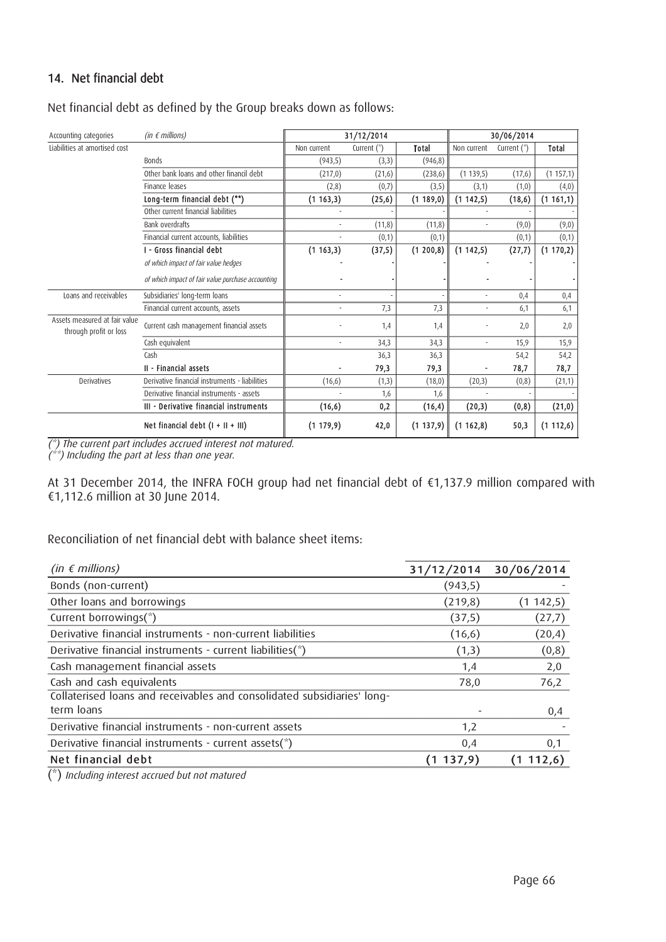# 14. Net financial debt

Net financial debt as defined by the Group breaks down as follows:

| Accounting categories                                   | (in $\epsilon$ millions)                          |             | 31/12/2014  |            | 30/06/2014     |             |          |
|---------------------------------------------------------|---------------------------------------------------|-------------|-------------|------------|----------------|-------------|----------|
| Liabilities at amortised cost                           |                                                   | Non current | Current (*) | Total      | Non current    | Current $($ | Total    |
|                                                         | <b>Bonds</b>                                      | (943, 5)    | (3,3)       | (946, 8)   |                |             |          |
|                                                         | Other bank loans and other financil debt          | (217,0)     | (21,6)      | (238,6)    | (1139,5)       | (17,6)      | (1157,1) |
|                                                         | Finance leases                                    | (2,8)       | (0,7)       | (3,5)      | (3,1)          | (1,0)       | (4,0)    |
|                                                         | Long-term financial debt (**)                     | (1163,3)    | (25, 6)     | (1189,0)   | (1142,5)       | (18,6)      | (1161,1) |
|                                                         | Other current financial liabilities               |             |             |            |                |             |          |
|                                                         | Bank overdrafts                                   |             | (11,8)      | (11,8)     |                | (9,0)       | (9,0)    |
|                                                         | Financial current accounts, liabilities           |             | (0,1)       | (0,1)      |                | (0,1)       | (0,1)    |
|                                                         | I - Gross financial debt                          | (1163,3)    | (37,5)      | (1 200, 8) | (1142,5)       | (27,7)      | (1170,2) |
|                                                         | of which impact of fair value hedges              |             |             |            |                |             |          |
|                                                         | of which impact of fair value purchase accounting |             |             |            |                |             |          |
| Loans and receivables                                   | Subsidiaries' long-term loans                     | ÷.          |             |            | ٠              | 0,4         | 0,4      |
|                                                         | Financial current accounts, assets                |             | 7,3         | 7,3        | $\overline{a}$ | 6,1         | 6,1      |
| Assets measured at fair value<br>through profit or loss | Current cash management financial assets          |             | 1,4         | 1,4        |                | 2,0         | 2,0      |
|                                                         | Cash equivalent                                   |             | 34,3        | 34,3       | $\overline{a}$ | 15,9        | 15,9     |
|                                                         | Cash                                              |             | 36,3        | 36,3       |                | 54,2        | 54,2     |
|                                                         | II - Financial assets                             |             | 79,3        | 79,3       |                | 78,7        | 78,7     |
| <b>Derivatives</b>                                      | Derivative financial instruments - liabilities    | (16, 6)     | (1,3)       | (18,0)     | (20,3)         | (0,8)       | (21,1)   |
|                                                         | Derivative financial instruments - assets         |             | 1,6         | 1,6        |                |             |          |
|                                                         | III - Derivative financial instruments            | (16, 6)     | 0,2         | (16, 4)    | (20,3)         | (0, 8)      | (21,0)   |
|                                                         | Net financial debt $(I + II + III)$               | (1179,9)    | 42,0        | (1137,9)   | (1162,8)       | 50,3        | (1112,6) |

(\*) The current part includes accrued interest not matured.

(\*\*) Including the part at less than one year.

At 31 December 2014, the INFRA FOCH group had net financial debt of  $£1,137.9$  million compared with €1,112.6 million at 30 June 2014.

#### Reconciliation of net financial debt with balance sheet items:

| (in $\epsilon$ millions)                                                | 31/12/2014 | 30/06/2014 |
|-------------------------------------------------------------------------|------------|------------|
| Bonds (non-current)                                                     | (943, 5)   |            |
| Other loans and borrowings                                              | (219,8)    | (1142,5)   |
| Current borrowings(*)                                                   | (37,5)     | (27,7)     |
| Derivative financial instruments - non-current liabilities              | (16, 6)    | (20, 4)    |
| Derivative financial instruments - current liabilities(*)               | (1,3)      | (0,8)      |
| Cash management financial assets                                        | 1,4        | 2,0        |
| Cash and cash equivalents                                               | 78,0       | 76,2       |
| Collaterised loans and receivables and consolidated subsidiaries' long- |            |            |
| term loans                                                              |            | 0,4        |
| Derivative financial instruments - non-current assets                   | 1,2        |            |
| Derivative financial instruments - current assets(*)                    | 0,4        | 0,1        |
| Net financial debt                                                      | (1137,9)   | 112,6)     |
|                                                                         |            |            |

(\*) Including interest accrued but not matured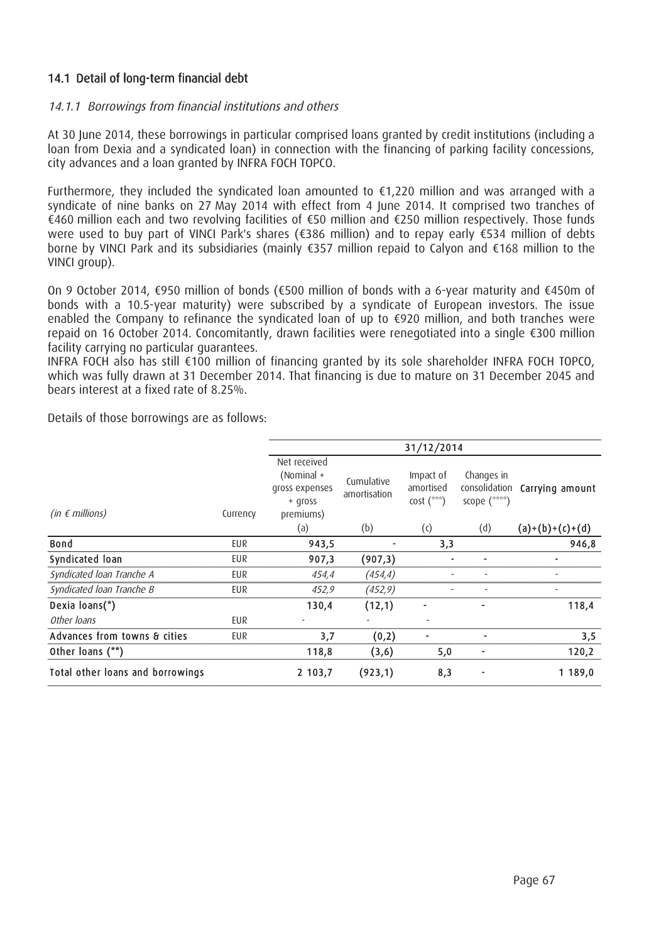## 14.1 Detail of long-term financial debt

#### 14.1.1 Borrowings from financial institutions and others

At 30 June 2014, these borrowings in particular comprised loans granted by credit institutions (including a loan from Dexia and a syndicated loan) in connection with the financing of parking facility concessions, city advances and a loan granted by INFRA FOCH TOPCO.

Furthermore, they included the syndicated loan amounted to  $f(1,220)$  million and was arranged with a syndicate of nine banks on 27 May 2014 with effect from 4 June 2014. It comprised two tranches of €460 million each and two revolving facilities of €50 million and €250 million respectively. Those funds were used to buy part of VINCI Park's shares (€386 million) and to repay early €534 million of debts borne by VINCI Park and its subsidiaries (mainly  $\epsilon$ 357 million repaid to Calyon and  $\epsilon$ 168 million to the VINCI group).

On 9 October 2014,  $\epsilon$ 950 million of bonds ( $\epsilon$ 500 million of bonds with a 6-year maturity and  $\epsilon$ 450m of bonds with a 10.5-year maturity) were subscribed by a syndicate of European investors. The issue enabled the Company to refinance the syndicated loan of up to  $\epsilon$ 920 million, and both tranches were repaid on 16 October 2014. Concomitantly, drawn facilities were renegotiated into a single €300 million facility carrying no particular guarantees.

INFRA FOCH also has still  $\epsilon$ 100 million of financing granted by its sole shareholder INFRA FOCH TOPCO, which was fully drawn at 31 December 2014. That financing is due to mature on 31 December 2045 and bears interest at a fixed rate of 8.25%.

Details of those borrowings are as follows:

| (in $\epsilon$ millions)         |            | 31/12/2014                                                           |                            |                                        |                                              |                   |
|----------------------------------|------------|----------------------------------------------------------------------|----------------------------|----------------------------------------|----------------------------------------------|-------------------|
|                                  | Currency   | Net received<br>(Nominal +<br>gross expenses<br>+ qross<br>premiums) | Cumulative<br>amortisation | Impact of<br>amortised<br>$cost$ (***) | Changes in<br>consolidation<br>scope (*****) | Carrying amount   |
|                                  |            | (a)                                                                  | (b)                        | (c)                                    | (d)                                          | $(a)+(b)+(c)+(d)$ |
| Bond                             | <b>EUR</b> | 943,5                                                                |                            | 3,3                                    |                                              | 946,8             |
| Syndicated loan                  | <b>EUR</b> | 907,3                                                                | (907, 3)                   | ٠                                      |                                              |                   |
| Syndicated Ioan Tranche A        | EUR        | 454,4                                                                | (454, 4)                   |                                        |                                              |                   |
| Syndicated Ioan Tranche B        | <b>EUR</b> | 452,9                                                                | (452, 9)                   |                                        |                                              |                   |
| Dexia loans(*)                   |            | 130,4                                                                | (12,1)                     |                                        | ٠                                            | 118,4             |
| Other loans                      | <b>EUR</b> |                                                                      |                            | ٠                                      |                                              |                   |
| Advances from towns & cities     | EUR        | 3,7                                                                  | (0,2)                      | ٠                                      |                                              | 3,5               |
| Other loans (**)                 |            | 118,8                                                                | (3,6)                      | 5,0                                    | ٠                                            | 120,2             |
| Total other loans and borrowings |            | 2 103,7                                                              | (923, 1)                   | 8,3                                    |                                              | 1 189,0           |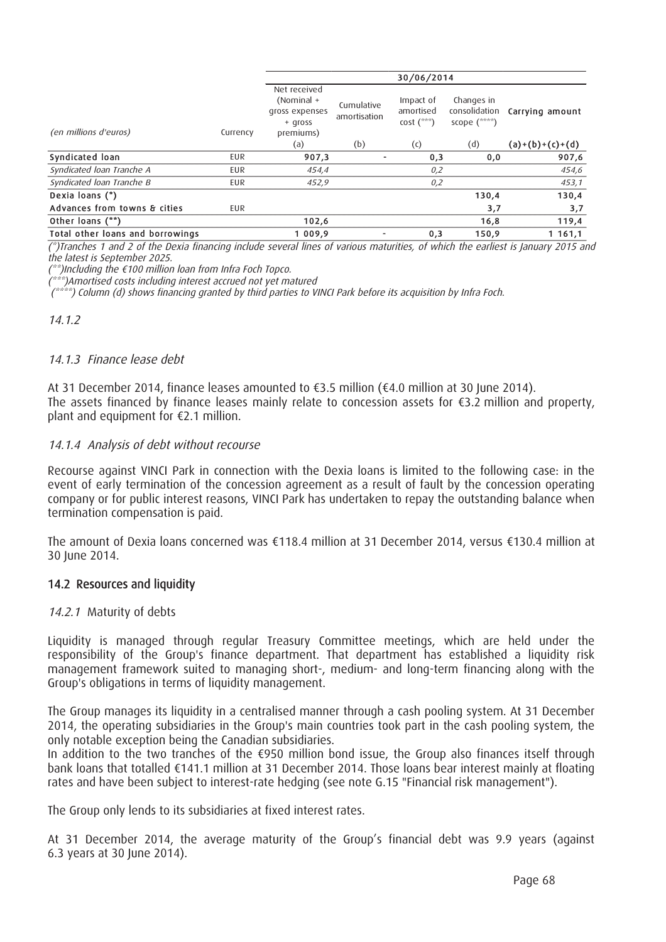|                                  |            | 30/06/2014                                                             |                            |                                        |                             |                               |
|----------------------------------|------------|------------------------------------------------------------------------|----------------------------|----------------------------------------|-----------------------------|-------------------------------|
| (en millions d'euros)            | Currency   | Net received<br>(Nominal +<br>gross expenses<br>$+$ qross<br>premiums) | Cumulative<br>amortisation | Impact of<br>amortised<br>$cost$ (***) | Changes in<br>scope (*****) | consolidation Carrying amount |
|                                  |            | (a)                                                                    | (b)                        | (c)                                    | (d)                         | $(a)+(b)+(c)+(d)$             |
| Syndicated loan                  | EUR        | 907,3                                                                  |                            | 0,3                                    | 0,0                         | 907,6                         |
| Syndicated Ioan Tranche A        | <b>EUR</b> | 454,4                                                                  |                            | 0,2                                    |                             | 454,6                         |
| Syndicated Ioan Tranche B        | EUR        | 452,9                                                                  |                            | 0,2                                    |                             | 453,1                         |
| Dexia loans (*)                  |            |                                                                        |                            |                                        | 130,4                       | 130,4                         |
| Advances from towns & cities     | EUR        |                                                                        |                            |                                        | 3,7                         | 3,7                           |
| Other loans (**)                 |            | 102,6                                                                  |                            |                                        | 16,8                        | 119,4                         |
| Total other loans and borrowings |            | 1 009,9                                                                |                            | 0,3                                    | 150,9                       | 1 161.1                       |

 $\overline{(^{\circ})}$ Tranches 1 and 2 of the Dexia financing include several lines of various maturities, of which the earliest is January 2015 and<br>the latest is September 2025. the latest is September 2025.

(\*\*)Including the  $\epsilon$ 100 million loan from Infra Foch Topco.

(\*\*\*)Amortised costs including interest accrued not yet matured

(\*\*\*\*) Column (d) shows financing granted by third parties to VINCI Park before its acquisition by Infra Foch.

#### 14.1.2

#### 14.1.3 Finance lease debt

At 31 December 2014, finance leases amounted to  $\epsilon$ 3.5 million ( $\epsilon$ 4.0 million at 30 June 2014). The assets financed by finance leases mainly relate to concession assets for  $\epsilon$ 3.2 million and property, plant and equipment for  $E$ 2.1 million.

#### 14.1.4 Analysis of debt without recourse

Recourse against VINCI Park in connection with the Dexia loans is limited to the following case: in the event of early termination of the concession agreement as a result of fault by the concession operating company or for public interest reasons, VINCI Park has undertaken to repay the outstanding balance when termination compensation is paid.

The amount of Dexia loans concerned was €118.4 million at 31 December 2014, versus €130.4 million at 30 June 2014.

#### 14.2 Resources and liquidity

#### 14.2.1 Maturity of debts

Liquidity is managed through regular Treasury Committee meetings, which are held under the responsibility of the Group's finance department. That department has established a liquidity risk management framework suited to managing short-, medium- and long-term financing along with the Group's obligations in terms of liquidity management.

The Group manages its liquidity in a centralised manner through a cash pooling system. At 31 December 2014, the operating subsidiaries in the Group's main countries took part in the cash pooling system, the only notable exception being the Canadian subsidiaries.

In addition to the two tranches of the  $\epsilon$ 950 million bond issue, the Group also finances itself through bank loans that totalled €141.1 million at 31 December 2014. Those loans bear interest mainly at floating rates and have been subject to interest-rate hedging (see note G.15 "Financial risk management").

The Group only lends to its subsidiaries at fixed interest rates.

At 31 December 2014, the average maturity of the Group's financial debt was 9.9 years (against 6.3 years at 30 June 2014).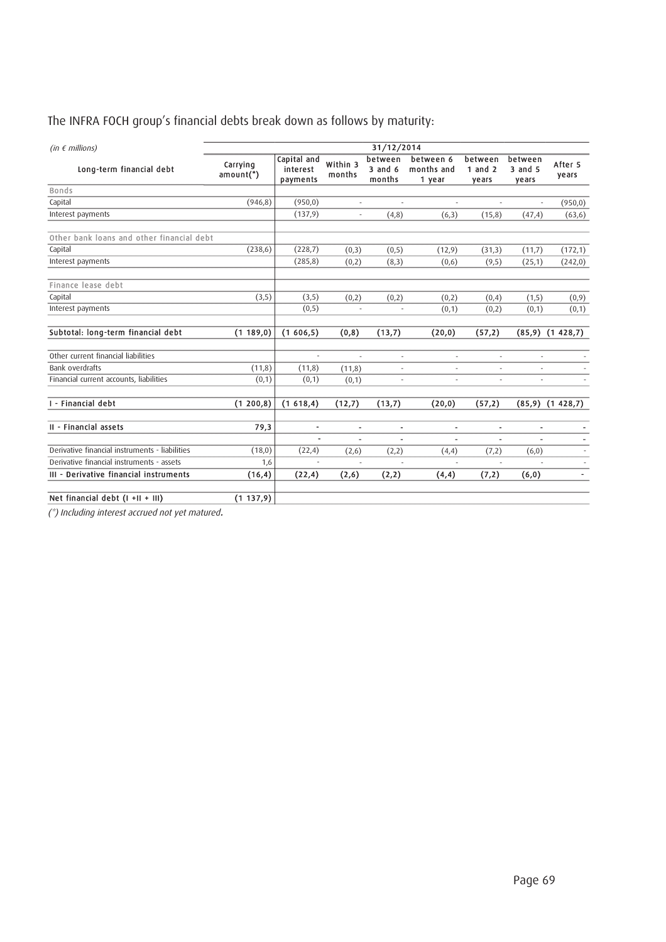# The INFRA FOCH group's financial debts break down as follows by maturity:

| (in $\epsilon$ millions)                       |                       |                                     |                          | 31/12/2014                       |                                   |                               |                                 |                     |
|------------------------------------------------|-----------------------|-------------------------------------|--------------------------|----------------------------------|-----------------------------------|-------------------------------|---------------------------------|---------------------|
| Long-term financial debt                       | Carrying<br>amount(*) | Capital and<br>interest<br>payments | Within 3<br>months       | between<br>$3$ and $6$<br>months | between 6<br>months and<br>1 year | between<br>1 and $2$<br>years | between<br>$3$ and $5$<br>years | After 5<br>years    |
| <b>Bonds</b>                                   |                       |                                     |                          |                                  |                                   |                               |                                 |                     |
| Capital                                        | (946, 8)              | (950, 0)                            |                          |                                  |                                   |                               |                                 | (950, 0)            |
| Interest payments                              |                       | (137,9)                             |                          | (4,8)                            | (6,3)                             | (15,8)                        | (47, 4)                         | (63, 6)             |
| Other bank loans and other financial debt      |                       |                                     |                          |                                  |                                   |                               |                                 |                     |
| Capital                                        | (238,6)               | (228,7)                             | (0,3)                    | (0, 5)                           | (12, 9)                           | (31,3)                        | (11,7)                          | (172,1)             |
| Interest payments                              |                       | (285, 8)                            | (0,2)                    | (8,3)                            | (0,6)                             | (9,5)                         | (25,1)                          | (242,0)             |
| Finance lease debt                             |                       |                                     |                          |                                  |                                   |                               |                                 |                     |
| Capital                                        | (3,5)                 | (3,5)                               | (0,2)                    | (0,2)                            | (0,2)                             | (0,4)                         | (1,5)                           | (0, 9)              |
| Interest payments                              |                       | (0,5)                               |                          |                                  | (0,1)                             | (0,2)                         | (0,1)                           | (0,1)               |
| Subtotal: long-term financial debt             | (1189,0)              | (1606.5)                            | (0,8)                    | (13,7)                           | (20, 0)                           | (57,2)                        |                                 | $(85,9)$ $(1428,7)$ |
| Other current financial liabilities            |                       |                                     |                          |                                  | $\overline{a}$                    | ÷.                            |                                 |                     |
| Bank overdrafts                                | (11,8)                | (11,8)                              | (11,8)                   |                                  | $\sim$                            | ÷,                            |                                 |                     |
| Financial current accounts, liabilities        | (0,1)                 | (0,1)                               | (0,1)                    |                                  | ÷,                                | ä,                            |                                 |                     |
| I - Financial debt                             | (1200,8)              | (1618,4)                            | (12,7)                   | (13,7)                           | (20, 0)                           | (57,2)                        |                                 | $(85,9)$ $(1428,7)$ |
| II - Financial assets                          | 79,3                  | ٠                                   | $\overline{\phantom{a}}$ | $\blacksquare$                   | $\blacksquare$                    | $\blacksquare$                |                                 |                     |
|                                                |                       |                                     | ÷                        |                                  |                                   |                               |                                 |                     |
| Derivative financial instruments - liabilities | (18,0)                | (22,4)                              | (2,6)                    | (2,2)                            | (4,4)                             | (7,2)                         | (6,0)                           |                     |
| Derivative financial instruments - assets      | 1,6                   |                                     |                          |                                  |                                   |                               |                                 |                     |
| III - Derivative financial instruments         | (16, 4)               | (22, 4)                             | (2,6)                    | (2,2)                            | (4, 4)                            | (7,2)                         | (6, 0)                          |                     |
| Net financial debt $(I + II + III)$            | (1137,9)              |                                     |                          |                                  |                                   |                               |                                 |                     |

(\*) Including interest accrued not yet matured.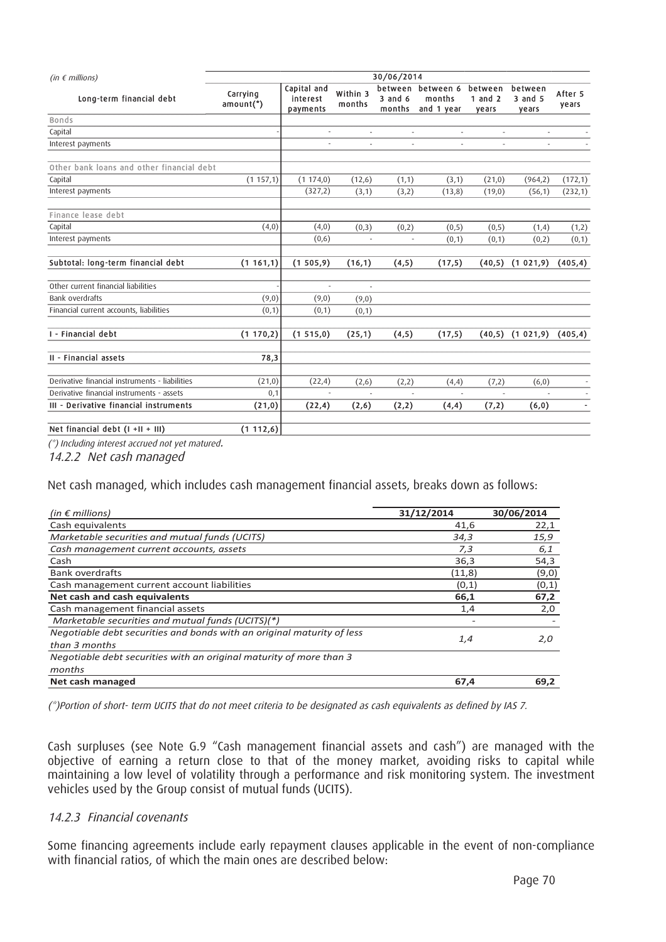| (in $\epsilon$ millions)                       |                       |                                     |                    | 30/06/2014            |                                           |                               |                                 |                  |
|------------------------------------------------|-----------------------|-------------------------------------|--------------------|-----------------------|-------------------------------------------|-------------------------------|---------------------------------|------------------|
| Long-term financial debt                       | Carrying<br>amount(*) | Capital and<br>interest<br>payments | Within 3<br>months | $3$ and $6$<br>months | between between 6<br>months<br>and 1 year | between<br>1 and $2$<br>years | between<br>$3$ and $5$<br>years | After 5<br>years |
| <b>Bonds</b>                                   |                       |                                     |                    |                       |                                           |                               |                                 |                  |
| Capital                                        |                       | ÷                                   | ÷,                 | $\omega$              | $\omega$                                  | $\sim$                        | $\omega$                        |                  |
| Interest payments                              |                       |                                     |                    |                       |                                           |                               |                                 |                  |
| Other bank loans and other financial debt      |                       |                                     |                    |                       |                                           |                               |                                 |                  |
| Capital                                        | (1157,1)              | (1174,0)                            | (12,6)             | (1,1)                 | (3,1)                                     | (21,0)                        | (964,2)                         | (172,1)          |
| Interest payments                              |                       | (327,2)                             | (3,1)              | (3,2)                 | (13,8)                                    | (19,0)                        | (56,1)                          | (232,1)          |
| Finance lease debt                             |                       |                                     |                    |                       |                                           |                               |                                 |                  |
| Capital                                        | (4,0)                 | (4,0)                               | (0,3)              | (0,2)                 | (0,5)                                     | (0,5)                         | (1,4)                           | (1,2)            |
| Interest payments                              |                       | (0,6)                               |                    |                       | (0,1)                                     | (0,1)                         | (0,2)                           | (0,1)            |
| Subtotal: long-term financial debt             | (1161,1)              | (1505, 9)                           | (16, 1)            | (4,5)                 | (17,5)                                    | (40, 5)                       | (1 021, 9)                      | (405, 4)         |
| Other current financial liabilities            |                       | $\sim$                              | ÷.                 |                       |                                           |                               |                                 |                  |
| <b>Bank overdrafts</b>                         | (9,0)                 | (9,0)                               | (9,0)              |                       |                                           |                               |                                 |                  |
| Financial current accounts, liabilities        | (0,1)                 | (0,1)                               | (0,1)              |                       |                                           |                               |                                 |                  |
| I - Financial debt                             | (1170,2)              | (1515,0)                            | (25,1)             | (4, 5)                | (17,5)                                    | (40, 5)                       | (1021,9)                        | (405, 4)         |
| II - Financial assets                          | 78,3                  |                                     |                    |                       |                                           |                               |                                 |                  |
| Derivative financial instruments - liabilities | (21,0)                | (22,4)                              | (2,6)              | (2,2)                 | (4,4)                                     | (7,2)                         | (6,0)                           |                  |
| Derivative financial instruments - assets      | 0,1                   |                                     |                    |                       |                                           |                               |                                 |                  |
| III - Derivative financial instruments         | (21,0)                | (22, 4)                             | (2,6)              | (2,2)                 | (4, 4)                                    | (7,2)                         | (6, 0)                          |                  |
| Net financial debt $(I + II + III)$            | (1112,6)              |                                     |                    |                       |                                           |                               |                                 |                  |

(\*) Including interest accrued not yet matured.

14.2.2 Net cash managed

Net cash managed, which includes cash management financial assets, breaks down as follows:

| (in $\epsilon$ millions)                                               | 31/12/2014 | 30/06/2014 |
|------------------------------------------------------------------------|------------|------------|
| Cash equivalents                                                       | 41,6       | 22,1       |
| Marketable securities and mutual funds (UCITS)                         | 34,3       | 15,9       |
| Cash management current accounts, assets                               | 7,3        | 6,1        |
| Cash                                                                   | 36,3       | 54,3       |
| <b>Bank overdrafts</b>                                                 | (11,8)     | (9,0)      |
| Cash management current account liabilities                            | (0,1)      | (0,1)      |
| Net cash and cash equivalents                                          | 66,1       | 67,2       |
| Cash management financial assets                                       | 1,4        | 2,0        |
| Marketable securities and mutual funds (UCITS)(*)                      |            |            |
| Negotiable debt securities and bonds with an original maturity of less |            |            |
| than 3 months                                                          | 1,4        | 2,0        |
| Negotiable debt securities with an original maturity of more than 3    |            |            |
| months                                                                 |            |            |
| Net cash managed                                                       | 67,4       | 69,2       |

(\*)Portion of short- term UCITS that do not meet criteria to be designated as cash equivalents as defined by IAS 7.

Cash surpluses (see Note G.9 "Cash management financial assets and cash") are managed with the objective of earning a return close to that of the money market, avoiding risks to capital while maintaining a low level of volatility through a performance and risk monitoring system. The investment vehicles used by the Group consist of mutual funds (UCITS).

#### 14.2.3 Financial covenants

Some financing agreements include early repayment clauses applicable in the event of non-compliance with financial ratios, of which the main ones are described below: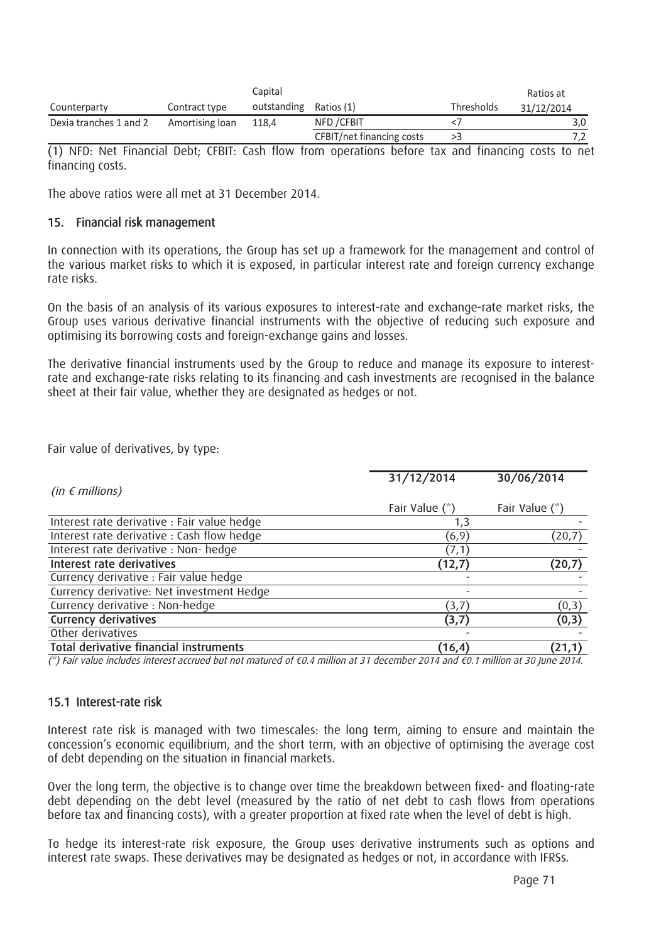|                        |                 | Capital                |                           |            | Ratios at  |
|------------------------|-----------------|------------------------|---------------------------|------------|------------|
| Counterparty           | Contract type   | outstanding Ratios (1) |                           | Thresholds | 31/12/2014 |
| Dexia tranches 1 and 2 | Amortising loan | 118.4                  | NFD / CFBIT               |            |            |
|                        |                 |                        | CFBIT/net financing costs |            |            |

(1) NFD: Net Financial Debt; CFBIT: Cash flow from operations before tax and financing costs to net financing costs.

The above ratios were all met at 31 December 2014.

#### 15. Financial risk management

In connection with its operations, the Group has set up a framework for the management and control of the various market risks to which it is exposed, in particular interest rate and foreign currency exchange rate risks.

On the basis of an analysis of its various exposures to interest-rate and exchange-rate market risks, the Group uses various derivative financial instruments with the objective of reducing such exposure and optimising its borrowing costs and foreign-exchange gains and losses.

The derivative financial instruments used by the Group to reduce and manage its exposure to interestrate and exchange-rate risks relating to its financing and cash investments are recognised in the balance sheet at their fair value, whether they are designated as hedges or not.

Fair value of derivatives, by type:

|                                               | 31/12/2014     | 30/06/2014     |
|-----------------------------------------------|----------------|----------------|
| (in $\epsilon$ millions)                      |                |                |
|                                               | Fair Value (*) | Fair Value (*) |
| Interest rate derivative : Fair value hedge   | 1,3            |                |
| Interest rate derivative : Cash flow hedge    | (6, 9)         | (20,7)         |
| Interest rate derivative : Non- hedge         | (7,1)          |                |
| Interest rate derivatives                     | (12,7)         | (20,7)         |
| Currency derivative : Fair value hedge        |                |                |
| Currency derivative: Net investment Hedge     |                |                |
| Currency derivative : Non-hedge               | (3,7)          | (0, 3)         |
| <b>Currency derivatives</b>                   | (3,7)          | (0, 3)         |
| Other derivatives                             |                |                |
| <b>Total derivative financial instruments</b> | (16, 4)        | (21,1)         |

(\*) Fair value includes interest accrued but not matured of  $\epsilon 0.4$  million at 31 december 2014 and  $\epsilon 0.1$  million at 30 June 2014.

#### 15.1 Interest-rate risk

Interest rate risk is managed with two timescales: the long term, aiming to ensure and maintain the concession's economic equilibrium, and the short term, with an objective of optimising the average cost of debt depending on the situation in financial markets.

Over the long term, the objective is to change over time the breakdown between fixed- and floating-rate debt depending on the debt level (measured by the ratio of net debt to cash flows from operations before tax and financing costs), with a greater proportion at fixed rate when the level of debt is high.

To hedge its interest-rate risk exposure, the Group uses derivative instruments such as options and interest rate swaps. These derivatives may be designated as hedges or not, in accordance with IFRSs.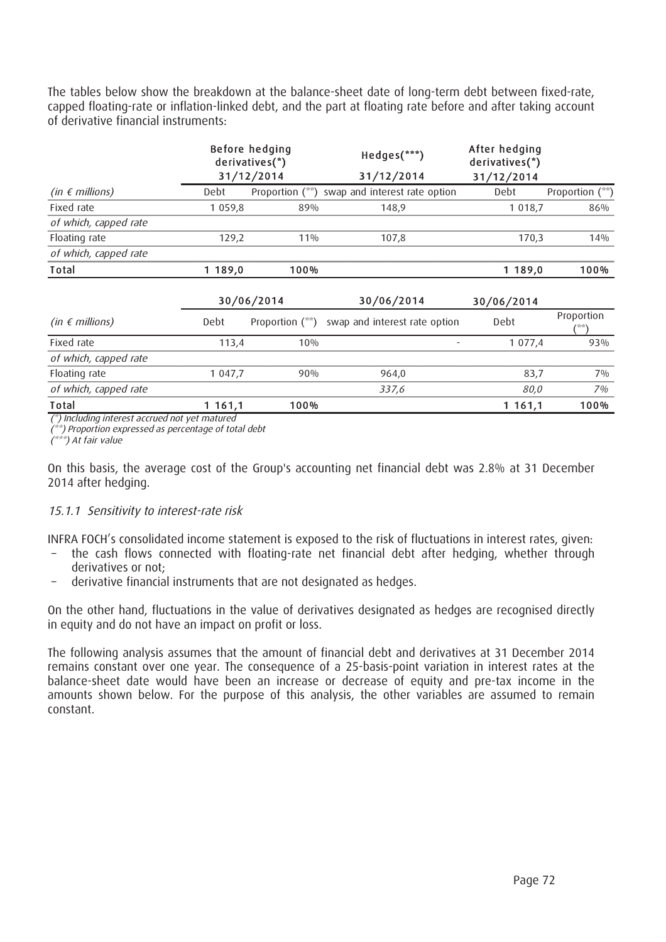The tables below show the breakdown at the balance-sheet date of long-term debt between fixed-rate, capped floating-rate or inflation-linked debt, and the part at floating rate before and after taking account of derivative financial instruments:

|                          |            | Before hedging<br>derivatives(*)<br>31/12/2014 | Hedges(***)<br>31/12/2014     | After hedging<br>derivatives(*)<br>31/12/2014 |                 |
|--------------------------|------------|------------------------------------------------|-------------------------------|-----------------------------------------------|-----------------|
| (in $\epsilon$ millions) | Debt       | Proportion (**)                                | swap and interest rate option | Debt                                          | Proportion (**) |
| Fixed rate               | 1 0 5 9, 8 | 89%                                            | 148,9                         | 1 0 1 8 , 7                                   | 86%             |
| of which, capped rate    |            |                                                |                               |                                               |                 |
| Floating rate            | 129,2      | $11\%$                                         | 107,8                         | 170,3                                         | 14%             |
| of which, capped rate    |            |                                                |                               |                                               |                 |
| Total                    | 1 189,0    | 100%                                           |                               | 1 189,0                                       | 100%            |
|                          |            | 30/06/2014                                     | 30/06/2014                    | 30/06/2014                                    |                 |
| (in $\epsilon$ millions) | Debt       | Proportion (***)                               | swap and interest rate option | Debt                                          | Proportion      |
| Fixed rate               | 113,4      | 10%                                            |                               | 1 077,4                                       | 93%             |

| <b>Total</b>          | 1 161.1 | 100%  |       | 1 161.1 | 100% |
|-----------------------|---------|-------|-------|---------|------|
| of which, capped rate |         |       | 337.6 | 80.0    | 70/0 |
| Floating rate         | 1 047.7 | 90%   | 964.0 | 83.7    | 7%   |
| of which, capped rate |         |       |       |         |      |
| <b>TIVE A TOLE</b>    | .       | 10.70 |       | 1.911.7 | ノフツ  |

(\*) Including interest accrued not yet matured

(\*\*) Proportion expressed as percentage of total debt

(\*\*\*) At fair value

On this basis, the average cost of the Group's accounting net financial debt was 2.8% at 31 December 2014 after hedging.

#### 15.1.1 Sensitivity to interest-rate risk

INFRA FOCH's consolidated income statement is exposed to the risk of fluctuations in interest rates, given:

- the cash flows connected with floating-rate net financial debt after hedging, whether through derivatives or not;
- derivative financial instruments that are not designated as hedges.

On the other hand, fluctuations in the value of derivatives designated as hedges are recognised directly in equity and do not have an impact on profit or loss.

The following analysis assumes that the amount of financial debt and derivatives at 31 December 2014 remains constant over one year. The consequence of a 25-basis-point variation in interest rates at the balance-sheet date would have been an increase or decrease of equity and pre-tax income in the amounts shown below. For the purpose of this analysis, the other variables are assumed to remain constant.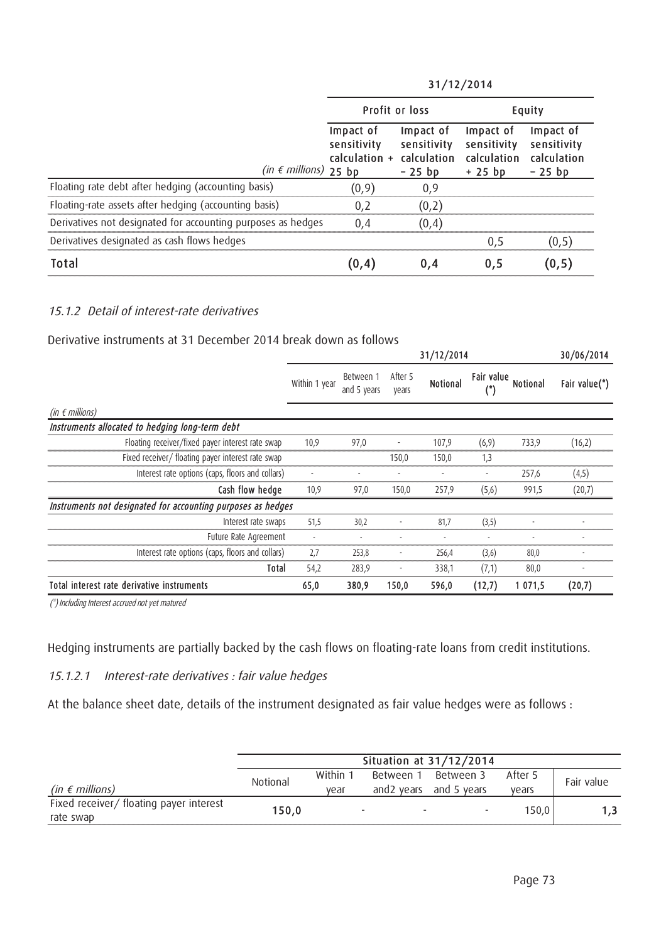|                                                              |                                           | 31/12/2014                                          |                                                     |                                                     |  |
|--------------------------------------------------------------|-------------------------------------------|-----------------------------------------------------|-----------------------------------------------------|-----------------------------------------------------|--|
|                                                              | Profit or loss                            |                                                     |                                                     | Equity                                              |  |
| (in $\epsilon$ millions) 25 bp                               | Impact of<br>sensitivity<br>calculation + | Impact of<br>sensitivity<br>calculation<br>$-25$ bp | Impact of<br>sensitivity<br>calculation<br>$+25$ bp | Impact of<br>sensitivity<br>calculation<br>$-25$ bp |  |
| Floating rate debt after hedging (accounting basis)          | (0,9)                                     | 0,9                                                 |                                                     |                                                     |  |
| Floating-rate assets after hedging (accounting basis)        | 0,2                                       | (0,2)                                               |                                                     |                                                     |  |
| Derivatives not designated for accounting purposes as hedges | 0,4                                       | (0,4)                                               |                                                     |                                                     |  |
| Derivatives designated as cash flows hedges                  |                                           |                                                     | 0,5                                                 | (0, 5)                                              |  |
| <b>Total</b>                                                 | (0, 4)                                    | 0,4                                                 | 0,5                                                 | (0, 5)                                              |  |

# 15.1.2 Detail of interest-rate derivatives

Derivative instruments at 31 December 2014 break down as follows

|                                                              | 31/12/2014    |                          |                  |          |            | 30/06/2014 |               |
|--------------------------------------------------------------|---------------|--------------------------|------------------|----------|------------|------------|---------------|
|                                                              | Within 1 year | Between 1<br>and 5 years | After 5<br>years | Notional | Fair value | Notional   | Fair value(*) |
| (in $\epsilon$ millions)                                     |               |                          |                  |          |            |            |               |
| Instruments allocated to hedging long-term debt              |               |                          |                  |          |            |            |               |
| Floating receiver/fixed payer interest rate swap             | 10,9          | 97,0                     | ٠                | 107,9    | (6, 9)     | 733,9      | (16,2)        |
| Fixed receiver/ floating payer interest rate swap            |               |                          | 150,0            | 150,0    | 1,3        |            |               |
| Interest rate options (caps, floors and collars)             |               |                          |                  |          |            | 257,6      | (4,5)         |
| Cash flow hedge                                              | 10,9          | 97,0                     | 150,0            | 257,9    | (5,6)      | 991,5      | (20,7)        |
| Instruments not designated for accounting purposes as hedges |               |                          |                  |          |            |            |               |
| Interest rate swaps                                          | 51,5          | 30,2                     |                  | 81,7     | (3,5)      |            |               |
| Future Rate Agreement                                        |               |                          |                  |          |            |            |               |
| Interest rate options (caps, floors and collars)             | 2,7           | 253,8                    |                  | 256,4    | (3,6)      | 80,0       |               |
| Total                                                        | 54,2          | 283,9                    | ٠                | 338,1    | (7,1)      | 80,0       |               |
| Total interest rate derivative instruments                   | 65,0          | 380,9                    | 150,0            | 596,0    | (12,7)     | 1 071,5    | (20,7)        |

(\*) Including Interest accrued not yet matured

Hedging instruments are partially backed by the cash flows on floating-rate loans from credit institutions.

## 15.1.2.1 Interest-rate derivatives : fair value hedges

At the balance sheet date, details of the instrument designated as fair value hedges were as follows :

|                                                      | Situation at $31/12/2014$ |          |           |                         |         |            |  |
|------------------------------------------------------|---------------------------|----------|-----------|-------------------------|---------|------------|--|
|                                                      | Notional                  | Within 1 | Between 1 | Between 3               | After 5 | Fair value |  |
| (in $\epsilon$ millions)                             |                           | vear     |           | and 2 years and 5 years | vears   |            |  |
| Fixed receiver/ floating payer interest<br>rate swap | 150.0                     |          |           |                         | 150,0   |            |  |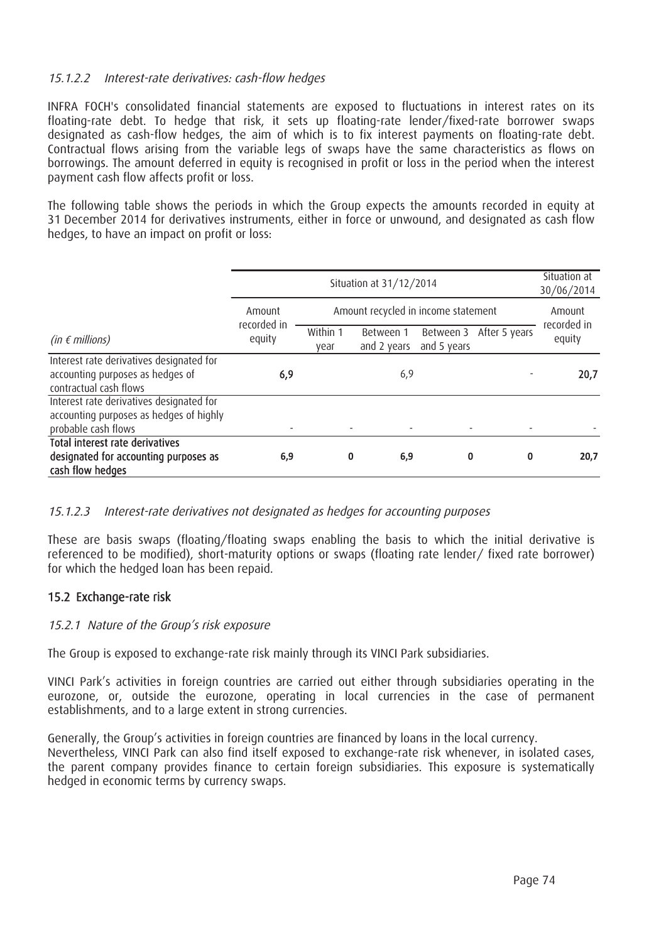### 15.1.2.2 Interest-rate derivatives: cash-flow hedges

INFRA FOCH's consolidated financial statements are exposed to fluctuations in interest rates on its floating-rate debt. To hedge that risk, it sets up floating-rate lender/fixed-rate borrower swaps designated as cash-flow hedges, the aim of which is to fix interest payments on floating-rate debt. Contractual flows arising from the variable legs of swaps have the same characteristics as flows on borrowings. The amount deferred in equity is recognised in profit or loss in the period when the interest payment cash flow affects profit or loss.

The following table shows the periods in which the Group expects the amounts recorded in equity at 31 December 2014 for derivatives instruments, either in force or unwound, and designated as cash flow hedges, to have an impact on profit or loss:

|                                                                                                            |                       | Situation at<br>30/06/2014 |                                     |             |                         |                       |
|------------------------------------------------------------------------------------------------------------|-----------------------|----------------------------|-------------------------------------|-------------|-------------------------|-----------------------|
|                                                                                                            | Amount                |                            | Amount recycled in income statement |             |                         | Amount                |
| (in $\epsilon$ millions)                                                                                   | recorded in<br>equity | Within 1<br>year           | Between 1<br>and 2 years            | and 5 years | Between 3 After 5 years | recorded in<br>equity |
| Interest rate derivatives designated for<br>accounting purposes as hedges of<br>contractual cash flows     | 6,9                   |                            | 6,9                                 |             |                         | 20,7                  |
| Interest rate derivatives designated for<br>accounting purposes as hedges of highly<br>probable cash flows |                       |                            |                                     |             |                         |                       |
| <b>Total interest rate derivatives</b><br>designated for accounting purposes as<br>cash flow hedges        | 6,9                   | 0                          | 6,9                                 | 0           | 0                       | 20,7                  |

#### 15.1.2.3 Interest-rate derivatives not designated as hedges for accounting purposes

These are basis swaps (floating/floating swaps enabling the basis to which the initial derivative is referenced to be modified), short-maturity options or swaps (floating rate lender/ fixed rate borrower) for which the hedged loan has been repaid.

#### 15.2 Exchange-rate risk

#### 15.2.1 Nature of the Group's risk exposure

The Group is exposed to exchange-rate risk mainly through its VINCI Park subsidiaries.

VINCI Park's activities in foreign countries are carried out either through subsidiaries operating in the eurozone, or, outside the eurozone, operating in local currencies in the case of permanent establishments, and to a large extent in strong currencies.

Generally, the Group's activities in foreign countries are financed by loans in the local currency. Nevertheless, VINCI Park can also find itself exposed to exchange-rate risk whenever, in isolated cases, the parent company provides finance to certain foreign subsidiaries. This exposure is systematically hedged in economic terms by currency swaps.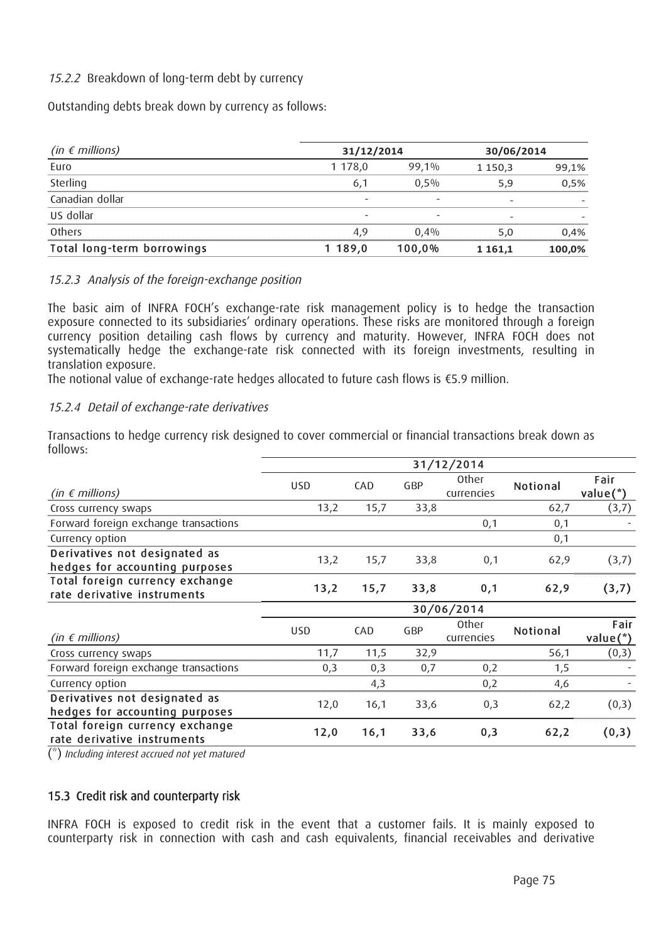### 15.2.2 Breakdown of long-term debt by currency

Outstanding debts break down by currency as follows:

| (in $\epsilon$ millions)   | 31/12/2014 | 30/06/2014 |                          |        |
|----------------------------|------------|------------|--------------------------|--------|
| Euro                       | 1 178,0    | 99.1%      | 1 1 5 0 , 3              | 99,1%  |
| Sterling                   | 6,1        | $0.5\%$    | 5,9                      | 0,5%   |
| Canadian dollar            |            |            | $\overline{\phantom{0}}$ |        |
| US dollar                  |            |            |                          |        |
| Others                     | 4.9        | $0.4\%$    | 5,0                      | 0,4%   |
| Total long-term borrowings | 1 189,0    | 100,0%     | 1 1 6 1 , 1              | 100,0% |

#### 15.2.3 Analysis of the foreign-exchange position

The basic aim of INFRA FOCH's exchange-rate risk management policy is to hedge the transaction exposure connected to its subsidiaries' ordinary operations. These risks are monitored through a foreign currency position detailing cash flows by currency and maturity. However, INFRA FOCH does not systematically hedge the exchange-rate risk connected with its foreign investments, resulting in translation exposure.

The notional value of exchange-rate hedges allocated to future cash flows is  $\epsilon$ 5.9 million.

### 15.2.4 Detail of exchange-rate derivatives

Transactions to hedge currency risk designed to cover commercial or financial transactions break down as follows:

|                                                                 | 31/12/2014 |      |      |                     |          |                    |  |
|-----------------------------------------------------------------|------------|------|------|---------------------|----------|--------------------|--|
| (in $\epsilon$ millions)                                        | <b>USD</b> | CAD  | GBP  | Other<br>currencies | Notional | Fair<br>$value(*)$ |  |
| Cross currency swaps                                            | 13,2       | 15,7 | 33,8 |                     | 62,7     | (3,7)              |  |
| Forward foreign exchange transactions                           |            |      |      | 0,1                 | 0,1      |                    |  |
| Currency option                                                 |            |      |      |                     | 0,1      |                    |  |
| Derivatives not designated as<br>hedges for accounting purposes | 13,2       | 15,7 | 33,8 | 0,1                 | 62,9     | (3,7)              |  |
| Total foreign currency exchange<br>rate derivative instruments  | 13,2       | 15,7 | 33,8 | 0,1                 | 62,9     | (3,7)              |  |
|                                                                 |            |      |      | 30/06/2014          |          |                    |  |
| (in $\epsilon$ millions)                                        | <b>USD</b> | CAD  | GBP  | Other<br>currencies | Notional | Fair<br>$value(*)$ |  |
| Cross currency swaps                                            | 11,7       | 11,5 | 32,9 |                     | 56,1     | (0,3)              |  |
| Forward foreign exchange transactions                           | 0,3        | 0,3  | 0,7  | 0,2                 | 1,5      |                    |  |
| Currency option                                                 |            | 4,3  |      | 0,2                 | 4,6      |                    |  |
| Derivatives not designated as<br>hedges for accounting purposes | 12,0       | 16,1 | 33,6 | 0,3                 | 62,2     | (0,3)              |  |
| Total foreign currency exchange<br>rate derivative instruments  | 12,0       | 16,1 | 33,6 | 0,3                 | 62,2     | (0,3)              |  |

(\*) Including interest accrued not yet matured

## 15.3 Credit risk and counterparty risk

INFRA FOCH is exposed to credit risk in the event that a customer fails. It is mainly exposed to counterparty risk in connection with cash and cash equivalents, financial receivables and derivative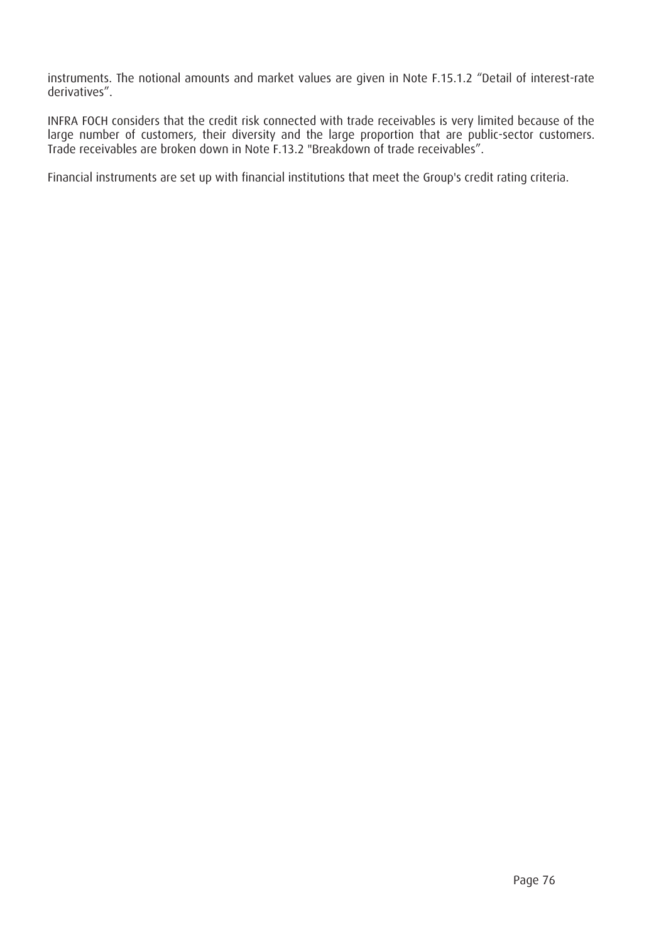instruments. The notional amounts and market values are given in Note F.15.1.2 "Detail of interest-rate derivatives".

INFRA FOCH considers that the credit risk connected with trade receivables is very limited because of the large number of customers, their diversity and the large proportion that are public-sector customers. Trade receivables are broken down in Note F.13.2 "Breakdown of trade receivables".

Financial instruments are set up with financial institutions that meet the Group's credit rating criteria.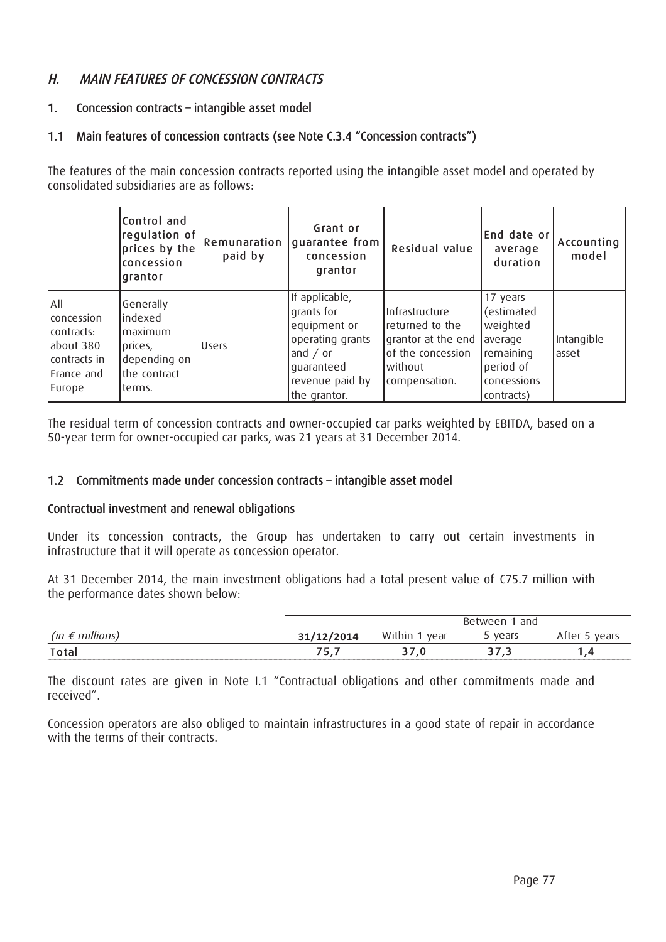# H. MAIN FEATURES OF CONCESSION CONTRACTS

## 1. Concession contracts – intangible asset model

# 1.1 Main features of concession contracts (see Note C.3.4 "Concession contracts")

The features of the main concession contracts reported using the intangible asset model and operated by consolidated subsidiaries are as follows:

|                                                                                        | Control and<br>regulation of<br>prices by the<br>concession<br>Igrantor               | Remunaration<br>paid by | Grant or<br>guarantee from<br>concession<br>grantor                                                                             | Residual value                                                                                           | End date or<br>average<br>duration                                                                   | Accounting<br>model |
|----------------------------------------------------------------------------------------|---------------------------------------------------------------------------------------|-------------------------|---------------------------------------------------------------------------------------------------------------------------------|----------------------------------------------------------------------------------------------------------|------------------------------------------------------------------------------------------------------|---------------------|
| All<br>concession<br>contracts:<br>labout 380<br>contracts in<br>IFrance and<br>Europe | Generally<br>indexed<br>lmaximum<br>prices,<br>depending on<br>the contract<br>terms. | <b>Users</b>            | If applicable,<br>grants for<br>equipment or<br>operating grants<br>and $/$ or<br>quaranteed<br>revenue paid by<br>the grantor. | Infrastructure<br>returned to the<br>grantor at the end<br>of the concession<br>without<br>compensation. | 17 years<br>(estimated<br>weighted<br>average<br>remaining<br>period of<br>concessions<br>contracts) | Intangible<br>asset |

The residual term of concession contracts and owner-occupied car parks weighted by EBITDA, based on a 50-year term for owner-occupied car parks, was 21 years at 31 December 2014.

## 1.2 Commitments made under concession contracts – intangible asset model

## Contractual investment and renewal obligations

Under its concession contracts, the Group has undertaken to carry out certain investments in infrastructure that it will operate as concession operator.

At 31 December 2014, the main investment obligations had a total present value of  $E$ 75.7 million with the performance dates shown below:

|                          |            | Between 1<br>and |         |               |  |
|--------------------------|------------|------------------|---------|---------------|--|
| (in $\epsilon$ millions) | 31/12/2014 | Within 1 year    | 5 years | After 5 years |  |
| <b>Total</b>             | 75,7       |                  | 37,3    |               |  |

The discount rates are given in Note I.1 "Contractual obligations and other commitments made and received".

Concession operators are also obliged to maintain infrastructures in a good state of repair in accordance with the terms of their contracts.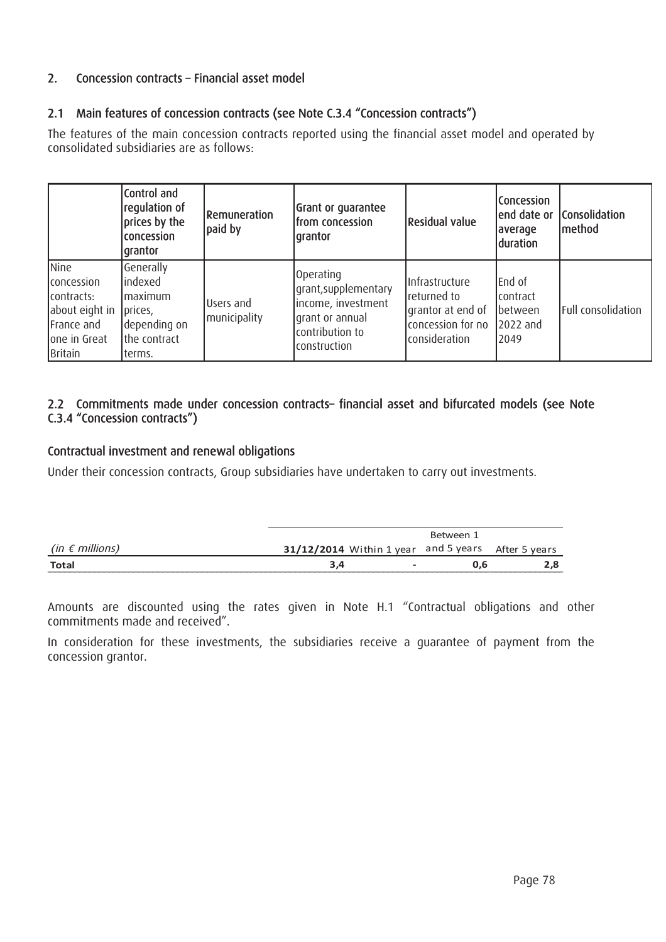## 2. Concession contracts – Financial asset model

## 2.1 Main features of concession contracts (see Note C.3.4 "Concession contracts")

The features of the main concession contracts reported using the financial asset model and operated by consolidated subsidiaries are as follows:

|                                                                                             | Control and<br>regulation of<br>prices by the<br> concession <br> grantor             | Remuneration<br>paid by   | Grant or guarantee<br>from concession<br>grantor                                                              | lResidual value                                                                                   | <b>Concession</b><br>average<br>duration                        | end date or  Consolidation<br> method |
|---------------------------------------------------------------------------------------------|---------------------------------------------------------------------------------------|---------------------------|---------------------------------------------------------------------------------------------------------------|---------------------------------------------------------------------------------------------------|-----------------------------------------------------------------|---------------------------------------|
| Nine<br>concession<br>contracts:<br>about eight in<br>France and<br>one in Great<br>Britain | Generally<br>indexed<br>lmaximum<br>Drices,<br>depending on<br>the contract<br>terms. | Users and<br>municipality | Operating<br>grant, supplementary<br>income, investment<br>grant or annual<br>contribution to<br>construction | Infrastructure<br><b>I</b> returned to<br>grantor at end of<br>concession for no<br>consideration | End of<br><b>contract</b><br><b>between</b><br>2022 and<br>2049 | <b>Full consolidation</b>             |

### 2.2 Commitments made under concession contracts– financial asset and bifurcated models (see Note C.3.4 "Concession contracts")

### Contractual investment and renewal obligations

Under their concession contracts, Group subsidiaries have undertaken to carry out investments.

|                          |                                                    | Between 1 |  |
|--------------------------|----------------------------------------------------|-----------|--|
| (in $\epsilon$ millions) | 31/12/2014 Within 1 year and 5 years After 5 years |           |  |
| Total                    | <u>. на п</u>                                      | 0.6       |  |

Amounts are discounted using the rates given in Note H.1 "Contractual obligations and other commitments made and received".

In consideration for these investments, the subsidiaries receive a guarantee of payment from the concession grantor.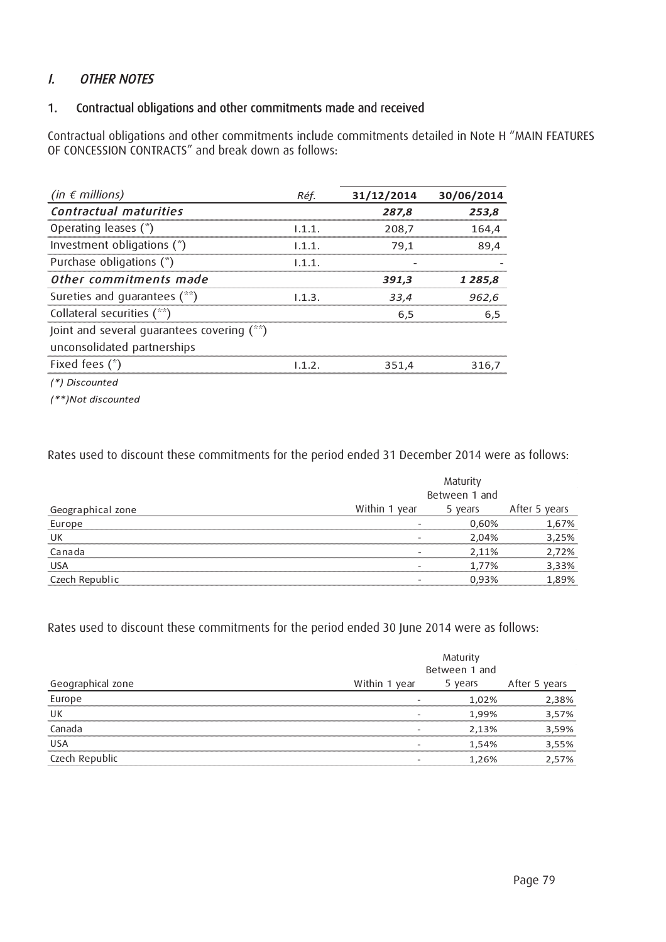# I. OTHER NOTES

# 1. Contractual obligations and other commitments made and received

Contractual obligations and other commitments include commitments detailed in Note H "MAIN FEATURES OF CONCESSION CONTRACTS" and break down as follows:

| (in $\epsilon$ millions)                   | Réf.   | 31/12/2014 | 30/06/2014  |
|--------------------------------------------|--------|------------|-------------|
| Contractual maturities                     |        | 287,8      | 253,8       |
| Operating leases (*)                       | 1.1.1. | 208,7      | 164,4       |
| Investment obligations (*)                 | 1.1.1. | 79,1       | 89,4        |
| Purchase obligations (*)                   | 1.1.1. |            |             |
| Other commitments made                     |        | 391,3      | 1 2 8 5 , 8 |
| Sureties and quarantees (**)               | 1.1.3. | 33,4       | 962,6       |
| Collateral securities (**)                 |        | 6,5        | 6,5         |
| Joint and several quarantees covering (**) |        |            |             |
| unconsolidated partnerships                |        |            |             |
| Fixed fees (*)                             | 1.1.2. | 351,4      | 316,7       |
| $x \in \mathbb{R}$                         |        |            |             |

*(\*) Discounted*

*(\*\*)Not discounted*

Rates used to discount these commitments for the period ended 31 December 2014 were as follows:

|                   | Maturity<br>Between 1 and |         |               |  |
|-------------------|---------------------------|---------|---------------|--|
| Geographical zone | Within 1 year             | 5 years | After 5 years |  |
| Europe            | $\overline{\phantom{a}}$  | 0,60%   | 1,67%         |  |
| UK                |                           | 2,04%   | 3,25%         |  |
| Canada            | $\overline{\phantom{a}}$  | 2,11%   | 2,72%         |  |
| <b>USA</b>        |                           | 1,77%   | 3,33%         |  |
| Czech Republic    | $\overline{\phantom{0}}$  | 0,93%   | 1,89%         |  |

Rates used to discount these commitments for the period ended 30 June 2014 were as follows:

|                   | Maturity      |               |               |  |  |  |
|-------------------|---------------|---------------|---------------|--|--|--|
|                   |               | Between 1 and |               |  |  |  |
| Geographical zone | Within 1 year | 5 years       | After 5 years |  |  |  |
| Europe            |               | 1.02%         | 2,38%         |  |  |  |
| UK                | ۰             | 1,99%         | 3,57%         |  |  |  |
| Canada            |               | 2,13%         | 3,59%         |  |  |  |
| <b>USA</b>        |               | 1,54%         | 3,55%         |  |  |  |
| Czech Republic    |               | 1.26%         | 2.57%         |  |  |  |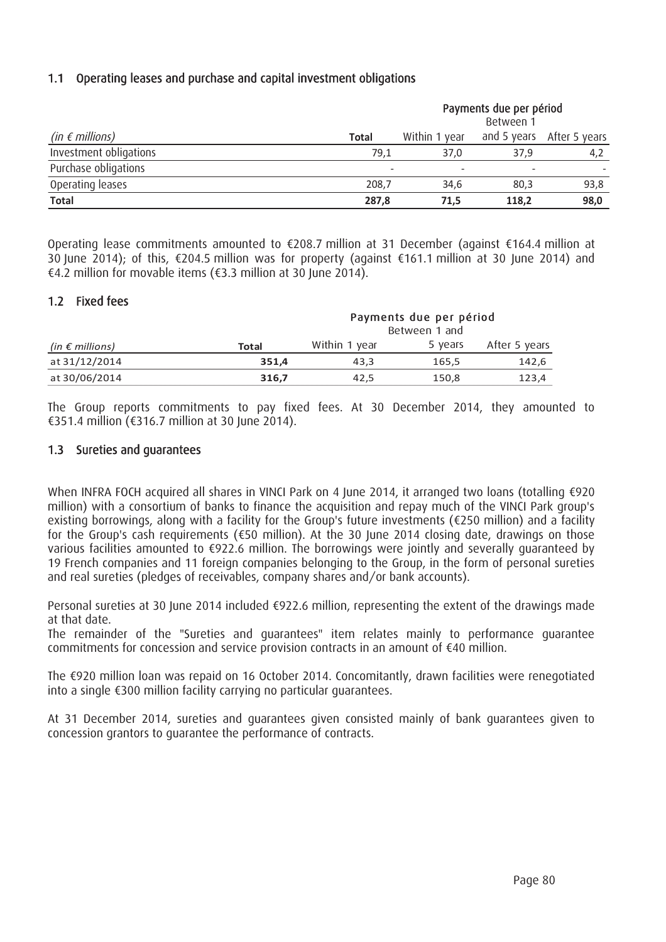## 1.1 Operating leases and purchase and capital investment obligations

|                          | Payments due per périod<br>Between 1<br>and 5 years After 5 years<br>Within 1 year<br><b>Total</b> |                          |                          |      |
|--------------------------|----------------------------------------------------------------------------------------------------|--------------------------|--------------------------|------|
| (in $\epsilon$ millions) |                                                                                                    |                          |                          |      |
| Investment obligations   | 79,1                                                                                               | 37,0                     | 37,9                     | 4,2  |
| Purchase obligations     |                                                                                                    | $\overline{\phantom{a}}$ | $\overline{\phantom{a}}$ |      |
| Operating leases         | 208,7                                                                                              | 34,6                     | 80,3                     | 93,8 |
| <b>Total</b>             | 287,8                                                                                              | 71,5                     | 118,2                    | 98,0 |

Operating lease commitments amounted to  $\epsilon$ 208.7 million at 31 December (against  $\epsilon$ 164.4 million at 30 June 2014); of this,  $\epsilon$ 204.5 million was for property (against  $\epsilon$ 161.1 million at 30 June 2014) and €4.2 million for movable items (€3.3 million at 30 June 2014).

### 1.2 Fixed fees

|                          |       | Payments due per périod |         |               |  |  |
|--------------------------|-------|-------------------------|---------|---------------|--|--|
|                          |       | Between 1 and           |         |               |  |  |
| (in $\epsilon$ millions) | Total | Within 1 year           | 5 years | After 5 years |  |  |
| at 31/12/2014            | 351,4 | 43.3                    | 165,5   | 142,6         |  |  |
| at 30/06/2014            | 316.7 | 42.5                    | 150.8   | 123,4         |  |  |

The Group reports commitments to pay fixed fees. At 30 December 2014, they amounted to €351.4 million (€316.7 million at 30 June 2014).

### 1.3 Sureties and guarantees

When INFRA FOCH acquired all shares in VINCI Park on 4 June 2014, it arranged two loans (totalling  $\epsilon$ 920 million) with a consortium of banks to finance the acquisition and repay much of the VINCI Park group's existing borrowings, along with a facility for the Group's future investments ( $\epsilon$ 250 million) and a facility for the Group's cash requirements ( $650$  million). At the 30 June 2014 closing date, drawings on those various facilities amounted to  $E$ 922.6 million. The borrowings were jointly and severally guaranteed by 19 French companies and 11 foreign companies belonging to the Group, in the form of personal sureties and real sureties (pledges of receivables, company shares and/or bank accounts).

Personal sureties at 30 June 2014 included  $E$ 922.6 million, representing the extent of the drawings made at that date.

The remainder of the "Sureties and guarantees" item relates mainly to performance guarantee commitments for concession and service provision contracts in an amount of  $\epsilon$ 40 million.

The €920 million loan was repaid on 16 October 2014. Concomitantly, drawn facilities were renegotiated into a single  $\epsilon$ 300 million facility carrying no particular guarantees.

At 31 December 2014, sureties and guarantees given consisted mainly of bank guarantees given to concession grantors to guarantee the performance of contracts.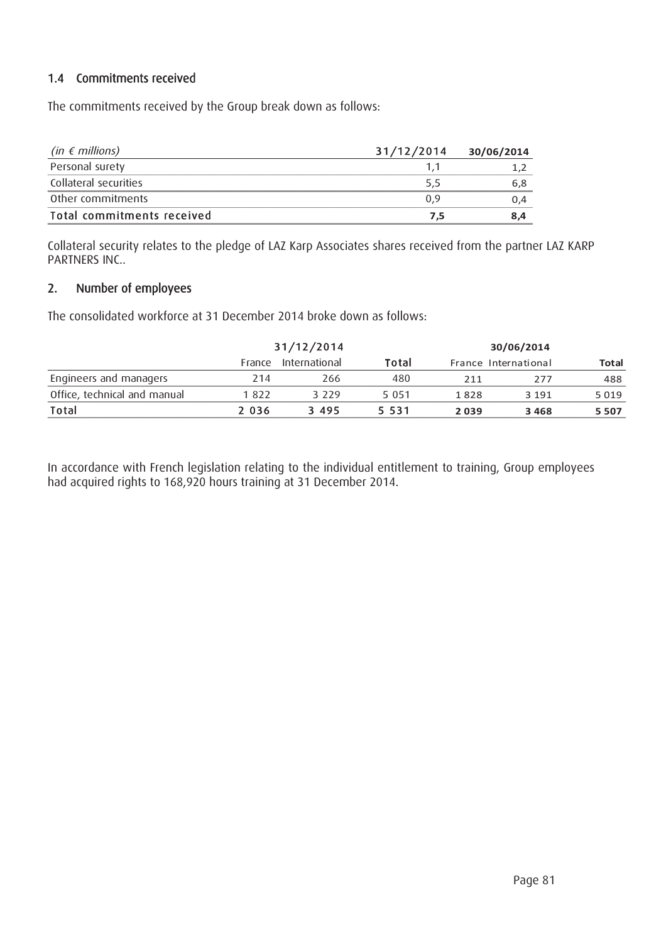## 1.4 Commitments received

The commitments received by the Group break down as follows:

| (in $\epsilon$ millions)   | 31/12/2014 | 30/06/2014 |
|----------------------------|------------|------------|
| Personal surety            |            |            |
| Collateral securities      | 5.5        | 6,8        |
| Other commitments          | 0.9        | 0,4        |
| Total commitments received | 7.5        | 8.4        |

Collateral security relates to the pledge of LAZ Karp Associates shares received from the partner LAZ KARP PARTNERS INC..

### 2. Number of employees

The consolidated workforce at 31 December 2014 broke down as follows:

|                              | 31/12/2014 |               |         |      | 30/06/2014           |         |  |
|------------------------------|------------|---------------|---------|------|----------------------|---------|--|
|                              | France     | International | Total   |      | France International | Total   |  |
| Engineers and managers       | 214        | 266           | 480     | 211  | 277                  | 488     |  |
| Office, technical and manual | 1822       | 3 2 2 9       | 5 0 5 1 | 1828 | 3 1 9 1              | 5019    |  |
| <b>Total</b>                 | 2 0 3 6    | 3495          | 5 5 3 1 | 2039 | 3468                 | 5 5 0 7 |  |

In accordance with French legislation relating to the individual entitlement to training, Group employees had acquired rights to 168,920 hours training at 31 December 2014.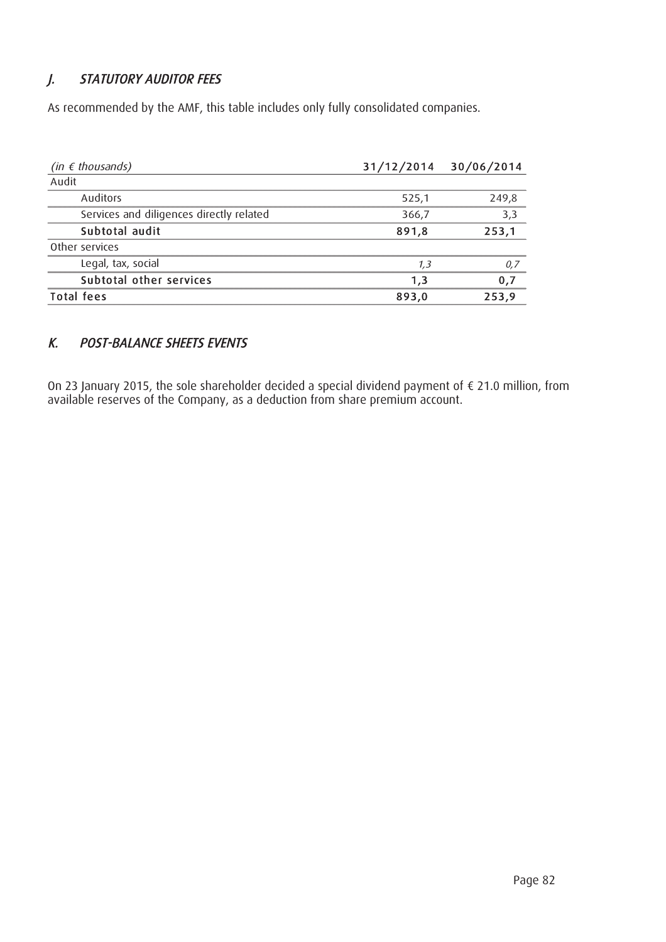# J. STATUTORY AUDITOR FEES

As recommended by the AMF, this table includes only fully consolidated companies.

| (in $\epsilon$ thousands)                | 31/12/2014 | 30/06/2014 |
|------------------------------------------|------------|------------|
| Audit                                    |            |            |
| <b>Auditors</b>                          | 525,1      | 249,8      |
| Services and diligences directly related | 366,7      | 3,3        |
| Subtotal audit                           | 891,8      | 253,1      |
| Other services                           |            |            |
| Legal, tax, social                       | 1,3        | 0,7        |
| Subtotal other services                  | 1.3        | 0.7        |
| <b>Total fees</b>                        | 893,0      | 253,9      |

# K. POST-BALANCE SHEETS EVENTS

On 23 January 2015, the sole shareholder decided a special dividend payment of  $\epsilon$  21.0 million, from available reserves of the Company, as a deduction from share premium account.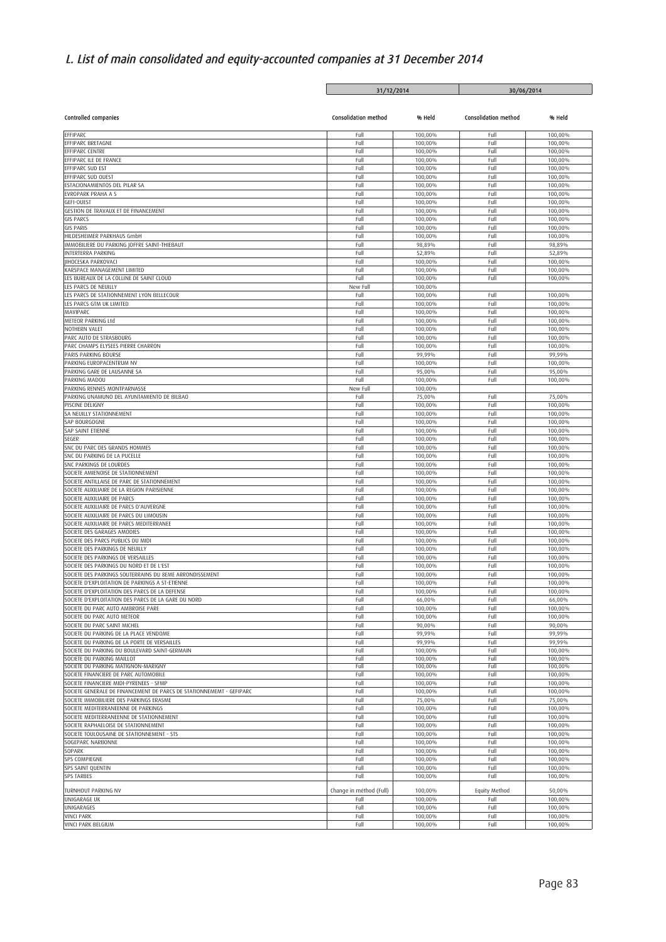# L. List of main consolidated and equity-accounted companies at 31 December 2014

|                                                                                                                 | 31/12/2014                  |                    | 30/06/2014           |                    |
|-----------------------------------------------------------------------------------------------------------------|-----------------------------|--------------------|----------------------|--------------------|
|                                                                                                                 |                             |                    |                      |                    |
|                                                                                                                 |                             |                    |                      |                    |
| <b>Controlled companies</b>                                                                                     | <b>Consolidation method</b> | % Held             | Consolidation method | % Held             |
| EFFIPARC                                                                                                        | Full                        | 100,00%            | Full                 | 100,00%            |
| EFFIPARC BRETAGNE                                                                                               | Full                        | 100,00%            | Full                 | 100,00%            |
| EFFIPARC CENTRE                                                                                                 | Full                        | 100,00%            | Full                 | 100,00%            |
| EFFIPARC ILE DE FRANCE                                                                                          | Full                        | 100,00%            | Full                 | 100,00%            |
| EFFIPARC SUD EST<br>EFFIPARC SUD OUEST                                                                          | Full<br>Full                | 100,00%<br>100,00% | Full<br>Full         | 100,00%<br>100,00% |
| ESTACIONAMIENTOS DEL PILAR SA                                                                                   | Full                        | 100,00%            | Full                 | 100,00%            |
| EVROPARK PRAHA A S                                                                                              | Full                        | 100,00%            | Full                 | 100,00%            |
| <b>GEFI-OUEST</b>                                                                                               | Full                        | 100,00%            | Full                 | 100,00%            |
| GESTION DE TRAVAUX ET DE FINANCEMENT                                                                            | Full<br>Full                | 100,00%            | Full<br>Full         | 100,00%            |
| <b>GIS PARCS</b><br><b>GIS PARIS</b>                                                                            | Full                        | 100,00%<br>100,00% | Full                 | 100,00%<br>100,00% |
| HILDESHEIMER PARKHAUS GmbH                                                                                      | Full                        | 100,00%            | Full                 | 100,00%            |
| IMMOBILIERE DU PARKING JOFFRE SAINT-THIEBAUT                                                                    | Full                        | 98,89%             | Full                 | 98,89%             |
| <b>INTERTERRA PARKING</b>                                                                                       | Full                        | 52,89%             | Full                 | 52,89%             |
| JIHOCESKA PARKOVACI<br>KARSPACE MANAGEMENT LIMITED                                                              | Full<br>Full                | 100,00%<br>100,00% | Full<br>Full         | 100,00%<br>100,00% |
| LES BUREAUX DE LA COLLINE DE SAINT CLOUD                                                                        | Full                        | 100,00%            | Full                 | 100,00%            |
| LES PARCS DE NEUILLY                                                                                            | New Full                    | 100,00%            |                      |                    |
| LES PARCS DE STATIONNEMENT LYON BELLECOUR                                                                       | Full                        | 100,00%            | Full                 | 100,00%            |
| LES PARCS GTM UK LIMITED<br>MAVIPARC                                                                            | Full<br>Full                | 100,00%<br>100,00% | Full<br>Full         | 100,00%<br>100,00% |
| METEOR PARKING Ltd                                                                                              | Full                        | 100,00%            | Full                 | 100,00%            |
| NOTHERN VALET                                                                                                   | Full                        | 100,00%            | Full                 | 100,00%            |
| PARC AUTO DE STRASBOURG                                                                                         | Full                        | 100,00%            | Full                 | 100,00%            |
| PARC CHAMPS ELYSEES PIERRE CHARRON                                                                              | Full                        | 100,00%            | Full                 | 100,00%            |
| PARIS PARKING BOURSE<br>PARKING EUROPACENTRUM NV                                                                | Full<br>Full                | 99,99%<br>100,00%  | Full<br>Full         | 99,99%<br>100,00%  |
| PARKING GARE DE LAUSANNE SA                                                                                     | Full                        | 95,00%             | Full                 | 95,00%             |
| PARKING MADOU                                                                                                   | Full                        | 100,00%            | Full                 | 100,00%            |
| PARKING RENNES MONTPARNASSE                                                                                     | New Full                    | 100,00%            |                      |                    |
| PARKING UNAMUNO DEL AYUNTAMIENTO DE BILBAO                                                                      | Full                        | 75,00%             | Full                 | 75,00%             |
| PISCINE DELIGNY<br>SA NEUILLY STATIONNEMENT                                                                     | Full<br>Full                | 100,00%<br>100,00% | Full<br>Full         | 100,00%<br>100,00% |
| SAP BOURGOGNE                                                                                                   | Full                        | 100,00%            | Full                 | 100,00%            |
| SAP SAINT ETIENNE                                                                                               | Full                        | 100,00%            | Full                 | 100,00%            |
| SEGER                                                                                                           | Full                        | 100,00%            | Full                 | 100,00%            |
| SNC DU PARC DES GRANDS HOMMES                                                                                   | Full                        | 100,00%            | Full                 | 100,00%            |
| SNC DU PARKING DE LA PUCELLE<br>SNC PARKINGS DE LOURDES                                                         | Full<br>Full                | 100,00%<br>100,00% | Full<br>Full         | 100,00%<br>100,00% |
| SOCIETE AMIENOISE DE STATIONNEMENT                                                                              | Full                        | 100,00%            | Full                 | 100,00%            |
| SOCIETE ANTILLAISE DE PARC DE STATIONNEMENT                                                                     | Full                        | 100,00%            | Full                 | 100,00%            |
| SOCIETE AUXILIAIRE DE LA REGION PARISIENNE                                                                      | Full                        | 100,00%            | Full                 | 100,00%            |
| SOCIETE AUXILIAIRE DE PARCS<br>SOCIETE AUXILIAIRE DE PARCS D'AUVERGNE                                           | Full<br>Full                | 100,00%<br>100,00% | Full<br>Full         | 100,00%<br>100,00% |
| SOCIETE AUXILIAIRE DE PARCS DU LIMOUSIN                                                                         | Full                        | 100,00%            | Full                 | 100,00%            |
| SOCIETE AUXILIAIRE DE PARCS MEDITERRANEE                                                                        | Full                        | 100,00%            | Full                 | 100,00%            |
| SOCIETE DES GARAGES AMODIES                                                                                     | Full                        | 100,00%            | Full                 | 100,00%            |
| SOCIETE DES PARCS PUBLICS DU MIDI                                                                               | Full                        | 100,00%            | Full                 | 100,00%            |
| SOCIETE DES PARKINGS DE NEUILLY<br>SOCIETE DES PARKINGS DE VERSAILLES                                           | Full<br>Full                | 100,00%<br>100,00% | Full<br>Full         | 100,00%<br>100,00% |
| SOCIETE DES PARKINGS DU NORD ET DE L'EST                                                                        | Full                        | 100,00%            | Full                 | 100,00%            |
| SOCIETE DES PARKINGS SOUTERRAINS DU 8EME ARRONDISSEMENT                                                         | Full                        | 100,00%            | Full                 | 100,00%            |
| SOCIETE D'EXPLOITATION DE PARKINGS A ST-ETIENNE                                                                 | Full                        | 100,00%            | Full                 | 100,00%            |
| SOCIETE D'EXPLOITATION DES PARCS DE LA DEFENSE<br>SOCIETE D'EXPLOITATION DES PARCS DE LA GARE DU NORD           | Full<br>Full                | 100,00%<br>66,00%  | Full<br>Full         | 100,00%<br>66,00%  |
| SOCIETE DU PARC AUTO AMBROISE PARE                                                                              | Full                        | 100,00%            | Full                 | 100,00%            |
| SOCIETE DU PARC AUTO METEOR                                                                                     | Full                        | 100,00%            | Full                 | 100,00%            |
| SOCIETE DU PARC SAINT MICHEL                                                                                    | Full                        | 90,00%             | Full                 | 90,00%             |
| SOCIETE DU PARKING DE LA PLACE VENDOME                                                                          | Full                        | 99,99%             | Full                 | 99,99%             |
| SOCIETE DU PARKING DE LA PORTE DE VERSAILLES<br>SOCIETE DU PARKING DU BOULEVARD SAINT-GERMAIN                   | Full<br>Full                | 99,99%<br>100,00%  | Full<br>Full         | 99,99%<br>100,00%  |
| SOCIETE DU PARKING MAILLOT                                                                                      | Full                        | 100,00%            | Full                 | 100,00%            |
| SOCIETE DU PARKING MATIGNON-MARIGNY                                                                             | Full                        | 100,00%            | Full                 | 100,00%            |
| SOCIETE FINANCIERE DE PARC AUTOMOBILE                                                                           | Full                        | 100,00%            | Full                 | 100,00%            |
| SOCIETE FINANCIERE MIDI-PYRENEES - SFMP<br>SOCIETE GENERALE DE FINANCEMENT DE PARCS DE STATIONNEMEMT - GEFIPARC | Full<br>Full                | 100,00%<br>100,00% | Full<br>Full         | 100,00%<br>100,00% |
| SOCIETE IMMOBILIERE DES PARKINGS ERASME                                                                         | Full                        | 75,00%             | Full                 | 75,00%             |
| SOCIETE MEDITERRANEENNE DE PARKINGS                                                                             | Full                        | 100,00%            | Full                 | 100,00%            |
| SOCIETE MEDITERRANEENNE DE STATIONNEMENT                                                                        | Full                        | 100,00%            | Full                 | 100,00%            |
| SOCIETE RAPHAELOISE DE STATIONNEMENT                                                                            | Full                        | 100,00%            | Full                 | 100,00%            |
| SOCIETE TOULOUSAINE DE STATIONNEMENT - STS<br>SOGEPARC NARBONNE                                                 | Full<br>Full                | 100,00%<br>100,00% | Full<br>Full         | 100,00%<br>100,00% |
| SOPARK                                                                                                          | Full                        | 100,00%            | Full                 | 100,00%            |
| SPS COMPIEGNE                                                                                                   | Full                        | 100,00%            | Full                 | 100,00%            |
| SPS SAINT QUENTIN                                                                                               | Full                        | 100,00%            | Full                 | 100,00%            |
| <b>SPS TARBES</b>                                                                                               | Full                        | 100,00%            | Full                 | 100,00%            |
| TURNHOUT PARKING NV                                                                                             | Change in méthod (Full)     | 100,00%            | Equity Method        | 50,00%             |
| UNIGARAGE UK                                                                                                    | Full                        | 100,00%            | Full                 | 100,00%            |
| UNIGARAGES                                                                                                      | Full                        | 100,00%            | Full                 | 100,00%            |
| <b>VINCI PARK</b><br><b>VINCI PARK BELGIUM</b>                                                                  | Full<br>Full                | 100,00%<br>100,00% | Full<br>Full         | 100,00%<br>100,00% |